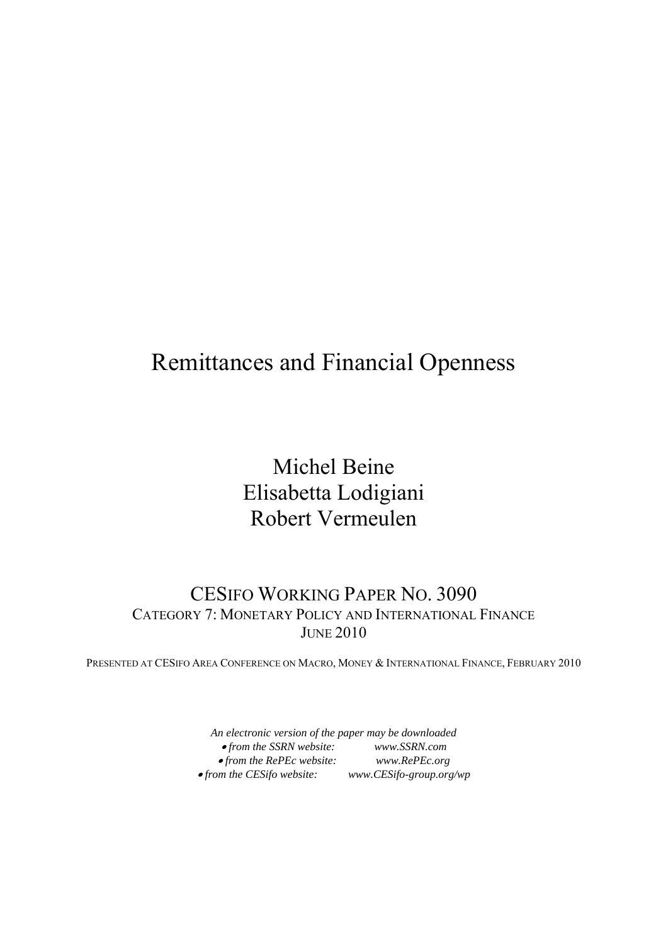# Remittances and Financial Openness

Michel Beine Elisabetta Lodigiani Robert Vermeulen

## CESIFO WORKING PAPER NO. 3090 CATEGORY 7: MONETARY POLICY AND INTERNATIONAL FINANCE JUNE 2010

PRESENTED AT CESIFO AREA CONFERENCE ON MACRO, MONEY & INTERNATIONAL FINANCE, FEBRUARY 2010

*An electronic version of the paper may be downloaded*  • *from the SSRN website: www.SSRN.com*  • *from the RePEc website: www.RePEc.org*   $• from the CES if o website:$  *www.CESifo-group.org/wp*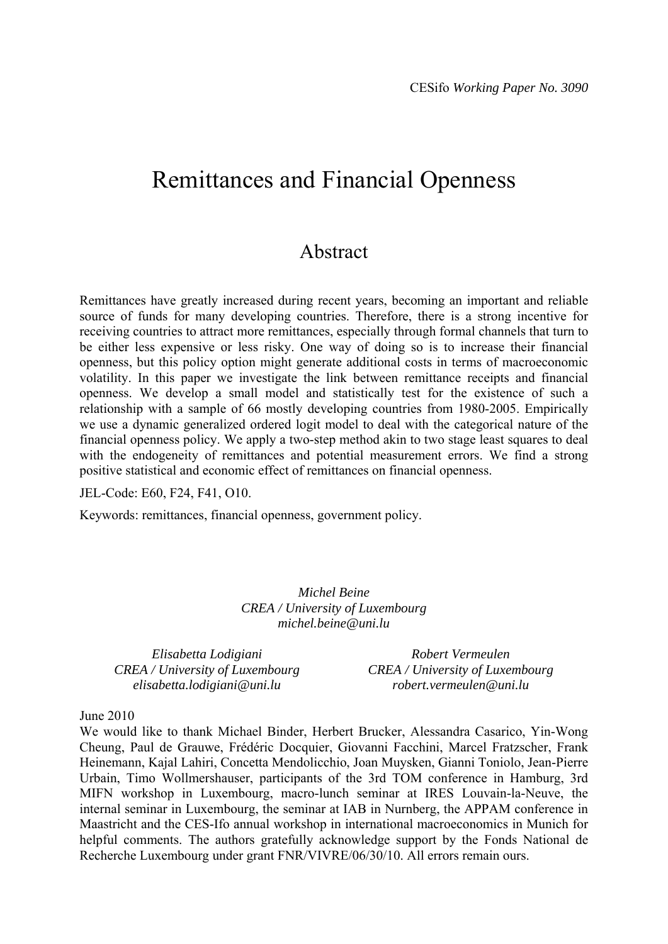# Remittances and Financial Openness

## Abstract

Remittances have greatly increased during recent years, becoming an important and reliable source of funds for many developing countries. Therefore, there is a strong incentive for receiving countries to attract more remittances, especially through formal channels that turn to be either less expensive or less risky. One way of doing so is to increase their financial openness, but this policy option might generate additional costs in terms of macroeconomic volatility. In this paper we investigate the link between remittance receipts and financial openness. We develop a small model and statistically test for the existence of such a relationship with a sample of 66 mostly developing countries from 1980-2005. Empirically we use a dynamic generalized ordered logit model to deal with the categorical nature of the financial openness policy. We apply a two-step method akin to two stage least squares to deal with the endogeneity of remittances and potential measurement errors. We find a strong positive statistical and economic effect of remittances on financial openness.

JEL-Code: E60, F24, F41, O10.

Keywords: remittances, financial openness, government policy.

*Michel Beine CREA / University of Luxembourg michel.beine@uni.lu* 

*Elisabetta Lodigiani CREA / University of Luxembourg elisabetta.lodigiani@uni.lu* 

*Robert Vermeulen CREA / University of Luxembourg robert.vermeulen@uni.lu* 

## June 2010

We would like to thank Michael Binder, Herbert Brucker, Alessandra Casarico, Yin-Wong Cheung, Paul de Grauwe, Frédéric Docquier, Giovanni Facchini, Marcel Fratzscher, Frank Heinemann, Kajal Lahiri, Concetta Mendolicchio, Joan Muysken, Gianni Toniolo, Jean-Pierre Urbain, Timo Wollmershauser, participants of the 3rd TOM conference in Hamburg, 3rd MIFN workshop in Luxembourg, macro-lunch seminar at IRES Louvain-la-Neuve, the internal seminar in Luxembourg, the seminar at IAB in Nurnberg, the APPAM conference in Maastricht and the CES-Ifo annual workshop in international macroeconomics in Munich for helpful comments. The authors gratefully acknowledge support by the Fonds National de Recherche Luxembourg under grant FNR/VIVRE/06/30/10. All errors remain ours.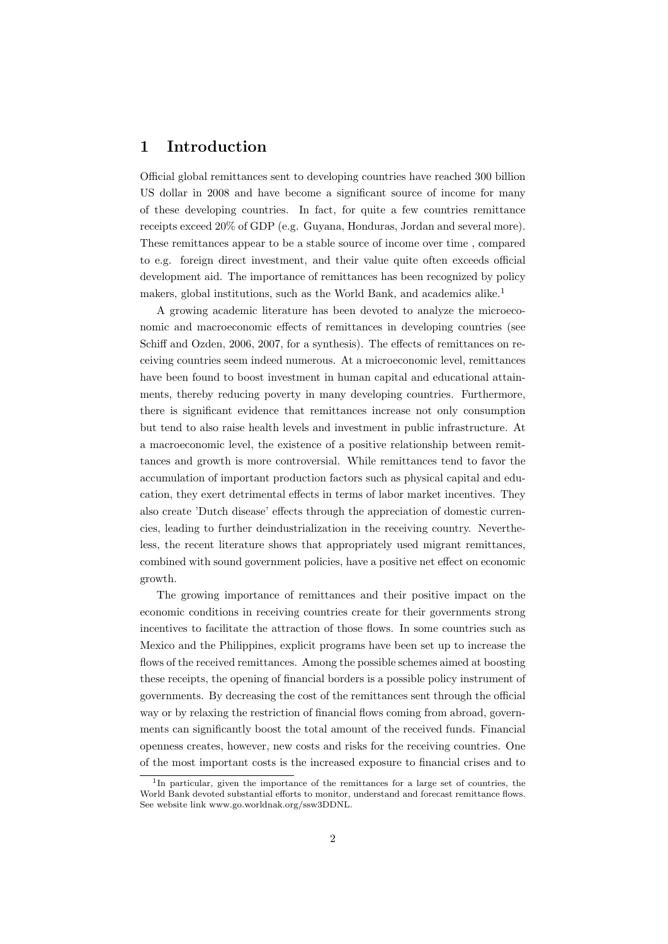## 1 Introduction

Official global remittances sent to developing countries have reached 300 billion US dollar in 2008 and have become a significant source of income for many of these developing countries. In fact, for quite a few countries remittance receipts exceed 20% of GDP (e.g. Guyana, Honduras, Jordan and several more). These remittances appear to be a stable source of income over time , compared to e.g. foreign direct investment, and their value quite often exceeds official development aid. The importance of remittances has been recognized by policy makers, global institutions, such as the World Bank, and academics alike.<sup>1</sup>

A growing academic literature has been devoted to analyze the microeconomic and macroeconomic effects of remittances in developing countries (see Schiff and Ozden, 2006, 2007, for a synthesis). The effects of remittances on receiving countries seem indeed numerous. At a microeconomic level, remittances have been found to boost investment in human capital and educational attainments, thereby reducing poverty in many developing countries. Furthermore, there is significant evidence that remittances increase not only consumption but tend to also raise health levels and investment in public infrastructure. At a macroeconomic level, the existence of a positive relationship between remittances and growth is more controversial. While remittances tend to favor the accumulation of important production factors such as physical capital and education, they exert detrimental effects in terms of labor market incentives. They also create 'Dutch disease' effects through the appreciation of domestic currencies, leading to further deindustrialization in the receiving country. Nevertheless, the recent literature shows that appropriately used migrant remittances, combined with sound government policies, have a positive net effect on economic growth.

The growing importance of remittances and their positive impact on the economic conditions in receiving countries create for their governments strong incentives to facilitate the attraction of those flows. In some countries such as Mexico and the Philippines, explicit programs have been set up to increase the flows of the received remittances. Among the possible schemes aimed at boosting these receipts, the opening of financial borders is a possible policy instrument of governments. By decreasing the cost of the remittances sent through the official way or by relaxing the restriction of financial flows coming from abroad, governments can significantly boost the total amount of the received funds. Financial openness creates, however, new costs and risks for the receiving countries. One of the most important costs is the increased exposure to financial crises and to

<sup>&</sup>lt;sup>1</sup>In particular, given the importance of the remittances for a large set of countries, the World Bank devoted substantial efforts to monitor, understand and forecast remittance flows. See website link www.go.worldnak.org/ssw3DDNL.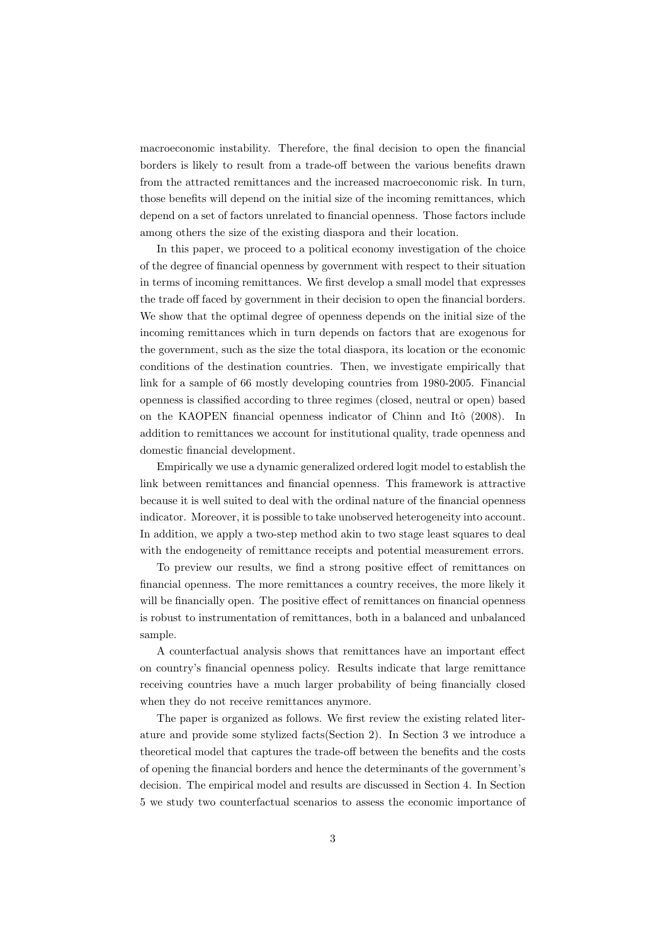macroeconomic instability. Therefore, the final decision to open the financial borders is likely to result from a trade-off between the various benefits drawn from the attracted remittances and the increased macroeconomic risk. In turn, those benefits will depend on the initial size of the incoming remittances, which depend on a set of factors unrelated to financial openness. Those factors include among others the size of the existing diaspora and their location.

In this paper, we proceed to a political economy investigation of the choice of the degree of financial openness by government with respect to their situation in terms of incoming remittances. We first develop a small model that expresses the trade off faced by government in their decision to open the financial borders. We show that the optimal degree of openness depends on the initial size of the incoming remittances which in turn depends on factors that are exogenous for the government, such as the size the total diaspora, its location or the economic conditions of the destination countries. Then, we investigate empirically that link for a sample of 66 mostly developing countries from 1980-2005. Financial openness is classified according to three regimes (closed, neutral or open) based on the KAOPEN financial openness indicator of Chinn and Itô (2008). In addition to remittances we account for institutional quality, trade openness and domestic financial development.

Empirically we use a dynamic generalized ordered logit model to establish the link between remittances and financial openness. This framework is attractive because it is well suited to deal with the ordinal nature of the financial openness indicator. Moreover, it is possible to take unobserved heterogeneity into account. In addition, we apply a two-step method akin to two stage least squares to deal with the endogeneity of remittance receipts and potential measurement errors.

To preview our results, we find a strong positive effect of remittances on financial openness. The more remittances a country receives, the more likely it will be financially open. The positive effect of remittances on financial openness is robust to instrumentation of remittances, both in a balanced and unbalanced sample.

A counterfactual analysis shows that remittances have an important effect on country's financial openness policy. Results indicate that large remittance receiving countries have a much larger probability of being financially closed when they do not receive remittances anymore.

The paper is organized as follows. We first review the existing related literature and provide some stylized facts(Section 2). In Section 3 we introduce a theoretical model that captures the trade-off between the benefits and the costs of opening the financial borders and hence the determinants of the government's decision. The empirical model and results are discussed in Section 4. In Section 5 we study two counterfactual scenarios to assess the economic importance of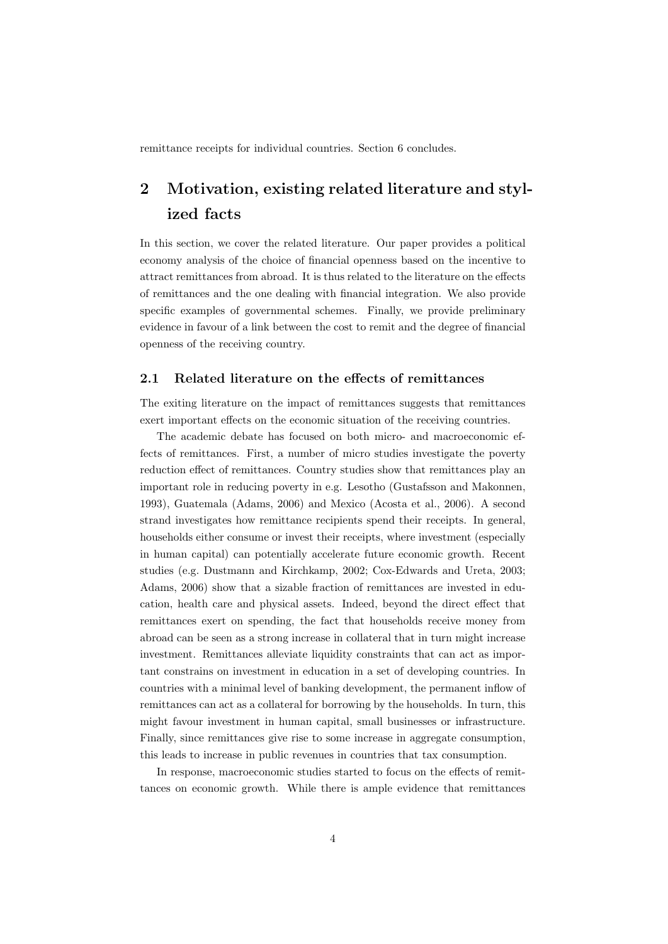remittance receipts for individual countries. Section 6 concludes.

## 2 Motivation, existing related literature and stylized facts

In this section, we cover the related literature. Our paper provides a political economy analysis of the choice of financial openness based on the incentive to attract remittances from abroad. It is thus related to the literature on the effects of remittances and the one dealing with financial integration. We also provide specific examples of governmental schemes. Finally, we provide preliminary evidence in favour of a link between the cost to remit and the degree of financial openness of the receiving country.

#### 2.1 Related literature on the effects of remittances

The exiting literature on the impact of remittances suggests that remittances exert important effects on the economic situation of the receiving countries.

The academic debate has focused on both micro- and macroeconomic effects of remittances. First, a number of micro studies investigate the poverty reduction effect of remittances. Country studies show that remittances play an important role in reducing poverty in e.g. Lesotho (Gustafsson and Makonnen, 1993), Guatemala (Adams, 2006) and Mexico (Acosta et al., 2006). A second strand investigates how remittance recipients spend their receipts. In general, households either consume or invest their receipts, where investment (especially in human capital) can potentially accelerate future economic growth. Recent studies (e.g. Dustmann and Kirchkamp, 2002; Cox-Edwards and Ureta, 2003; Adams, 2006) show that a sizable fraction of remittances are invested in education, health care and physical assets. Indeed, beyond the direct effect that remittances exert on spending, the fact that households receive money from abroad can be seen as a strong increase in collateral that in turn might increase investment. Remittances alleviate liquidity constraints that can act as important constrains on investment in education in a set of developing countries. In countries with a minimal level of banking development, the permanent inflow of remittances can act as a collateral for borrowing by the households. In turn, this might favour investment in human capital, small businesses or infrastructure. Finally, since remittances give rise to some increase in aggregate consumption, this leads to increase in public revenues in countries that tax consumption.

In response, macroeconomic studies started to focus on the effects of remittances on economic growth. While there is ample evidence that remittances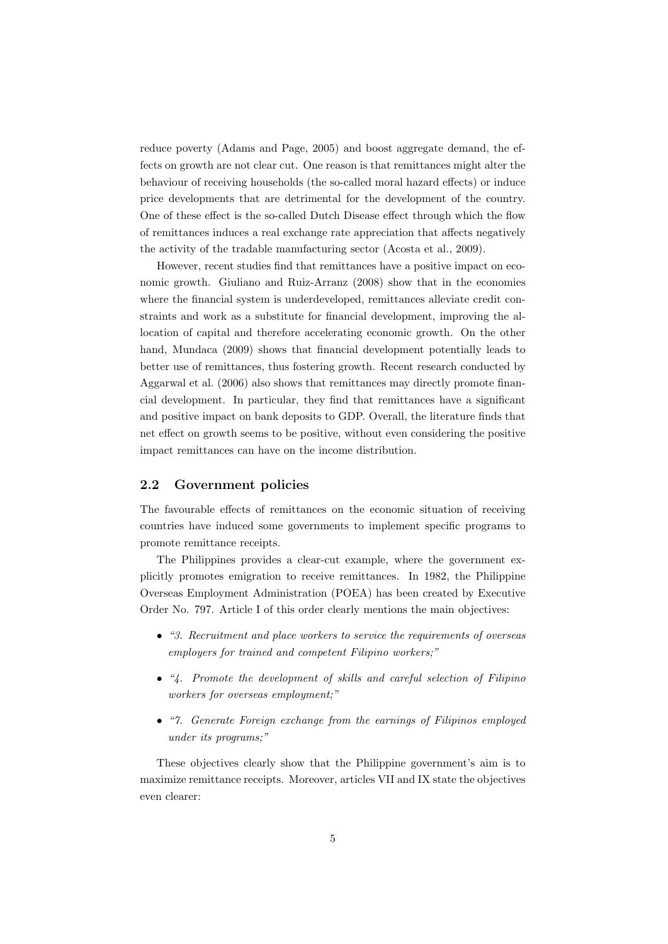reduce poverty (Adams and Page, 2005) and boost aggregate demand, the effects on growth are not clear cut. One reason is that remittances might alter the behaviour of receiving households (the so-called moral hazard effects) or induce price developments that are detrimental for the development of the country. One of these effect is the so-called Dutch Disease effect through which the flow of remittances induces a real exchange rate appreciation that affects negatively the activity of the tradable manufacturing sector (Acosta et al., 2009).

However, recent studies find that remittances have a positive impact on economic growth. Giuliano and Ruiz-Arranz (2008) show that in the economies where the financial system is underdeveloped, remittances alleviate credit constraints and work as a substitute for financial development, improving the allocation of capital and therefore accelerating economic growth. On the other hand, Mundaca (2009) shows that financial development potentially leads to better use of remittances, thus fostering growth. Recent research conducted by Aggarwal et al. (2006) also shows that remittances may directly promote financial development. In particular, they find that remittances have a significant and positive impact on bank deposits to GDP. Overall, the literature finds that net effect on growth seems to be positive, without even considering the positive impact remittances can have on the income distribution.

## 2.2 Government policies

The favourable effects of remittances on the economic situation of receiving countries have induced some governments to implement specific programs to promote remittance receipts.

The Philippines provides a clear-cut example, where the government explicitly promotes emigration to receive remittances. In 1982, the Philippine Overseas Employment Administration (POEA) has been created by Executive Order No. 797. Article I of this order clearly mentions the main objectives:

- ∙ "3. Recruitment and place workers to service the requirements of overseas employers for trained and competent Filipino workers;"
- ∙ "4. Promote the development of skills and careful selection of Filipino workers for overseas employment;"
- ∙ "7. Generate Foreign exchange from the earnings of Filipinos employed under its programs;"

These objectives clearly show that the Philippine government's aim is to maximize remittance receipts. Moreover, articles VII and IX state the objectives even clearer: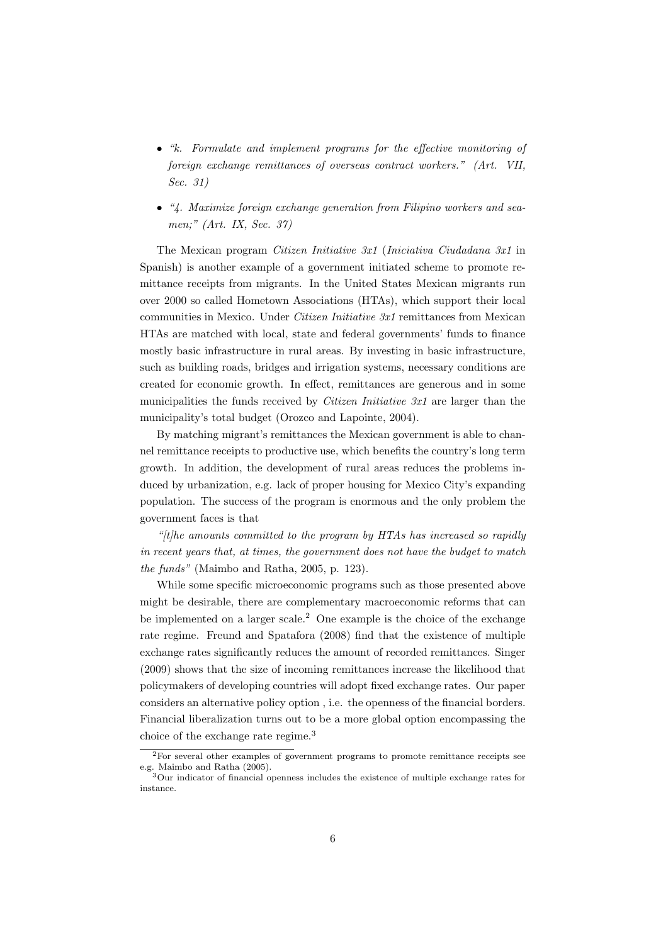- ∙ "k. Formulate and implement programs for the effective monitoring of foreign exchange remittances of overseas contract workers." (Art. VII, Sec. 31)
- ∙ "4. Maximize foreign exchange generation from Filipino workers and seamen;" (Art. IX, Sec. 37)

The Mexican program Citizen Initiative 3x1 (Iniciativa Ciudadana 3x1 in Spanish) is another example of a government initiated scheme to promote remittance receipts from migrants. In the United States Mexican migrants run over 2000 so called Hometown Associations (HTAs), which support their local communities in Mexico. Under *Citizen Initiative 3x1* remittances from Mexican HTAs are matched with local, state and federal governments' funds to finance mostly basic infrastructure in rural areas. By investing in basic infrastructure, such as building roads, bridges and irrigation systems, necessary conditions are created for economic growth. In effect, remittances are generous and in some municipalities the funds received by *Citizen Initiative*  $3x1$  are larger than the municipality's total budget (Orozco and Lapointe, 2004).

By matching migrant's remittances the Mexican government is able to channel remittance receipts to productive use, which benefits the country's long term growth. In addition, the development of rural areas reduces the problems induced by urbanization, e.g. lack of proper housing for Mexico City's expanding population. The success of the program is enormous and the only problem the government faces is that

" $t$ ; the amounts committed to the program by HTAs has increased so rapidly in recent years that, at times, the government does not have the budget to match the funds" (Maimbo and Ratha, 2005, p. 123).

While some specific microeconomic programs such as those presented above might be desirable, there are complementary macroeconomic reforms that can be implemented on a larger scale.<sup>2</sup> One example is the choice of the exchange rate regime. Freund and Spatafora (2008) find that the existence of multiple exchange rates significantly reduces the amount of recorded remittances. Singer (2009) shows that the size of incoming remittances increase the likelihood that policymakers of developing countries will adopt fixed exchange rates. Our paper considers an alternative policy option , i.e. the openness of the financial borders. Financial liberalization turns out to be a more global option encompassing the choice of the exchange rate regime.<sup>3</sup>

<sup>2</sup>For several other examples of government programs to promote remittance receipts see e.g. Maimbo and Ratha (2005).

<sup>3</sup>Our indicator of financial openness includes the existence of multiple exchange rates for instance.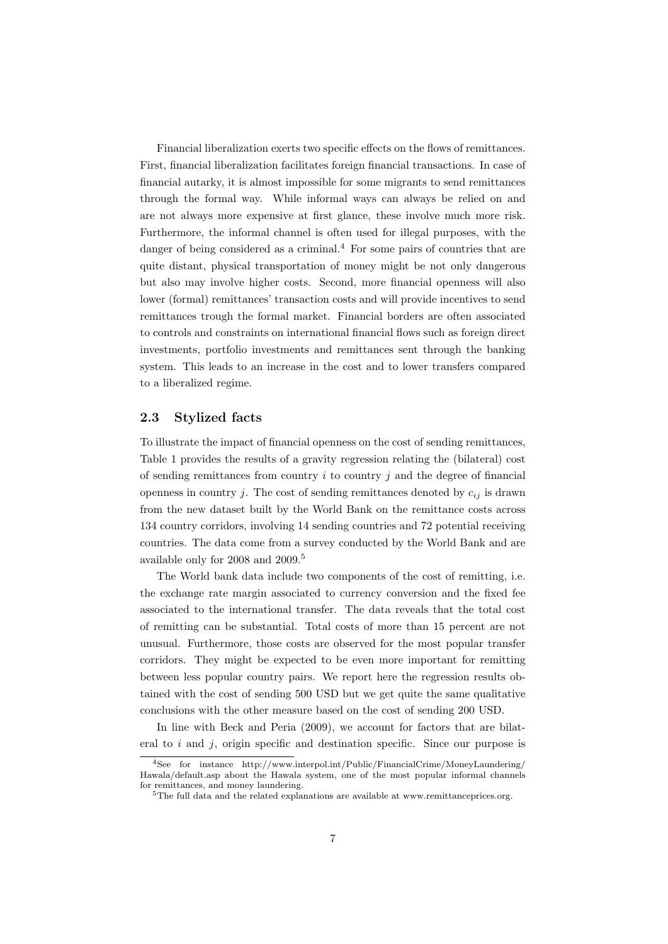Financial liberalization exerts two specific effects on the flows of remittances. First, financial liberalization facilitates foreign financial transactions. In case of financial autarky, it is almost impossible for some migrants to send remittances through the formal way. While informal ways can always be relied on and are not always more expensive at first glance, these involve much more risk. Furthermore, the informal channel is often used for illegal purposes, with the danger of being considered as a criminal.<sup>4</sup> For some pairs of countries that are quite distant, physical transportation of money might be not only dangerous but also may involve higher costs. Second, more financial openness will also lower (formal) remittances' transaction costs and will provide incentives to send remittances trough the formal market. Financial borders are often associated to controls and constraints on international financial flows such as foreign direct investments, portfolio investments and remittances sent through the banking system. This leads to an increase in the cost and to lower transfers compared to a liberalized regime.

### 2.3 Stylized facts

To illustrate the impact of financial openness on the cost of sending remittances, Table 1 provides the results of a gravity regression relating the (bilateral) cost of sending remittances from country  $i$  to country  $j$  and the degree of financial openness in country *j*. The cost of sending remittances denoted by  $c_{ij}$  is drawn from the new dataset built by the World Bank on the remittance costs across 134 country corridors, involving 14 sending countries and 72 potential receiving countries. The data come from a survey conducted by the World Bank and are available only for 2008 and 2009.<sup>5</sup>

The World bank data include two components of the cost of remitting, i.e. the exchange rate margin associated to currency conversion and the fixed fee associated to the international transfer. The data reveals that the total cost of remitting can be substantial. Total costs of more than 15 percent are not unusual. Furthermore, those costs are observed for the most popular transfer corridors. They might be expected to be even more important for remitting between less popular country pairs. We report here the regression results obtained with the cost of sending 500 USD but we get quite the same qualitative conclusions with the other measure based on the cost of sending 200 USD.

In line with Beck and Peria  $(2009)$ , we account for factors that are bilateral to  $i$  and  $j$ , origin specific and destination specific. Since our purpose is

<sup>4</sup>See for instance http://www.interpol.int/Public/FinancialCrime/MoneyLaundering/ Hawala/default.asp about the Hawala system, one of the most popular informal channels for remittances, and money laundering.

<sup>&</sup>lt;sup>5</sup>The full data and the related explanations are available at www.remittanceprices.org.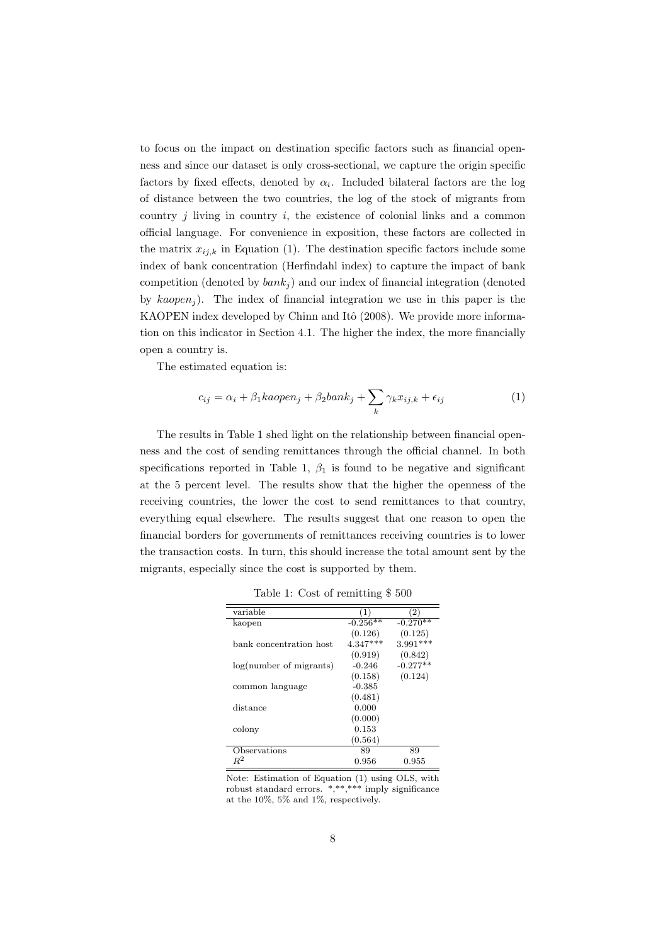to focus on the impact on destination specific factors such as financial openness and since our dataset is only cross-sectional, we capture the origin specific factors by fixed effects, denoted by  $\alpha_i$ . Included bilateral factors are the log of distance between the two countries, the log of the stock of migrants from country  $j$  living in country  $i$ , the existence of colonial links and a common official language. For convenience in exposition, these factors are collected in the matrix  $x_{ij,k}$  in Equation (1). The destination specific factors include some index of bank concentration (Herfindahl index) to capture the impact of bank competition (denoted by  $bank_i$ ) and our index of financial integration (denoted by  $kaopen_j$ ). The index of financial integration we use in this paper is the KAOPEN index developed by Chinn and Itô  $(2008)$ . We provide more information on this indicator in Section 4.1. The higher the index, the more financially open a country is.

The estimated equation is:

$$
c_{ij} = \alpha_i + \beta_1 kaopen_j + \beta_2 bank_j + \sum_k \gamma_k x_{ij,k} + \epsilon_{ij}
$$
 (1)

The results in Table 1 shed light on the relationship between financial openness and the cost of sending remittances through the official channel. In both specifications reported in Table 1,  $\beta_1$  is found to be negative and significant at the 5 percent level. The results show that the higher the openness of the receiving countries, the lower the cost to send remittances to that country, everything equal elsewhere. The results suggest that one reason to open the financial borders for governments of remittances receiving countries is to lower the transaction costs. In turn, this should increase the total amount sent by the migrants, especially since the cost is supported by them.

Table 1: Cost of remitting \$ 500

| variable                | (1)        | $\left( 2\right)$ |
|-------------------------|------------|-------------------|
| kaopen                  | $-0.256**$ | $-0.270**$        |
|                         | (0.126)    | (0.125)           |
| bank concentration host | $4.347***$ | $3.991***$        |
|                         | (0.919)    | (0.842)           |
| log(number of migrants) | $-0.246$   | $-0.277**$        |
|                         | (0.158)    | (0.124)           |
| common language         | $-0.385$   |                   |
|                         | (0.481)    |                   |
| distance                | 0.000      |                   |
|                         | (0.000)    |                   |
| colony                  | 0.153      |                   |
|                         | (0.564)    |                   |
| Observations            | 89         | 89                |
|                         | 0.956      | 0.955             |

Note: Estimation of Equation (1) using OLS, with robust standard errors. \*,\*\*,\*\*\* imply significance at the 10%, 5% and 1%, respectively.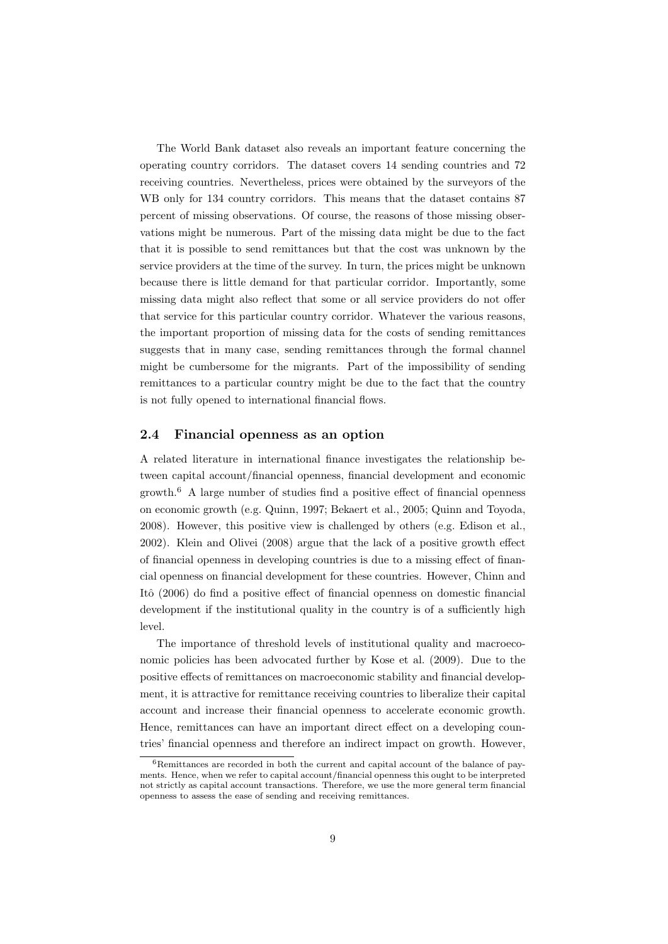The World Bank dataset also reveals an important feature concerning the operating country corridors. The dataset covers 14 sending countries and 72 receiving countries. Nevertheless, prices were obtained by the surveyors of the WB only for 134 country corridors. This means that the dataset contains 87 percent of missing observations. Of course, the reasons of those missing observations might be numerous. Part of the missing data might be due to the fact that it is possible to send remittances but that the cost was unknown by the service providers at the time of the survey. In turn, the prices might be unknown because there is little demand for that particular corridor. Importantly, some missing data might also reflect that some or all service providers do not offer that service for this particular country corridor. Whatever the various reasons, the important proportion of missing data for the costs of sending remittances suggests that in many case, sending remittances through the formal channel might be cumbersome for the migrants. Part of the impossibility of sending remittances to a particular country might be due to the fact that the country is not fully opened to international financial flows.

#### 2.4 Financial openness as an option

A related literature in international finance investigates the relationship between capital account/financial openness, financial development and economic growth.<sup>6</sup> A large number of studies find a positive effect of financial openness on economic growth (e.g. Quinn, 1997; Bekaert et al., 2005; Quinn and Toyoda, 2008). However, this positive view is challenged by others (e.g. Edison et al., 2002). Klein and Olivei (2008) argue that the lack of a positive growth effect of financial openness in developing countries is due to a missing effect of financial openness on financial development for these countries. However, Chinn and Itô (2006) do find a positive effect of financial openness on domestic financial development if the institutional quality in the country is of a sufficiently high level.

The importance of threshold levels of institutional quality and macroeconomic policies has been advocated further by Kose et al. (2009). Due to the positive effects of remittances on macroeconomic stability and financial development, it is attractive for remittance receiving countries to liberalize their capital account and increase their financial openness to accelerate economic growth. Hence, remittances can have an important direct effect on a developing countries' financial openness and therefore an indirect impact on growth. However,

 $6$ Remittances are recorded in both the current and capital account of the balance of payments. Hence, when we refer to capital account/financial openness this ought to be interpreted not strictly as capital account transactions. Therefore, we use the more general term financial openness to assess the ease of sending and receiving remittances.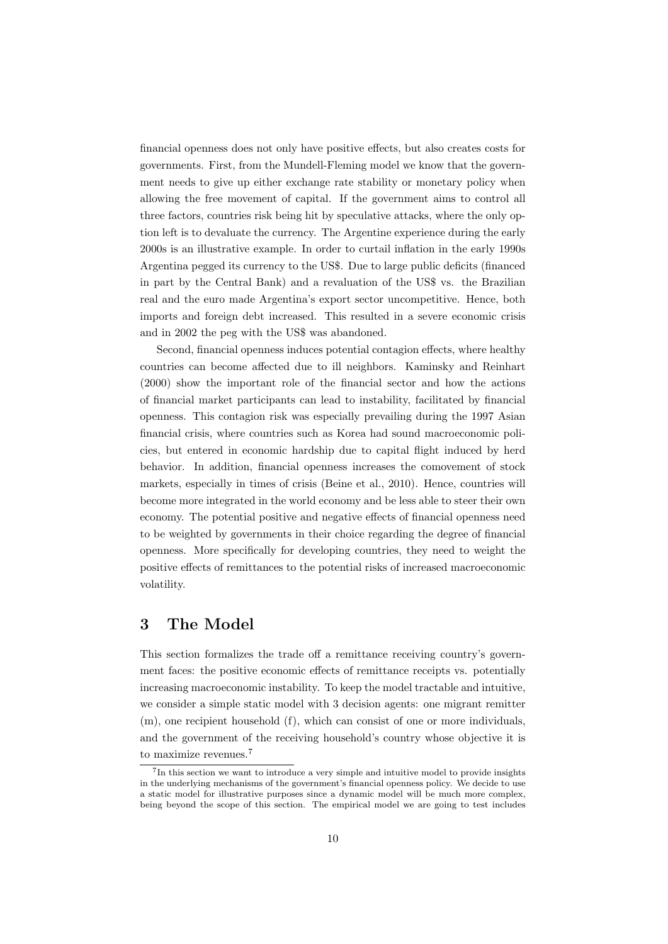financial openness does not only have positive effects, but also creates costs for governments. First, from the Mundell-Fleming model we know that the government needs to give up either exchange rate stability or monetary policy when allowing the free movement of capital. If the government aims to control all three factors, countries risk being hit by speculative attacks, where the only option left is to devaluate the currency. The Argentine experience during the early 2000s is an illustrative example. In order to curtail inflation in the early 1990s Argentina pegged its currency to the US\$. Due to large public deficits (financed in part by the Central Bank) and a revaluation of the US\$ vs. the Brazilian real and the euro made Argentina's export sector uncompetitive. Hence, both imports and foreign debt increased. This resulted in a severe economic crisis and in 2002 the peg with the US\$ was abandoned.

Second, financial openness induces potential contagion effects, where healthy countries can become affected due to ill neighbors. Kaminsky and Reinhart (2000) show the important role of the financial sector and how the actions of financial market participants can lead to instability, facilitated by financial openness. This contagion risk was especially prevailing during the 1997 Asian financial crisis, where countries such as Korea had sound macroeconomic policies, but entered in economic hardship due to capital flight induced by herd behavior. In addition, financial openness increases the comovement of stock markets, especially in times of crisis (Beine et al., 2010). Hence, countries will become more integrated in the world economy and be less able to steer their own economy. The potential positive and negative effects of financial openness need to be weighted by governments in their choice regarding the degree of financial openness. More specifically for developing countries, they need to weight the positive effects of remittances to the potential risks of increased macroeconomic volatility.

## 3 The Model

This section formalizes the trade off a remittance receiving country's government faces: the positive economic effects of remittance receipts vs. potentially increasing macroeconomic instability. To keep the model tractable and intuitive, we consider a simple static model with 3 decision agents: one migrant remitter (m), one recipient household (f), which can consist of one or more individuals, and the government of the receiving household's country whose objective it is to maximize revenues.<sup>7</sup>

<sup>&</sup>lt;sup>7</sup>In this section we want to introduce a very simple and intuitive model to provide insights in the underlying mechanisms of the government's financial openness policy. We decide to use a static model for illustrative purposes since a dynamic model will be much more complex, being beyond the scope of this section. The empirical model we are going to test includes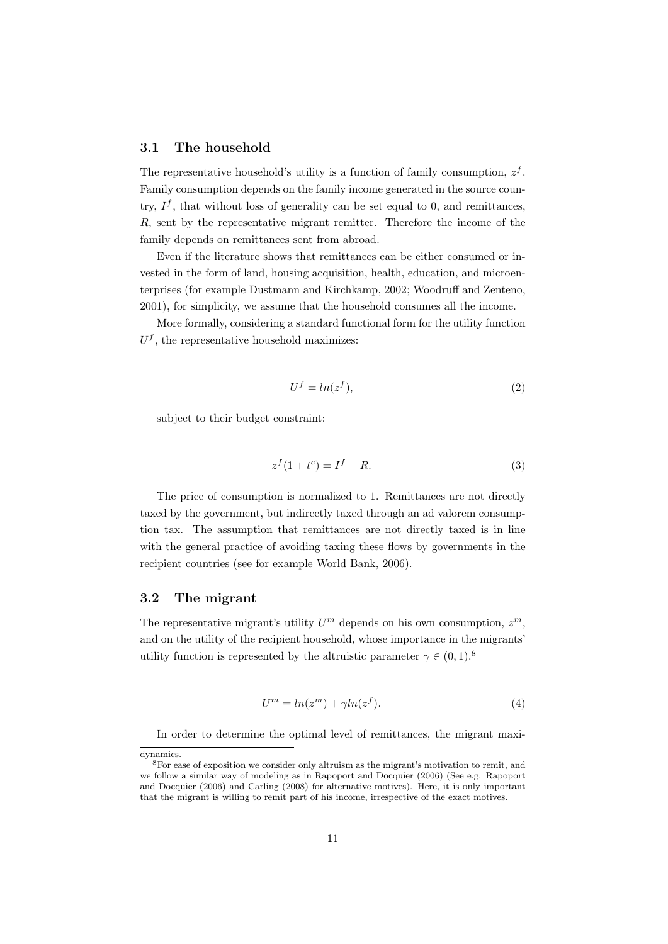#### 3.1 The household

The representative household's utility is a function of family consumption,  $z<sup>f</sup>$ . Family consumption depends on the family income generated in the source country,  $I^f$ , that without loss of generality can be set equal to 0, and remittances,  $R$ , sent by the representative migrant remitter. Therefore the income of the family depends on remittances sent from abroad.

Even if the literature shows that remittances can be either consumed or invested in the form of land, housing acquisition, health, education, and microenterprises (for example Dustmann and Kirchkamp, 2002; Woodruff and Zenteno, 2001), for simplicity, we assume that the household consumes all the income.

More formally, considering a standard functional form for the utility function  $U<sup>f</sup>$ , the representative household maximizes:

$$
U^f = \ln(z^f),\tag{2}
$$

subject to their budget constraint:

$$
z^f(1+t^c) = I^f + R.\tag{3}
$$

The price of consumption is normalized to 1. Remittances are not directly taxed by the government, but indirectly taxed through an ad valorem consumption tax. The assumption that remittances are not directly taxed is in line with the general practice of avoiding taxing these flows by governments in the recipient countries (see for example World Bank, 2006).

### 3.2 The migrant

The representative migrant's utility  $U^m$  depends on his own consumption,  $z^m$ , and on the utility of the recipient household, whose importance in the migrants' utility function is represented by the altruistic parameter  $\gamma \in (0,1)$ .<sup>8</sup>

$$
U^m = \ln(z^m) + \gamma \ln(z^f). \tag{4}
$$

In order to determine the optimal level of remittances, the migrant maxi-

dynamics.

<sup>8</sup>For ease of exposition we consider only altruism as the migrant's motivation to remit, and we follow a similar way of modeling as in Rapoport and Docquier (2006) (See e.g. Rapoport and Docquier (2006) and Carling (2008) for alternative motives). Here, it is only important that the migrant is willing to remit part of his income, irrespective of the exact motives.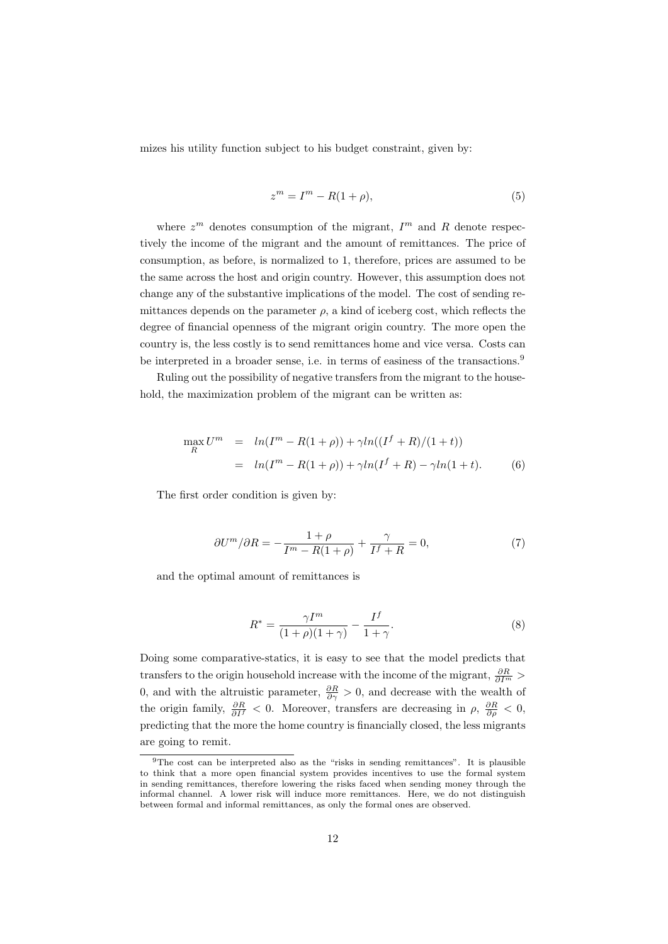mizes his utility function subject to his budget constraint, given by:

$$
z^m = I^m - R(1+\rho),\tag{5}
$$

where  $z^m$  denotes consumption of the migrant,  $I^m$  and R denote respectively the income of the migrant and the amount of remittances. The price of consumption, as before, is normalized to 1, therefore, prices are assumed to be the same across the host and origin country. However, this assumption does not change any of the substantive implications of the model. The cost of sending remittances depends on the parameter  $\rho$ , a kind of iceberg cost, which reflects the degree of financial openness of the migrant origin country. The more open the country is, the less costly is to send remittances home and vice versa. Costs can be interpreted in a broader sense, i.e. in terms of easiness of the transactions.<sup>9</sup>

Ruling out the possibility of negative transfers from the migrant to the household, the maximization problem of the migrant can be written as:

$$
\max_{R} U^{m} = ln(I^{m} - R(1 + \rho)) + \gamma ln((I^{f} + R)/(1 + t))
$$
  
= ln(I^{m} - R(1 + \rho)) + \gamma ln(I^{f} + R) - \gamma ln(1 + t). (6)

The first order condition is given by:

$$
\partial U^m / \partial R = -\frac{1+\rho}{I^m - R(1+\rho)} + \frac{\gamma}{I^f + R} = 0,\tag{7}
$$

and the optimal amount of remittances is

$$
R^* = \frac{\gamma I^m}{(1+\rho)(1+\gamma)} - \frac{I^f}{1+\gamma}.
$$
 (8)

Doing some comparative-statics, it is easy to see that the model predicts that transfers to the origin household increase with the income of the migrant,  $\frac{\partial R}{\partial I^m}$  > 0, and with the altruistic parameter,  $\frac{\partial R}{\partial \gamma} > 0$ , and decrease with the wealth of the origin family,  $\frac{\partial R}{\partial I^f} < 0$ . Moreover, transfers are decreasing in  $\rho$ ,  $\frac{\partial R}{\partial \rho} < 0$ , predicting that the more the home country is financially closed, the less migrants are going to remit.

<sup>9</sup>The cost can be interpreted also as the "risks in sending remittances". It is plausible to think that a more open financial system provides incentives to use the formal system in sending remittances, therefore lowering the risks faced when sending money through the informal channel. A lower risk will induce more remittances. Here, we do not distinguish between formal and informal remittances, as only the formal ones are observed.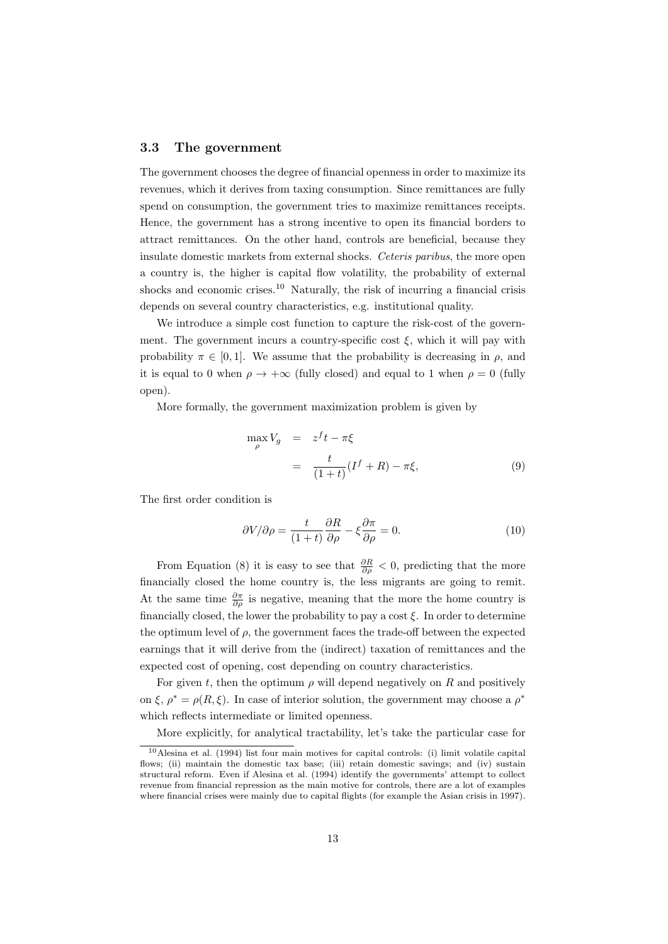#### 3.3 The government

The government chooses the degree of financial openness in order to maximize its revenues, which it derives from taxing consumption. Since remittances are fully spend on consumption, the government tries to maximize remittances receipts. Hence, the government has a strong incentive to open its financial borders to attract remittances. On the other hand, controls are beneficial, because they insulate domestic markets from external shocks. Ceteris paribus, the more open a country is, the higher is capital flow volatility, the probability of external shocks and economic crises.<sup>10</sup> Naturally, the risk of incurring a financial crisis depends on several country characteristics, e.g. institutional quality.

We introduce a simple cost function to capture the risk-cost of the government. The government incurs a country-specific cost  $\xi$ , which it will pay with probability  $\pi \in [0, 1]$ . We assume that the probability is decreasing in  $\rho$ , and it is equal to 0 when  $\rho \rightarrow +\infty$  (fully closed) and equal to 1 when  $\rho = 0$  (fully open).

More formally, the government maximization problem is given by

$$
\max_{\rho} V_g = z^f t - \pi \xi
$$
  
= 
$$
\frac{t}{(1+t)} (I^f + R) - \pi \xi,
$$
 (9)

The first order condition is

$$
\frac{\partial V}{\partial \rho} = \frac{t}{(1+t)} \frac{\partial R}{\partial \rho} - \xi \frac{\partial \pi}{\partial \rho} = 0.
$$
 (10)

From Equation (8) it is easy to see that  $\frac{\partial R}{\partial \rho} < 0$ , predicting that the more financially closed the home country is, the less migrants are going to remit. At the same time  $\frac{\partial \pi}{\partial \rho}$  is negative, meaning that the more the home country is financially closed, the lower the probability to pay a cost  $\xi$ . In order to determine the optimum level of  $\rho$ , the government faces the trade-off between the expected earnings that it will derive from the (indirect) taxation of remittances and the expected cost of opening, cost depending on country characteristics.

For given t, then the optimum  $\rho$  will depend negatively on R and positively on  $\xi$ ,  $\rho^* = \rho(R, \xi)$ . In case of interior solution, the government may choose a  $\rho^*$ which reflects intermediate or limited openness.

More explicitly, for analytical tractability, let's take the particular case for

<sup>10</sup>Alesina et al. (1994) list four main motives for capital controls: (i) limit volatile capital flows; (ii) maintain the domestic tax base; (iii) retain domestic savings; and (iv) sustain structural reform. Even if Alesina et al. (1994) identify the governments' attempt to collect revenue from financial repression as the main motive for controls, there are a lot of examples where financial crises were mainly due to capital flights (for example the Asian crisis in 1997).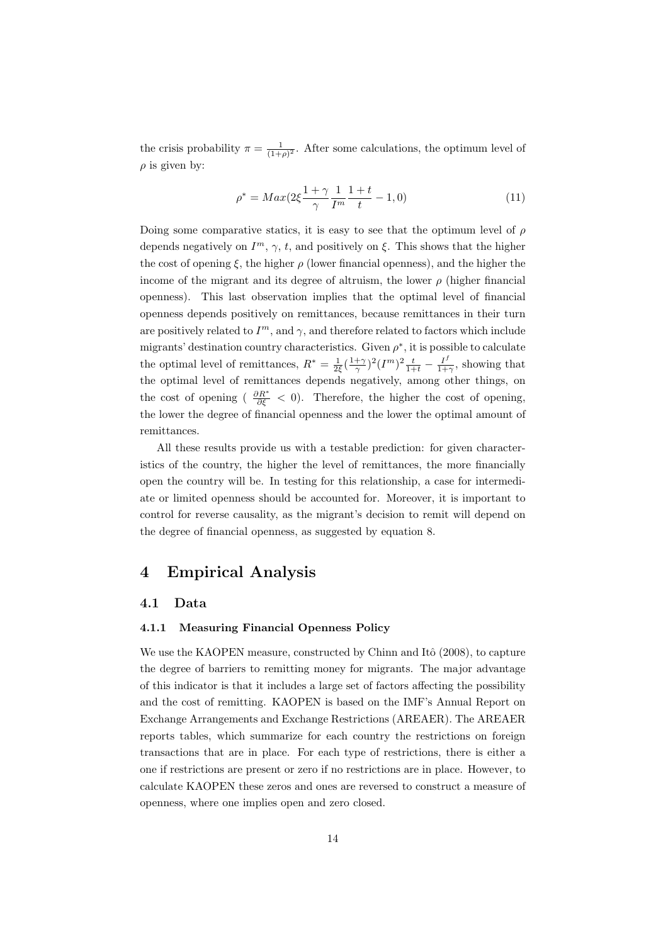the crisis probability  $\pi = \frac{1}{(1+\rho)^2}$ . After some calculations, the optimum level of  $\rho$  is given by:

$$
\rho^* = Max(2\xi \frac{1+\gamma}{\gamma} \frac{1}{I^m} \frac{1+t}{t} - 1, 0)
$$
\n(11)

Doing some comparative statics, it is easy to see that the optimum level of  $\rho$ depends negatively on  $I^m$ ,  $\gamma$ , t, and positively on  $\xi$ . This shows that the higher the cost of opening  $\xi$ , the higher  $\rho$  (lower financial openness), and the higher the income of the migrant and its degree of altruism, the lower  $\rho$  (higher financial openness). This last observation implies that the optimal level of financial openness depends positively on remittances, because remittances in their turn are positively related to  $I<sup>m</sup>$ , and  $\gamma$ , and therefore related to factors which include migrants' destination country characteristics. Given  $\rho^*$ , it is possible to calculate the optimal level of remittances,  $R^* = \frac{1}{2\xi}(\frac{1+\gamma}{\gamma})^2 (I^m)^2 \frac{t}{1+t} - \frac{I^f}{1+t}$  $\frac{I'}{1+\gamma}$ , showing that the optimal level of remittances depends negatively, among other things, on the cost of opening (  $\frac{\partial R^*}{\partial \xi} < 0$ ). Therefore, the higher the cost of opening, the lower the degree of financial openness and the lower the optimal amount of remittances.

All these results provide us with a testable prediction: for given characteristics of the country, the higher the level of remittances, the more financially open the country will be. In testing for this relationship, a case for intermediate or limited openness should be accounted for. Moreover, it is important to control for reverse causality, as the migrant's decision to remit will depend on the degree of financial openness, as suggested by equation 8.

## 4 Empirical Analysis

#### 4.1 Data

#### 4.1.1 Measuring Financial Openness Policy

We use the KAOPEN measure, constructed by Chinn and Itô  $(2008)$ , to capture the degree of barriers to remitting money for migrants. The major advantage of this indicator is that it includes a large set of factors affecting the possibility and the cost of remitting. KAOPEN is based on the IMF's Annual Report on Exchange Arrangements and Exchange Restrictions (AREAER). The AREAER reports tables, which summarize for each country the restrictions on foreign transactions that are in place. For each type of restrictions, there is either a one if restrictions are present or zero if no restrictions are in place. However, to calculate KAOPEN these zeros and ones are reversed to construct a measure of openness, where one implies open and zero closed.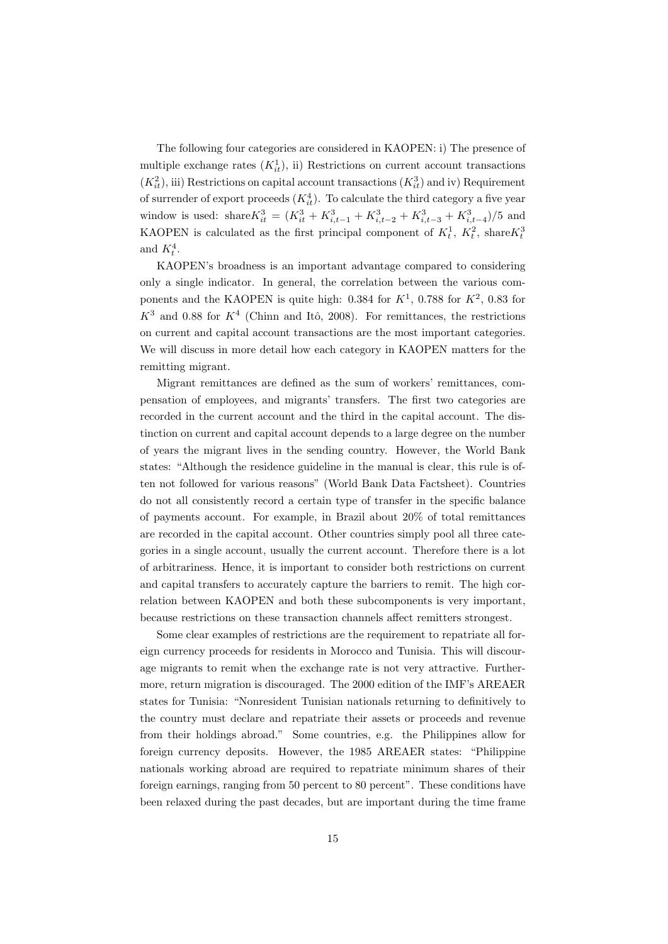The following four categories are considered in KAOPEN: i) The presence of multiple exchange rates  $(K_{it}^1)$ , ii) Restrictions on current account transactions  $(K_{it}^2)$ , iii) Restrictions on capital account transactions  $(K_{it}^3)$  and iv) Requirement of surrender of export proceeds  $(K_{it}^4)$ . To calculate the third category a five year window is used: share $K_{it}^3 = (K_{it}^3 + K_{i,t-1}^3 + K_{i,t-2}^3 + K_{i,t-3}^3 + K_{i,t-4}^3)/5$  and KAOPEN is calculated as the first principal component of  $K_t^1$ ,  $K_t^2$ , share  $K_t^3$ and  $K_t^4$ .

KAOPEN's broadness is an important advantage compared to considering only a single indicator. In general, the correlation between the various components and the KAOPEN is quite high: 0.384 for  $K^1$ , 0.788 for  $K^2$ , 0.83 for  $K^3$  and 0.88 for  $K^4$  (Chinn and Itô, 2008). For remittances, the restrictions on current and capital account transactions are the most important categories. We will discuss in more detail how each category in KAOPEN matters for the remitting migrant.

Migrant remittances are defined as the sum of workers' remittances, compensation of employees, and migrants' transfers. The first two categories are recorded in the current account and the third in the capital account. The distinction on current and capital account depends to a large degree on the number of years the migrant lives in the sending country. However, the World Bank states: "Although the residence guideline in the manual is clear, this rule is often not followed for various reasons" (World Bank Data Factsheet). Countries do not all consistently record a certain type of transfer in the specific balance of payments account. For example, in Brazil about 20% of total remittances are recorded in the capital account. Other countries simply pool all three categories in a single account, usually the current account. Therefore there is a lot of arbitrariness. Hence, it is important to consider both restrictions on current and capital transfers to accurately capture the barriers to remit. The high correlation between KAOPEN and both these subcomponents is very important, because restrictions on these transaction channels affect remitters strongest.

Some clear examples of restrictions are the requirement to repatriate all foreign currency proceeds for residents in Morocco and Tunisia. This will discourage migrants to remit when the exchange rate is not very attractive. Furthermore, return migration is discouraged. The 2000 edition of the IMF's AREAER states for Tunisia: "Nonresident Tunisian nationals returning to definitively to the country must declare and repatriate their assets or proceeds and revenue from their holdings abroad." Some countries, e.g. the Philippines allow for foreign currency deposits. However, the 1985 AREAER states: "Philippine nationals working abroad are required to repatriate minimum shares of their foreign earnings, ranging from 50 percent to 80 percent". These conditions have been relaxed during the past decades, but are important during the time frame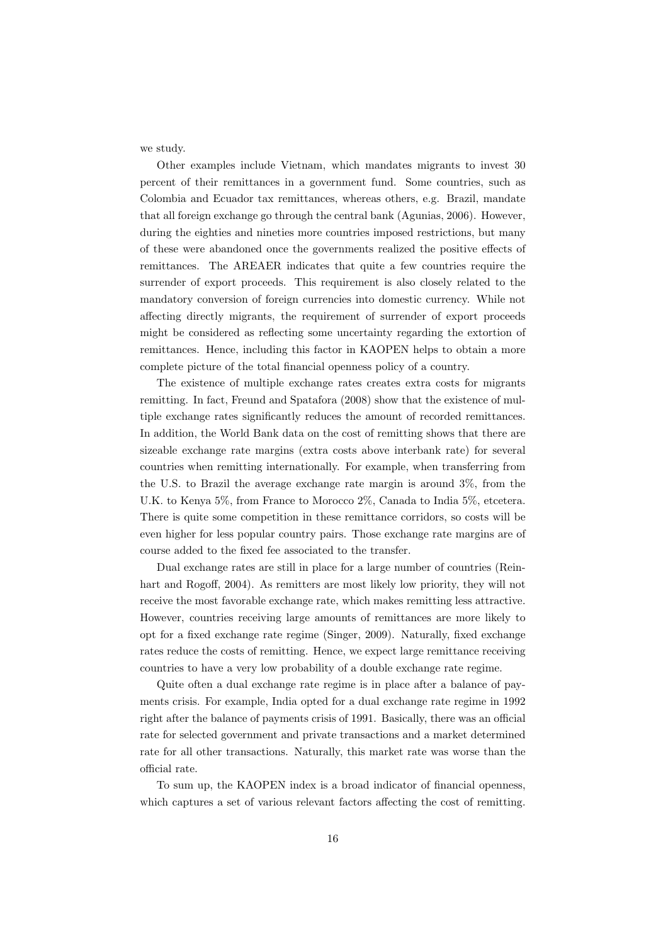we study.

Other examples include Vietnam, which mandates migrants to invest 30 percent of their remittances in a government fund. Some countries, such as Colombia and Ecuador tax remittances, whereas others, e.g. Brazil, mandate that all foreign exchange go through the central bank (Agunias, 2006). However, during the eighties and nineties more countries imposed restrictions, but many of these were abandoned once the governments realized the positive effects of remittances. The AREAER indicates that quite a few countries require the surrender of export proceeds. This requirement is also closely related to the mandatory conversion of foreign currencies into domestic currency. While not affecting directly migrants, the requirement of surrender of export proceeds might be considered as reflecting some uncertainty regarding the extortion of remittances. Hence, including this factor in KAOPEN helps to obtain a more complete picture of the total financial openness policy of a country.

The existence of multiple exchange rates creates extra costs for migrants remitting. In fact, Freund and Spatafora (2008) show that the existence of multiple exchange rates significantly reduces the amount of recorded remittances. In addition, the World Bank data on the cost of remitting shows that there are sizeable exchange rate margins (extra costs above interbank rate) for several countries when remitting internationally. For example, when transferring from the U.S. to Brazil the average exchange rate margin is around 3%, from the U.K. to Kenya 5%, from France to Morocco 2%, Canada to India 5%, etcetera. There is quite some competition in these remittance corridors, so costs will be even higher for less popular country pairs. Those exchange rate margins are of course added to the fixed fee associated to the transfer.

Dual exchange rates are still in place for a large number of countries (Reinhart and Rogoff, 2004). As remitters are most likely low priority, they will not receive the most favorable exchange rate, which makes remitting less attractive. However, countries receiving large amounts of remittances are more likely to opt for a fixed exchange rate regime (Singer, 2009). Naturally, fixed exchange rates reduce the costs of remitting. Hence, we expect large remittance receiving countries to have a very low probability of a double exchange rate regime.

Quite often a dual exchange rate regime is in place after a balance of payments crisis. For example, India opted for a dual exchange rate regime in 1992 right after the balance of payments crisis of 1991. Basically, there was an official rate for selected government and private transactions and a market determined rate for all other transactions. Naturally, this market rate was worse than the official rate.

To sum up, the KAOPEN index is a broad indicator of financial openness, which captures a set of various relevant factors affecting the cost of remitting.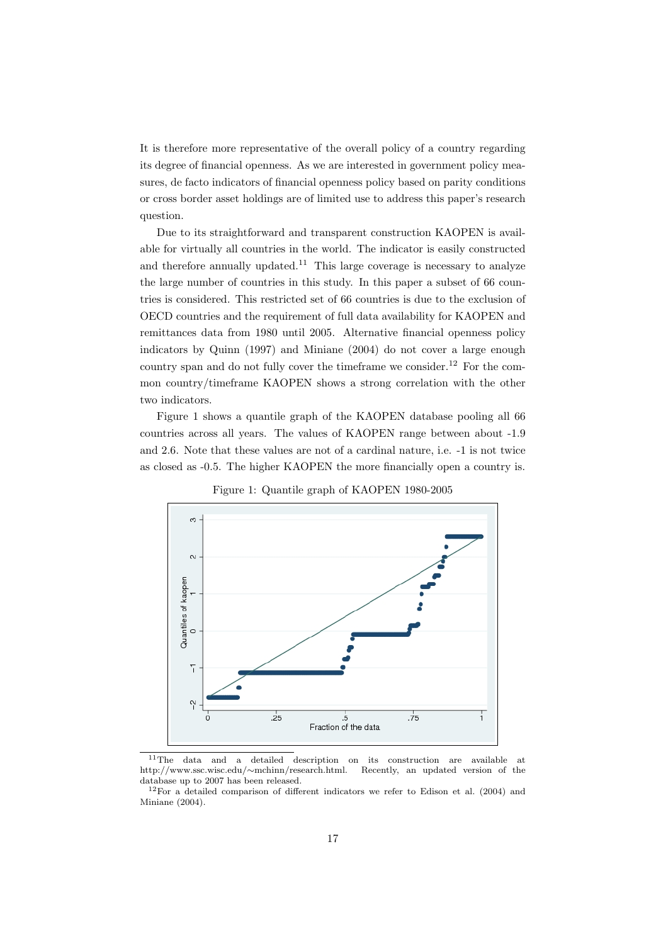It is therefore more representative of the overall policy of a country regarding its degree of financial openness. As we are interested in government policy measures, de facto indicators of financial openness policy based on parity conditions or cross border asset holdings are of limited use to address this paper's research question.

Due to its straightforward and transparent construction KAOPEN is available for virtually all countries in the world. The indicator is easily constructed and therefore annually updated.<sup>11</sup> This large coverage is necessary to analyze the large number of countries in this study. In this paper a subset of 66 countries is considered. This restricted set of 66 countries is due to the exclusion of OECD countries and the requirement of full data availability for KAOPEN and remittances data from 1980 until 2005. Alternative financial openness policy indicators by Quinn (1997) and Miniane (2004) do not cover a large enough country span and do not fully cover the timeframe we consider.<sup>12</sup> For the common country/timeframe KAOPEN shows a strong correlation with the other two indicators.

Figure 1 shows a quantile graph of the KAOPEN database pooling all 66 countries across all years. The values of KAOPEN range between about -1.9 and 2.6. Note that these values are not of a cardinal nature, i.e. -1 is not twice as closed as -0.5. The higher KAOPEN the more financially open a country is.



Figure 1: Quantile graph of KAOPEN 1980-2005

<sup>&</sup>lt;sup>11</sup>The data and a detailed description on its construction are available at http://www.ssc.wisc.edu/∼mchinn/research.html. Recently, an updated version of the database up to 2007 has been released.

 $12$ For a detailed comparison of different indicators we refer to Edison et al. (2004) and Miniane (2004).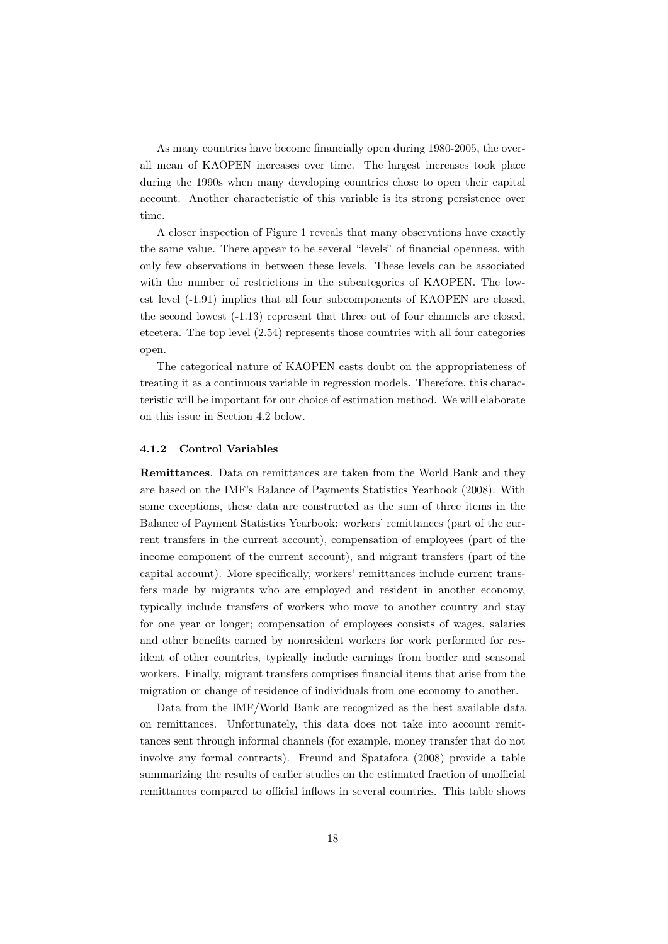As many countries have become financially open during 1980-2005, the overall mean of KAOPEN increases over time. The largest increases took place during the 1990s when many developing countries chose to open their capital account. Another characteristic of this variable is its strong persistence over time.

A closer inspection of Figure 1 reveals that many observations have exactly the same value. There appear to be several "levels" of financial openness, with only few observations in between these levels. These levels can be associated with the number of restrictions in the subcategories of KAOPEN. The lowest level (-1.91) implies that all four subcomponents of KAOPEN are closed, the second lowest (-1.13) represent that three out of four channels are closed, etcetera. The top level (2.54) represents those countries with all four categories open.

The categorical nature of KAOPEN casts doubt on the appropriateness of treating it as a continuous variable in regression models. Therefore, this characteristic will be important for our choice of estimation method. We will elaborate on this issue in Section 4.2 below.

#### 4.1.2 Control Variables

Remittances. Data on remittances are taken from the World Bank and they are based on the IMF's Balance of Payments Statistics Yearbook (2008). With some exceptions, these data are constructed as the sum of three items in the Balance of Payment Statistics Yearbook: workers' remittances (part of the current transfers in the current account), compensation of employees (part of the income component of the current account), and migrant transfers (part of the capital account). More specifically, workers' remittances include current transfers made by migrants who are employed and resident in another economy, typically include transfers of workers who move to another country and stay for one year or longer; compensation of employees consists of wages, salaries and other benefits earned by nonresident workers for work performed for resident of other countries, typically include earnings from border and seasonal workers. Finally, migrant transfers comprises financial items that arise from the migration or change of residence of individuals from one economy to another.

Data from the IMF/World Bank are recognized as the best available data on remittances. Unfortunately, this data does not take into account remittances sent through informal channels (for example, money transfer that do not involve any formal contracts). Freund and Spatafora (2008) provide a table summarizing the results of earlier studies on the estimated fraction of unofficial remittances compared to official inflows in several countries. This table shows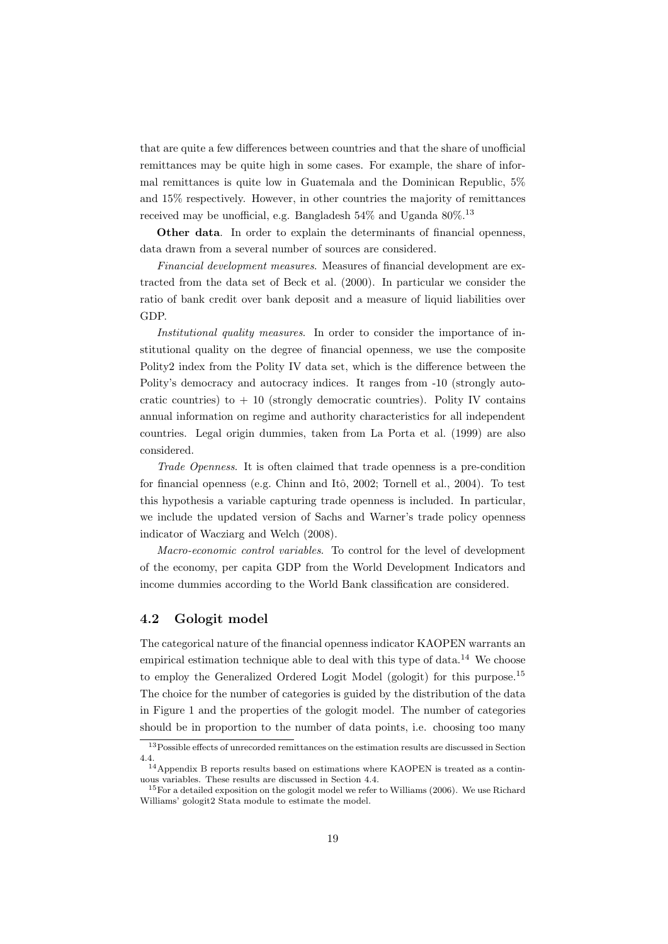that are quite a few differences between countries and that the share of unofficial remittances may be quite high in some cases. For example, the share of informal remittances is quite low in Guatemala and the Dominican Republic, 5% and 15% respectively. However, in other countries the majority of remittances received may be unofficial, e.g. Bangladesh  $54\%$  and Uganda  $80\%$ <sup>13</sup>

Other data. In order to explain the determinants of financial openness, data drawn from a several number of sources are considered.

Financial development measures. Measures of financial development are extracted from the data set of Beck et al. (2000). In particular we consider the ratio of bank credit over bank deposit and a measure of liquid liabilities over GDP.

Institutional quality measures. In order to consider the importance of institutional quality on the degree of financial openness, we use the composite Polity2 index from the Polity IV data set, which is the difference between the Polity's democracy and autocracy indices. It ranges from -10 (strongly autocratic countries) to  $+10$  (strongly democratic countries). Polity IV contains annual information on regime and authority characteristics for all independent countries. Legal origin dummies, taken from La Porta et al. (1999) are also considered.

Trade Openness. It is often claimed that trade openness is a pre-condition for financial openness (e.g. Chinn and Itô, 2002; Tornell et al., 2004). To test this hypothesis a variable capturing trade openness is included. In particular, we include the updated version of Sachs and Warner's trade policy openness indicator of Wacziarg and Welch (2008).

Macro-economic control variables. To control for the level of development of the economy, per capita GDP from the World Development Indicators and income dummies according to the World Bank classification are considered.

## 4.2 Gologit model

The categorical nature of the financial openness indicator KAOPEN warrants an empirical estimation technique able to deal with this type of data.<sup>14</sup> We choose to employ the Generalized Ordered Logit Model (gologit) for this purpose.<sup>15</sup> The choice for the number of categories is guided by the distribution of the data in Figure 1 and the properties of the gologit model. The number of categories should be in proportion to the number of data points, i.e. choosing too many

<sup>&</sup>lt;sup>13</sup>Possible effects of unrecorded remittances on the estimation results are discussed in Section 4.4.

<sup>14</sup>Appendix B reports results based on estimations where KAOPEN is treated as a continuous variables. These results are discussed in Section 4.4.

 $15$  For a detailed exposition on the gologit model we refer to Williams (2006). We use Richard Williams' gologit2 Stata module to estimate the model.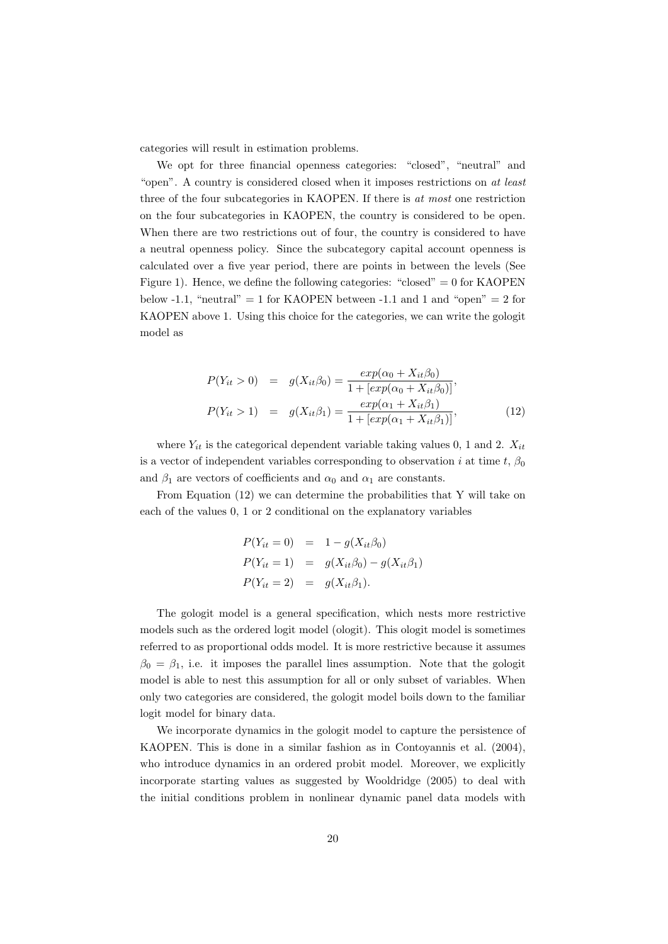categories will result in estimation problems.

We opt for three financial openness categories: "closed", "neutral" and "open". A country is considered closed when it imposes restrictions on at least three of the four subcategories in KAOPEN. If there is at most one restriction on the four subcategories in KAOPEN, the country is considered to be open. When there are two restrictions out of four, the country is considered to have a neutral openness policy. Since the subcategory capital account openness is calculated over a five year period, there are points in between the levels (See Figure 1). Hence, we define the following categories: "closed"  $= 0$  for KAOPEN below -1.1, "neutral"  $= 1$  for KAOPEN between -1.1 and 1 and "open"  $= 2$  for KAOPEN above 1. Using this choice for the categories, we can write the gologit model as

$$
P(Y_{it} > 0) = g(X_{it}\beta_0) = \frac{exp(\alpha_0 + X_{it}\beta_0)}{1 + [exp(\alpha_0 + X_{it}\beta_0)]},
$$
  

$$
P(Y_{it} > 1) = g(X_{it}\beta_1) = \frac{exp(\alpha_1 + X_{it}\beta_1)}{1 + [exp(\alpha_1 + X_{it}\beta_1)]},
$$
(12)

where  $Y_{it}$  is the categorical dependent variable taking values 0, 1 and 2.  $X_{it}$ is a vector of independent variables corresponding to observation i at time t,  $\beta_0$ and  $\beta_1$  are vectors of coefficients and  $\alpha_0$  and  $\alpha_1$  are constants.

From Equation (12) we can determine the probabilities that Y will take on each of the values 0, 1 or 2 conditional on the explanatory variables

$$
P(Y_{it} = 0) = 1 - g(X_{it}\beta_0)
$$
  
\n
$$
P(Y_{it} = 1) = g(X_{it}\beta_0) - g(X_{it}\beta_1)
$$
  
\n
$$
P(Y_{it} = 2) = g(X_{it}\beta_1).
$$

The gologit model is a general specification, which nests more restrictive models such as the ordered logit model (ologit). This ologit model is sometimes referred to as proportional odds model. It is more restrictive because it assumes  $\beta_0 = \beta_1$ , i.e. it imposes the parallel lines assumption. Note that the gologit model is able to nest this assumption for all or only subset of variables. When only two categories are considered, the gologit model boils down to the familiar logit model for binary data.

We incorporate dynamics in the gologit model to capture the persistence of KAOPEN. This is done in a similar fashion as in Contoyannis et al. (2004), who introduce dynamics in an ordered probit model. Moreover, we explicitly incorporate starting values as suggested by Wooldridge (2005) to deal with the initial conditions problem in nonlinear dynamic panel data models with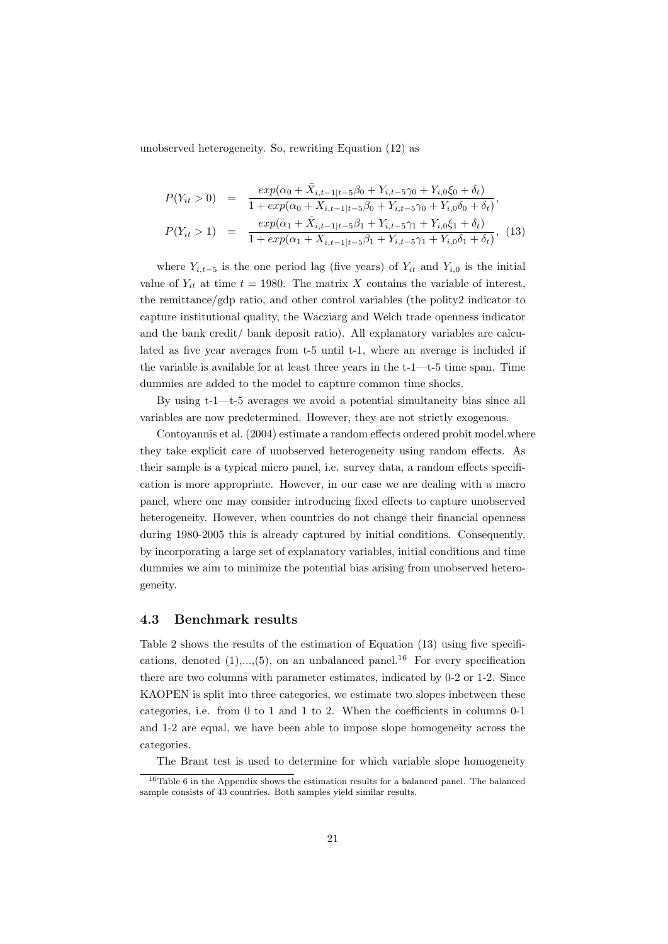unobserved heterogeneity. So, rewriting Equation (12) as

$$
P(Y_{it} > 0) = \frac{exp(\alpha_0 + \bar{X}_{i,t-1|t-5}\beta_0 + Y_{i,t-5}\gamma_0 + Y_{i,0}\xi_0 + \delta_t)}{1 + exp(\alpha_0 + X_{i,t-1|t-5}\beta_0 + Y_{i,t-5}\gamma_0 + Y_{i,0}\delta_0 + \delta_t)},
$$
  
\n
$$
P(Y_{it} > 1) = \frac{exp(\alpha_1 + \bar{X}_{i,t-1|t-5}\beta_1 + Y_{i,t-5}\gamma_1 + Y_{i,0}\xi_1 + \delta_t)}{1 + exp(\alpha_1 + X_{i,t-1|t-5}\beta_1 + Y_{i,t-5}\gamma_1 + Y_{i,0}\delta_1 + \delta_t)},
$$
(13)

where  $Y_{i,t-5}$  is the one period lag (five years) of  $Y_{it}$  and  $Y_{i,0}$  is the initial value of  $Y_{it}$  at time  $t = 1980$ . The matrix X contains the variable of interest, the remittance/gdp ratio, and other control variables (the polity2 indicator to capture institutional quality, the Wacziarg and Welch trade openness indicator and the bank credit/ bank deposit ratio). All explanatory variables are calculated as five year averages from t-5 until t-1, where an average is included if the variable is available for at least three years in the t-1—t-5 time span. Time dummies are added to the model to capture common time shocks.

By using t-1—t-5 averages we avoid a potential simultaneity bias since all variables are now predetermined. However, they are not strictly exogenous.

Contoyannis et al. (2004) estimate a random effects ordered probit model,where they take explicit care of unobserved heterogeneity using random effects. As their sample is a typical micro panel, i.e. survey data, a random effects specification is more appropriate. However, in our case we are dealing with a macro panel, where one may consider introducing fixed effects to capture unobserved heterogeneity. However, when countries do not change their financial openness during 1980-2005 this is already captured by initial conditions. Consequently, by incorporating a large set of explanatory variables, initial conditions and time dummies we aim to minimize the potential bias arising from unobserved heterogeneity.

### 4.3 Benchmark results

Table 2 shows the results of the estimation of Equation (13) using five specifications, denoted  $(1),...,(5)$ , on an unbalanced panel.<sup>16</sup> For every specification there are two columns with parameter estimates, indicated by 0-2 or 1-2. Since KAOPEN is split into three categories, we estimate two slopes inbetween these categories, i.e. from 0 to 1 and 1 to 2. When the coefficients in columns 0-1 and 1-2 are equal, we have been able to impose slope homogeneity across the categories.

The Brant test is used to determine for which variable slope homogeneity

 $^{16}\mathrm{Table}$ 6 in the Appendix shows the estimation results for a balanced panel. The balanced sample consists of 43 countries. Both samples yield similar results.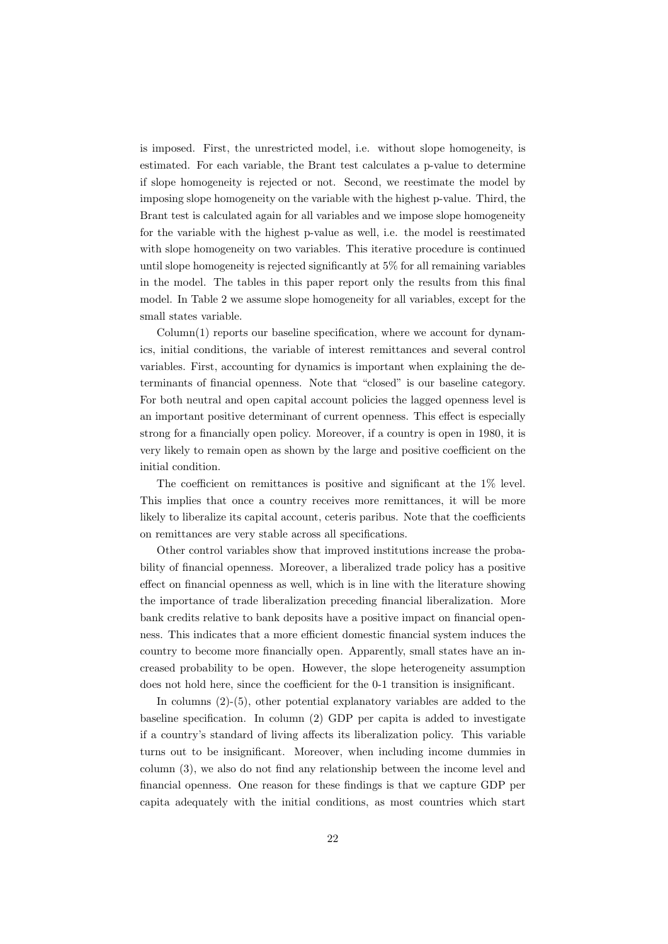is imposed. First, the unrestricted model, i.e. without slope homogeneity, is estimated. For each variable, the Brant test calculates a p-value to determine if slope homogeneity is rejected or not. Second, we reestimate the model by imposing slope homogeneity on the variable with the highest p-value. Third, the Brant test is calculated again for all variables and we impose slope homogeneity for the variable with the highest p-value as well, i.e. the model is reestimated with slope homogeneity on two variables. This iterative procedure is continued until slope homogeneity is rejected significantly at 5% for all remaining variables in the model. The tables in this paper report only the results from this final model. In Table 2 we assume slope homogeneity for all variables, except for the small states variable.

 $Column(1)$  reports our baseline specification, where we account for dynamics, initial conditions, the variable of interest remittances and several control variables. First, accounting for dynamics is important when explaining the determinants of financial openness. Note that "closed" is our baseline category. For both neutral and open capital account policies the lagged openness level is an important positive determinant of current openness. This effect is especially strong for a financially open policy. Moreover, if a country is open in 1980, it is very likely to remain open as shown by the large and positive coefficient on the initial condition.

The coefficient on remittances is positive and significant at the 1% level. This implies that once a country receives more remittances, it will be more likely to liberalize its capital account, ceteris paribus. Note that the coefficients on remittances are very stable across all specifications.

Other control variables show that improved institutions increase the probability of financial openness. Moreover, a liberalized trade policy has a positive effect on financial openness as well, which is in line with the literature showing the importance of trade liberalization preceding financial liberalization. More bank credits relative to bank deposits have a positive impact on financial openness. This indicates that a more efficient domestic financial system induces the country to become more financially open. Apparently, small states have an increased probability to be open. However, the slope heterogeneity assumption does not hold here, since the coefficient for the 0-1 transition is insignificant.

In columns (2)-(5), other potential explanatory variables are added to the baseline specification. In column (2) GDP per capita is added to investigate if a country's standard of living affects its liberalization policy. This variable turns out to be insignificant. Moreover, when including income dummies in column (3), we also do not find any relationship between the income level and financial openness. One reason for these findings is that we capture GDP per capita adequately with the initial conditions, as most countries which start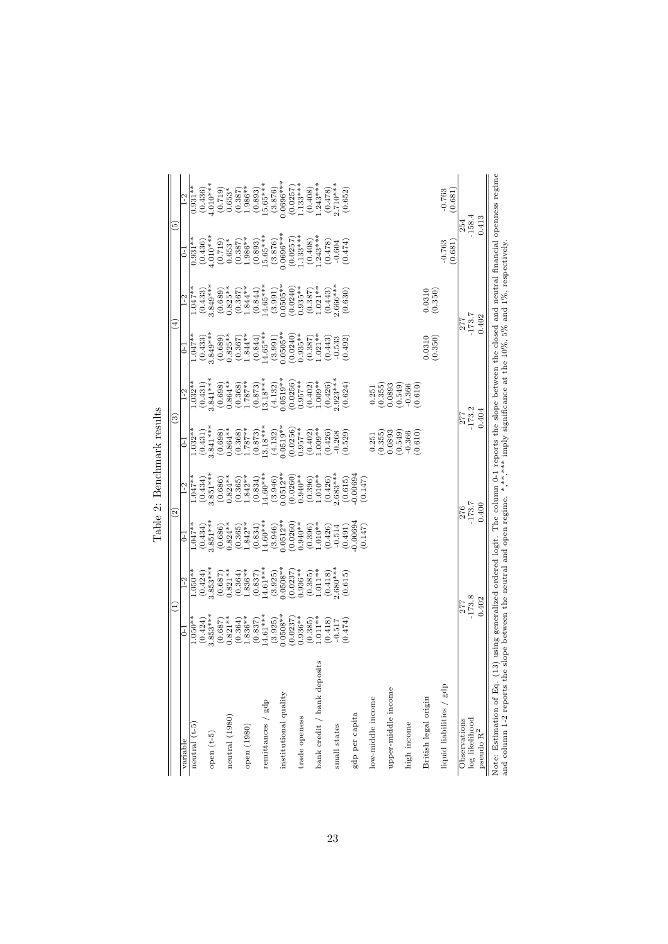|                                                                                                                                                                   |            | Ξ                                                                                                                               | $\widehat{c}$ |             | $\boxed{3}$                                       |            | ⊕                      |                   | [5]                   |                       |
|-------------------------------------------------------------------------------------------------------------------------------------------------------------------|------------|---------------------------------------------------------------------------------------------------------------------------------|---------------|-------------|---------------------------------------------------|------------|------------------------|-------------------|-----------------------|-----------------------|
| variable                                                                                                                                                          | $\Xi$      | $1-2$                                                                                                                           | $^{-1}$       | $1-2$       | $\overline{c}$                                    | $1-2$      | $\overline{c}$         | $1-2$             | 3                     | $1-2$                 |
| neutral $(t-5)$                                                                                                                                                   | $1.050**$  | $1.050**$                                                                                                                       | $-47**$       | $-47**$     | $1.032**$                                         | $-032**$   | $-47**$                | $-047**$          | $0.931**$             | $0.931**$             |
|                                                                                                                                                                   | (0.424)    | (0.424)                                                                                                                         | (0.434)       | (0.434)     | (0.431)                                           | (0.431)    | (0.433)                | (0.433)           | (0.436)               | (0.436)               |
| open $(t-5)$                                                                                                                                                      | $3.853***$ | $3.853***$                                                                                                                      | $3.851***$    | $3.851***$  | $3.841***$                                        | $3.841***$ | $3.849***$             | $3.849***$        | $4.010***$            | $4.010***$            |
|                                                                                                                                                                   | (0.687)    | (0.687)                                                                                                                         | (0.686)       | (0.686)     | (0.698)                                           | (0.698)    | $(0.689)$<br>$0.825**$ | (0.689)           | $(0.719)$<br>$0.653*$ | (0.719)               |
| neutral (1980)                                                                                                                                                    | $0.821**$  | $0.821**$                                                                                                                       | $0.824**$     | $0.824**$   | $0.864**$                                         | $0.864**$  |                        | $0.825**$         |                       | $0.653*$              |
|                                                                                                                                                                   | (0.364)    | (0.364)                                                                                                                         | (0.365)       | (0.365)     | $\begin{array}{c} (0.368) \\ 1.787** \end{array}$ | (0.368)    | (0.367)                | (0.367)           | $(0.387)$<br>1.986**  | (0.387)               |
| open $\left( 1980\right)$                                                                                                                                         | $1.836**$  | $836**$                                                                                                                         | $.842*$       | $.842**$    |                                                   | $1.787**$  | $1.844**$              | $.844**$          |                       | $1.986**$             |
|                                                                                                                                                                   | (0.837)    | (0.837)                                                                                                                         | (0.834)       | (0.834)     | (0.873)                                           | (0.873)    | (0.844)                | (0.844)           | $(0.893)$<br>15.65*** | $(0.893)$<br>15.65*** |
| $\rm{remittances}$ / $\rm{gdp}$                                                                                                                                   | $14.61***$ | $14.61***$                                                                                                                      | $(4.60***$    | $(4.60***$  | $3.18***$                                         | $13.18***$ | $4.65***$              | $14.65***$        |                       |                       |
|                                                                                                                                                                   | (3.925)    | (3.925)                                                                                                                         | (3.946)       | (3.946)     | (4.132)                                           | (4.132)    | (3.991)                | (3.991)           | (3.876)               | (3.876)               |
| institutional quality                                                                                                                                             | $0.0508**$ | $0.0508**$                                                                                                                      | $0.0512**$    | $0.0512***$ | $0.0519**$                                        | $0.0519**$ | $0.0505**$             | $0.0505***$       | $0.0696***$           | $0.0696***$           |
|                                                                                                                                                                   | (0.0237)   | (0.0237)                                                                                                                        | (0.0260)      | (0.0260)    | 0.0256                                            | (0.0256)   | (0.0240)               | (0.0240)          | (0.0257)              | (0.0257)              |
| trade openess                                                                                                                                                     | $0.936**$  | $0.936**$                                                                                                                       | $0.940**$     | $0.940**$   | $0.957***$                                        | $0.957**$  | $0.935**$              | $0.935**$         | $133***$              | $1.133***$            |
|                                                                                                                                                                   | (0.385)    | (0.385)                                                                                                                         | (0.396)       | (0.396)     | (0.402)                                           | (0.402)    | (0.387)                | (0.387)           | (0.408)               | (0.408)               |
| bank credit / bank deposits                                                                                                                                       | $-011**$   | $1.011**$                                                                                                                       | $1.010**$     | $1.010**$   | $1.009**$                                         | $1.009**$  | $1.021**$              | $1.021**$         | $.243***$             | $1.243***$            |
|                                                                                                                                                                   | 0.418      | (0.418)                                                                                                                         | (0.426)       | (0.426)     | (0.426)                                           | (0.426)    | (0.443)                | (0.443)           | (0.478)               | $(0.478)$<br>2.710*** |
| small states                                                                                                                                                      | $-0.517$   | $2.680***$                                                                                                                      | $-0.514$      | $2.683***$  | $-0.268$                                          | $2.923***$ | $-0.533$<br>$(0.492)$  | $0.666***$        | $-0.604$              |                       |
|                                                                                                                                                                   | (0.474)    | (0.615)                                                                                                                         | (0.491)       | (0.615)     | (0.529)                                           | (0.624)    |                        | (0.630)           | (0.474)               | (0.652)               |
| gdp per capita                                                                                                                                                    |            |                                                                                                                                 | 0.00694       | 0.00694     |                                                   |            |                        |                   |                       |                       |
|                                                                                                                                                                   |            |                                                                                                                                 | (0.147)       | (0.147)     |                                                   |            |                        |                   |                       |                       |
| low-middle income                                                                                                                                                 |            |                                                                                                                                 |               |             | 0.251                                             | 0.251      |                        |                   |                       |                       |
|                                                                                                                                                                   |            |                                                                                                                                 |               |             | (0.355)                                           | (0.355)    |                        |                   |                       |                       |
| upper-middle income                                                                                                                                               |            |                                                                                                                                 |               |             | 0.0893                                            | 0.0893     |                        |                   |                       |                       |
|                                                                                                                                                                   |            |                                                                                                                                 |               |             | (0.549)                                           | (0.549)    |                        |                   |                       |                       |
| high income                                                                                                                                                       |            |                                                                                                                                 |               |             | $-0.366$                                          | $-0.366$   |                        |                   |                       |                       |
|                                                                                                                                                                   |            |                                                                                                                                 |               |             | (0.610)                                           | (0.610)    |                        |                   |                       |                       |
| British legal origin                                                                                                                                              |            |                                                                                                                                 |               |             |                                                   |            | 0.0310<br>(0.350)      | 0.0310<br>(0.350) |                       |                       |
| liquid liabilities / gdp                                                                                                                                          |            |                                                                                                                                 |               |             |                                                   |            |                        |                   | $-0.763$              | $-0.763$              |
|                                                                                                                                                                   |            |                                                                                                                                 |               |             |                                                   |            |                        |                   | (0.681)               | (0.681)               |
| Observations                                                                                                                                                      | 277        |                                                                                                                                 | 276           |             | 277                                               |            | 277                    |                   | 254                   |                       |
| log likelihood                                                                                                                                                    | $-173.8$   |                                                                                                                                 | $-173.7$      |             |                                                   | $-173.2$   |                        | $-173.7$          |                       | $-158.4$              |
| pseudo R <sup>2</sup>                                                                                                                                             | 0.402      |                                                                                                                                 | 0.400         |             |                                                   | 0.404      |                        | 0.402             | 0.413                 |                       |
|                                                                                                                                                                   |            |                                                                                                                                 |               |             |                                                   |            |                        |                   |                       |                       |
| and column 1-2 reports the slope between the neutral and open regime. *,**,**** imply significance at the 10%, 5% and 1%, respectively<br>Note: Estimation of Eq. |            | (13) using generalized ordered logit. The column 0-1 reports the slope between the closed and neutral financial openness regime |               |             |                                                   |            |                        |                   |                       |                       |

Table 2: Benchmark results Table 2: Benchmark results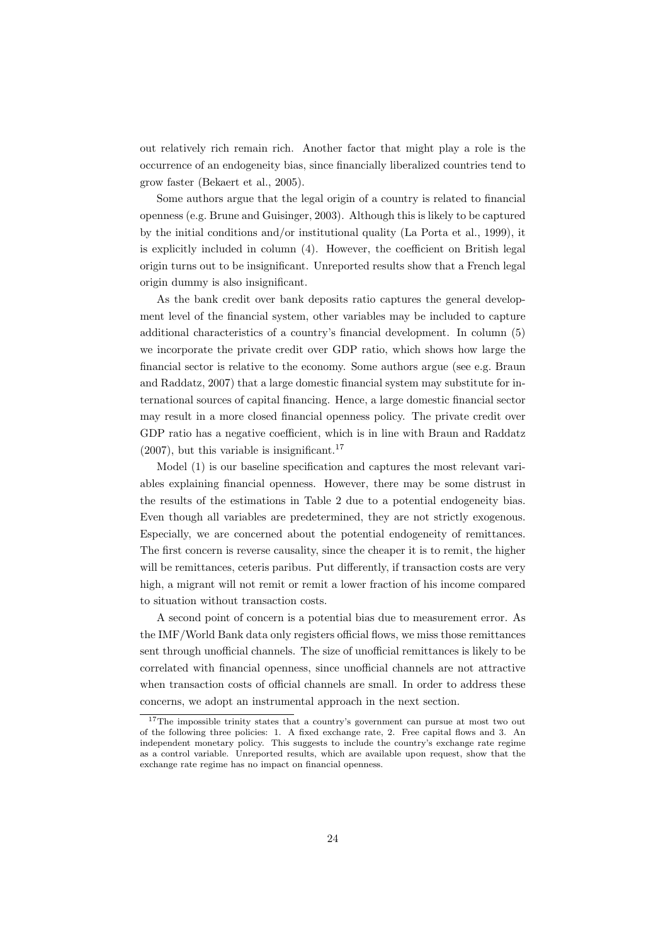out relatively rich remain rich. Another factor that might play a role is the occurrence of an endogeneity bias, since financially liberalized countries tend to grow faster (Bekaert et al., 2005).

Some authors argue that the legal origin of a country is related to financial openness (e.g. Brune and Guisinger, 2003). Although this is likely to be captured by the initial conditions and/or institutional quality (La Porta et al., 1999), it is explicitly included in column (4). However, the coefficient on British legal origin turns out to be insignificant. Unreported results show that a French legal origin dummy is also insignificant.

As the bank credit over bank deposits ratio captures the general development level of the financial system, other variables may be included to capture additional characteristics of a country's financial development. In column (5) we incorporate the private credit over GDP ratio, which shows how large the financial sector is relative to the economy. Some authors argue (see e.g. Braun and Raddatz, 2007) that a large domestic financial system may substitute for international sources of capital financing. Hence, a large domestic financial sector may result in a more closed financial openness policy. The private credit over GDP ratio has a negative coefficient, which is in line with Braun and Raddatz  $(2007)$ , but this variable is insignificant.<sup>17</sup>

Model (1) is our baseline specification and captures the most relevant variables explaining financial openness. However, there may be some distrust in the results of the estimations in Table 2 due to a potential endogeneity bias. Even though all variables are predetermined, they are not strictly exogenous. Especially, we are concerned about the potential endogeneity of remittances. The first concern is reverse causality, since the cheaper it is to remit, the higher will be remittances, ceteris paribus. Put differently, if transaction costs are very high, a migrant will not remit or remit a lower fraction of his income compared to situation without transaction costs.

A second point of concern is a potential bias due to measurement error. As the IMF/World Bank data only registers official flows, we miss those remittances sent through unofficial channels. The size of unofficial remittances is likely to be correlated with financial openness, since unofficial channels are not attractive when transaction costs of official channels are small. In order to address these concerns, we adopt an instrumental approach in the next section.

<sup>&</sup>lt;sup>17</sup>The impossible trinity states that a country's government can pursue at most two out of the following three policies: 1. A fixed exchange rate, 2. Free capital flows and 3. An independent monetary policy. This suggests to include the country's exchange rate regime as a control variable. Unreported results, which are available upon request, show that the exchange rate regime has no impact on financial openness.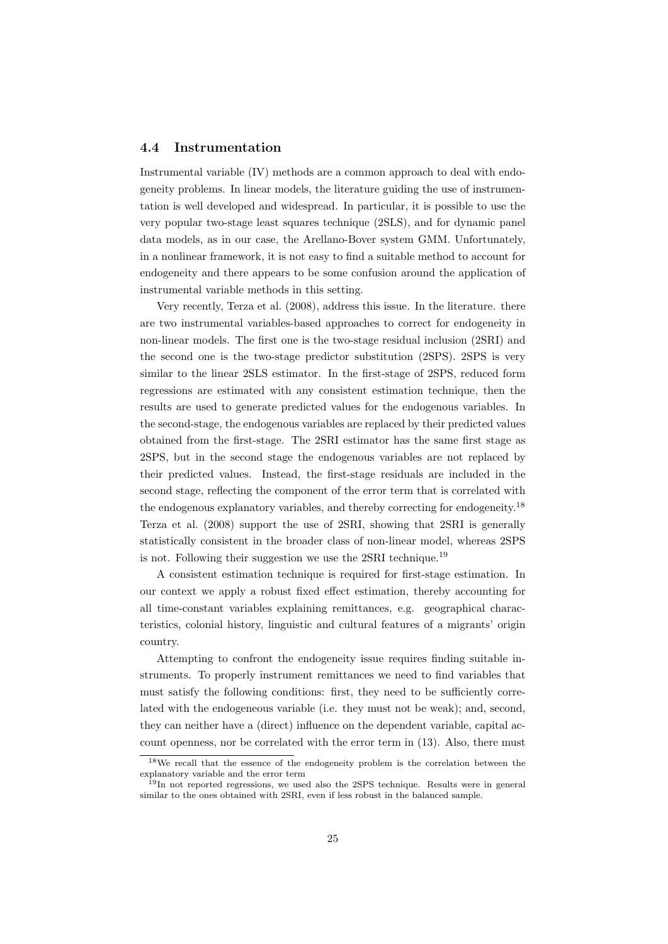#### 4.4 Instrumentation

Instrumental variable (IV) methods are a common approach to deal with endogeneity problems. In linear models, the literature guiding the use of instrumentation is well developed and widespread. In particular, it is possible to use the very popular two-stage least squares technique (2SLS), and for dynamic panel data models, as in our case, the Arellano-Bover system GMM. Unfortunately, in a nonlinear framework, it is not easy to find a suitable method to account for endogeneity and there appears to be some confusion around the application of instrumental variable methods in this setting.

Very recently, Terza et al. (2008), address this issue. In the literature. there are two instrumental variables-based approaches to correct for endogeneity in non-linear models. The first one is the two-stage residual inclusion (2SRI) and the second one is the two-stage predictor substitution (2SPS). 2SPS is very similar to the linear 2SLS estimator. In the first-stage of 2SPS, reduced form regressions are estimated with any consistent estimation technique, then the results are used to generate predicted values for the endogenous variables. In the second-stage, the endogenous variables are replaced by their predicted values obtained from the first-stage. The 2SRI estimator has the same first stage as 2SPS, but in the second stage the endogenous variables are not replaced by their predicted values. Instead, the first-stage residuals are included in the second stage, reflecting the component of the error term that is correlated with the endogenous explanatory variables, and thereby correcting for endogeneity.<sup>18</sup> Terza et al. (2008) support the use of 2SRI, showing that 2SRI is generally statistically consistent in the broader class of non-linear model, whereas 2SPS is not. Following their suggestion we use the 2SRI technique.<sup>19</sup>

A consistent estimation technique is required for first-stage estimation. In our context we apply a robust fixed effect estimation, thereby accounting for all time-constant variables explaining remittances, e.g. geographical characteristics, colonial history, linguistic and cultural features of a migrants' origin country.

Attempting to confront the endogeneity issue requires finding suitable instruments. To properly instrument remittances we need to find variables that must satisfy the following conditions: first, they need to be sufficiently correlated with the endogeneous variable (i.e. they must not be weak); and, second, they can neither have a (direct) influence on the dependent variable, capital account openness, nor be correlated with the error term in (13). Also, there must

<sup>18</sup>We recall that the essence of the endogeneity problem is the correlation between the explanatory variable and the error term

 $19$ In not reported regressions, we used also the 2SPS technique. Results were in general similar to the ones obtained with 2SRI, even if less robust in the balanced sample.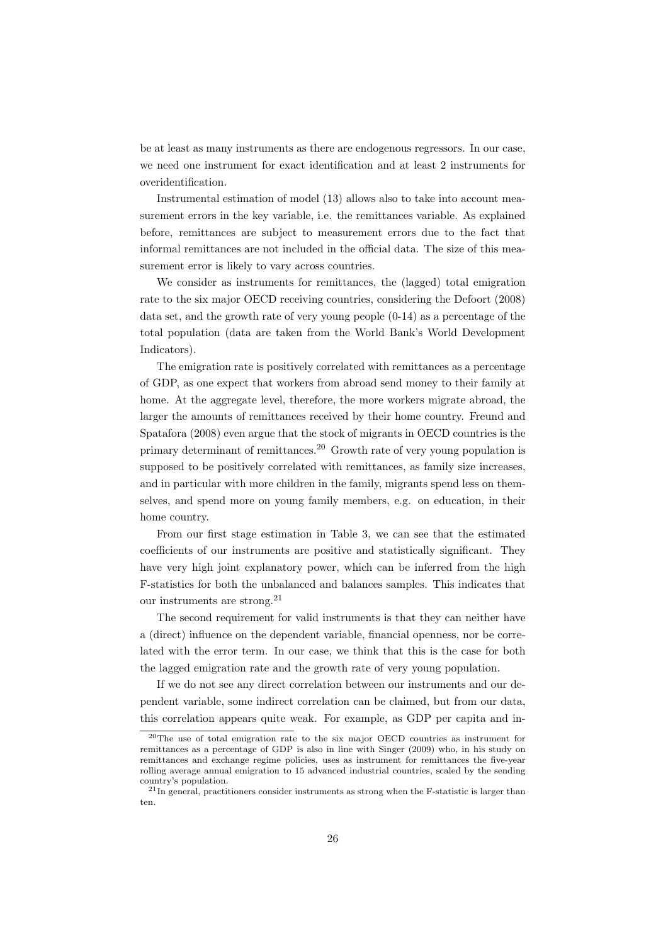be at least as many instruments as there are endogenous regressors. In our case, we need one instrument for exact identification and at least 2 instruments for overidentification.

Instrumental estimation of model (13) allows also to take into account measurement errors in the key variable, i.e. the remittances variable. As explained before, remittances are subject to measurement errors due to the fact that informal remittances are not included in the official data. The size of this measurement error is likely to vary across countries.

We consider as instruments for remittances, the (lagged) total emigration rate to the six major OECD receiving countries, considering the Defoort (2008) data set, and the growth rate of very young people (0-14) as a percentage of the total population (data are taken from the World Bank's World Development Indicators).

The emigration rate is positively correlated with remittances as a percentage of GDP, as one expect that workers from abroad send money to their family at home. At the aggregate level, therefore, the more workers migrate abroad, the larger the amounts of remittances received by their home country. Freund and Spatafora (2008) even argue that the stock of migrants in OECD countries is the primary determinant of remittances.<sup>20</sup> Growth rate of very young population is supposed to be positively correlated with remittances, as family size increases, and in particular with more children in the family, migrants spend less on themselves, and spend more on young family members, e.g. on education, in their home country.

From our first stage estimation in Table 3, we can see that the estimated coefficients of our instruments are positive and statistically significant. They have very high joint explanatory power, which can be inferred from the high F-statistics for both the unbalanced and balances samples. This indicates that our instruments are strong.<sup>21</sup>

The second requirement for valid instruments is that they can neither have a (direct) influence on the dependent variable, financial openness, nor be correlated with the error term. In our case, we think that this is the case for both the lagged emigration rate and the growth rate of very young population.

If we do not see any direct correlation between our instruments and our dependent variable, some indirect correlation can be claimed, but from our data, this correlation appears quite weak. For example, as GDP per capita and in-

<sup>20</sup>The use of total emigration rate to the six major OECD countries as instrument for remittances as a percentage of GDP is also in line with Singer (2009) who, in his study on remittances and exchange regime policies, uses as instrument for remittances the five-year rolling average annual emigration to 15 advanced industrial countries, scaled by the sending country's population.

 $^{21}$ In general, practitioners consider instruments as strong when the F-statistic is larger than ten.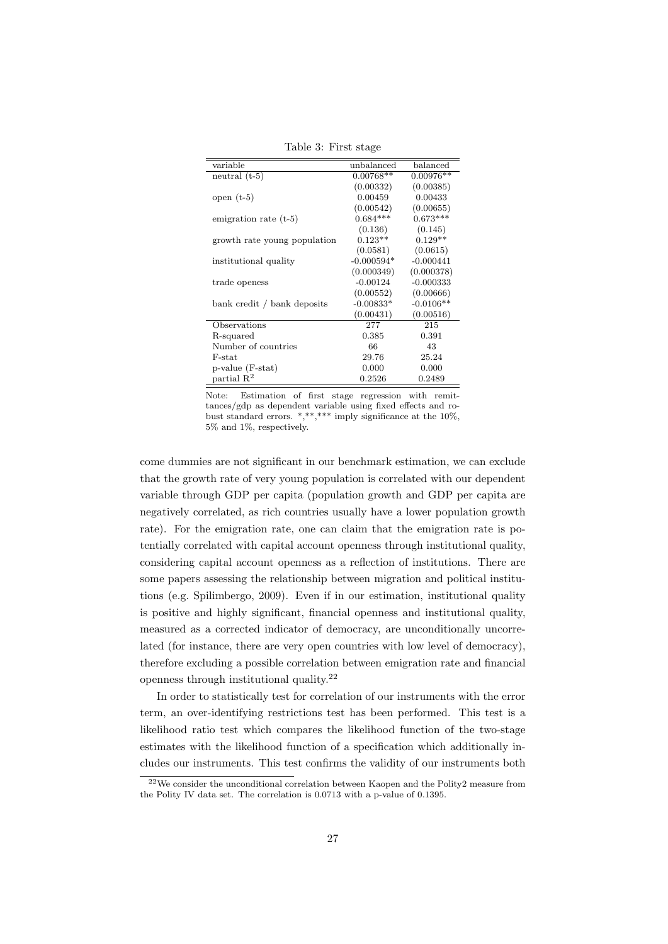Table 3: First stage

| variable                     | unbalanced   | balanced    |
|------------------------------|--------------|-------------|
| neutral $(t-5)$              | $0.00768**$  | $0.00976**$ |
|                              | (0.00332)    | (0.00385)   |
| open $(t-5)$                 | 0.00459      | 0.00433     |
|                              | (0.00542)    | (0.00655)   |
| emigration rate (t-5)        | $0.684***$   | $0.673***$  |
|                              | (0.136)      | (0.145)     |
| growth rate young population | $0.123**$    | $0.129**$   |
|                              | (0.0581)     | (0.0615)    |
| institutional quality        | $-0.000594*$ | $-0.000441$ |
|                              | (0.000349)   | (0.000378)  |
| trade openess                | $-0.00124$   | $-0.000333$ |
|                              | (0.00552)    | (0.00666)   |
| bank credit / bank deposits  | $-0.00833*$  | $-0.0106**$ |
|                              | (0.00431)    | (0.00516)   |
| Observations                 | 277          | 215         |
| R-squared                    | 0.385        | 0.391       |
| Number of countries          | 66           | 43          |
| F-stat                       | 29.76        | 25.24       |
| p-value (F-stat)             | 0.000        | 0.000       |
| partial $\mathbb{R}^2$       | 0.2526       | 0.2489      |

Note: Estimation of first stage regression with remittances/gdp as dependent variable using fixed effects and robust standard errors.  $*, **$  imply significance at the 10%, 5% and 1%, respectively.

come dummies are not significant in our benchmark estimation, we can exclude that the growth rate of very young population is correlated with our dependent variable through GDP per capita (population growth and GDP per capita are negatively correlated, as rich countries usually have a lower population growth rate). For the emigration rate, one can claim that the emigration rate is potentially correlated with capital account openness through institutional quality, considering capital account openness as a reflection of institutions. There are some papers assessing the relationship between migration and political institutions (e.g. Spilimbergo, 2009). Even if in our estimation, institutional quality is positive and highly significant, financial openness and institutional quality, measured as a corrected indicator of democracy, are unconditionally uncorrelated (for instance, there are very open countries with low level of democracy), therefore excluding a possible correlation between emigration rate and financial openness through institutional quality.<sup>22</sup>

In order to statistically test for correlation of our instruments with the error term, an over-identifying restrictions test has been performed. This test is a likelihood ratio test which compares the likelihood function of the two-stage estimates with the likelihood function of a specification which additionally includes our instruments. This test confirms the validity of our instruments both

 $22$ We consider the unconditional correlation between Kaopen and the Polity2 measure from the Polity IV data set. The correlation is 0.0713 with a p-value of 0.1395.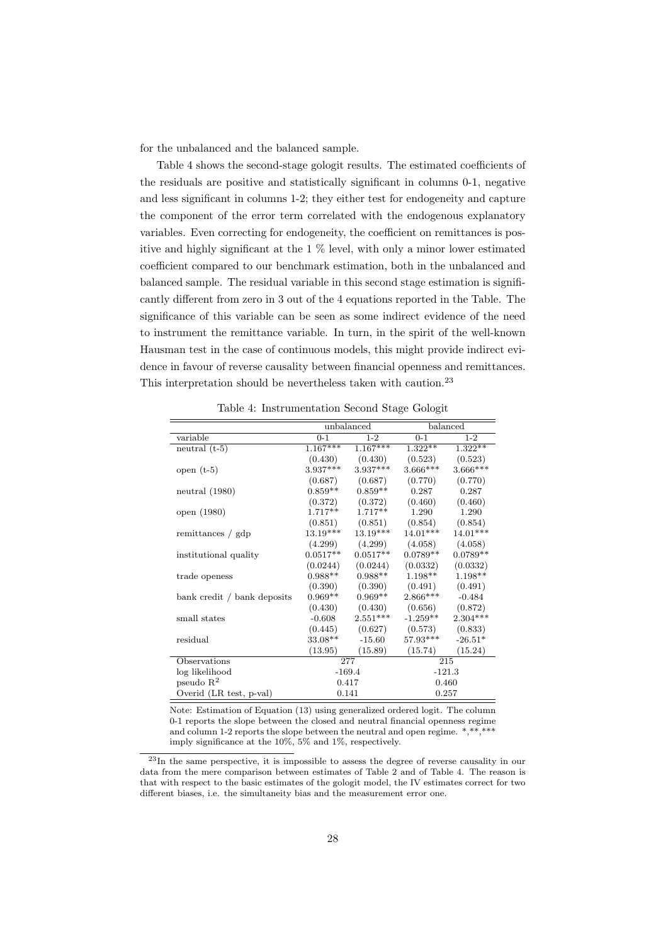for the unbalanced and the balanced sample.

Table 4 shows the second-stage gologit results. The estimated coefficients of the residuals are positive and statistically significant in columns 0-1, negative and less significant in columns 1-2; they either test for endogeneity and capture the component of the error term correlated with the endogenous explanatory variables. Even correcting for endogeneity, the coefficient on remittances is positive and highly significant at the 1 % level, with only a minor lower estimated coefficient compared to our benchmark estimation, both in the unbalanced and balanced sample. The residual variable in this second stage estimation is significantly different from zero in 3 out of the 4 equations reported in the Table. The significance of this variable can be seen as some indirect evidence of the need to instrument the remittance variable. In turn, in the spirit of the well-known Hausman test in the case of continuous models, this might provide indirect evidence in favour of reverse causality between financial openness and remittances. This interpretation should be nevertheless taken with caution.<sup>23</sup>

|                             |            | unbalanced |            | balanced   |
|-----------------------------|------------|------------|------------|------------|
| variable                    | $0-1$      | $1-2$      | $0 - 1$    | $1-2$      |
| neutral $(t-5)$             | $1.167***$ | $1.167***$ | $1.322**$  | $1.322**$  |
|                             | (0.430)    | (0.430)    | (0.523)    | (0.523)    |
| open $(t-5)$                | $3.937***$ | $3.937***$ | $3.666***$ | 3.666***   |
|                             | (0.687)    | (0.687)    | (0.770)    | (0.770)    |
| neutral $(1980)$            | $0.859**$  | $0.859**$  | 0.287      | 0.287      |
|                             | (0.372)    | (0.372)    | (0.460)    | (0.460)    |
| open (1980)                 | $1.717**$  | $1.717**$  | 1.290      | 1.290      |
|                             | (0.851)    | (0.851)    | (0.854)    | (0.854)    |
| remittances / gdp           | $13.19***$ | $13.19***$ | $14.01***$ | $14.01***$ |
|                             | (4.299)    | (4.299)    | (4.058)    | (4.058)    |
| institutional quality       | $0.0517**$ | $0.0517**$ | $0.0789**$ | $0.0789**$ |
|                             | (0.0244)   | (0.0244)   | (0.0332)   | (0.0332)   |
| trade openess               | $0.988**$  | $0.988**$  | $1.198**$  | 1.198**    |
|                             | (0.390)    | (0.390)    | (0.491)    | (0.491)    |
| bank credit / bank deposits | $0.969**$  | $0.969**$  | 2.866***   | $-0.484$   |
|                             | (0.430)    | (0.430)    | (0.656)    | (0.872)    |
| small states                | $-0.608$   | $2.551***$ | $-1.259**$ | $2.304***$ |
|                             | (0.445)    | (0.627)    | (0.573)    | (0.833)    |
| residual                    | 33.08**    | $-15.60$   | 57.93***   | $-26.51*$  |
|                             | (13.95)    | (15.89)    | (15.74)    | (15.24)    |
| Observations                |            | 277        |            | 215        |
| log likelihood              |            | $-169.4$   |            | $-121.3$   |
| pseudo $R^2$                |            | 0.417      |            | 0.460      |
| Overid (LR test, p-val)     |            | 0.141      |            | 0.257      |

Table 4: Instrumentation Second Stage Gologit

Note: Estimation of Equation (13) using generalized ordered logit. The column 0-1 reports the slope between the closed and neutral financial openness regime and column 1-2 reports the slope between the neutral and open regime. \*,\*\*,\*\*\* imply significance at the 10%, 5% and 1%, respectively.

<sup>23</sup>In the same perspective, it is impossible to assess the degree of reverse causality in our data from the mere comparison between estimates of Table 2 and of Table 4. The reason is that with respect to the basic estimates of the gologit model, the IV estimates correct for two different biases, i.e. the simultaneity bias and the measurement error one.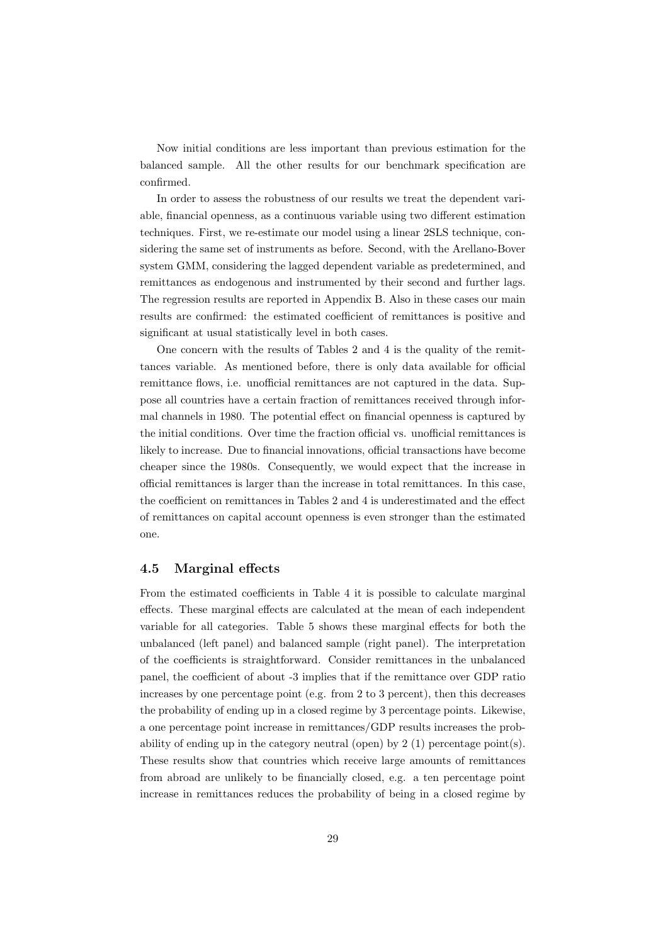Now initial conditions are less important than previous estimation for the balanced sample. All the other results for our benchmark specification are confirmed.

In order to assess the robustness of our results we treat the dependent variable, financial openness, as a continuous variable using two different estimation techniques. First, we re-estimate our model using a linear 2SLS technique, considering the same set of instruments as before. Second, with the Arellano-Bover system GMM, considering the lagged dependent variable as predetermined, and remittances as endogenous and instrumented by their second and further lags. The regression results are reported in Appendix B. Also in these cases our main results are confirmed: the estimated coefficient of remittances is positive and significant at usual statistically level in both cases.

One concern with the results of Tables 2 and 4 is the quality of the remittances variable. As mentioned before, there is only data available for official remittance flows, i.e. unofficial remittances are not captured in the data. Suppose all countries have a certain fraction of remittances received through informal channels in 1980. The potential effect on financial openness is captured by the initial conditions. Over time the fraction official vs. unofficial remittances is likely to increase. Due to financial innovations, official transactions have become cheaper since the 1980s. Consequently, we would expect that the increase in official remittances is larger than the increase in total remittances. In this case, the coefficient on remittances in Tables 2 and 4 is underestimated and the effect of remittances on capital account openness is even stronger than the estimated one.

### 4.5 Marginal effects

From the estimated coefficients in Table 4 it is possible to calculate marginal effects. These marginal effects are calculated at the mean of each independent variable for all categories. Table 5 shows these marginal effects for both the unbalanced (left panel) and balanced sample (right panel). The interpretation of the coefficients is straightforward. Consider remittances in the unbalanced panel, the coefficient of about -3 implies that if the remittance over GDP ratio increases by one percentage point (e.g. from 2 to 3 percent), then this decreases the probability of ending up in a closed regime by 3 percentage points. Likewise, a one percentage point increase in remittances/GDP results increases the probability of ending up in the category neutral (open) by  $2(1)$  percentage point(s). These results show that countries which receive large amounts of remittances from abroad are unlikely to be financially closed, e.g. a ten percentage point increase in remittances reduces the probability of being in a closed regime by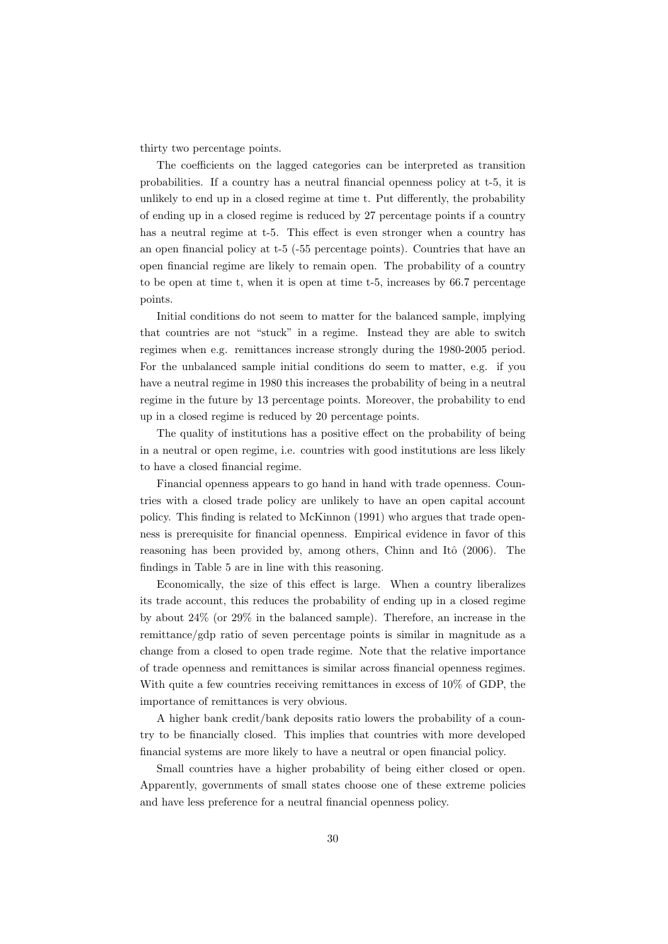thirty two percentage points.

The coefficients on the lagged categories can be interpreted as transition probabilities. If a country has a neutral financial openness policy at t-5, it is unlikely to end up in a closed regime at time t. Put differently, the probability of ending up in a closed regime is reduced by 27 percentage points if a country has a neutral regime at t-5. This effect is even stronger when a country has an open financial policy at t-5 (-55 percentage points). Countries that have an open financial regime are likely to remain open. The probability of a country to be open at time t, when it is open at time t-5, increases by 66.7 percentage points.

Initial conditions do not seem to matter for the balanced sample, implying that countries are not "stuck" in a regime. Instead they are able to switch regimes when e.g. remittances increase strongly during the 1980-2005 period. For the unbalanced sample initial conditions do seem to matter, e.g. if you have a neutral regime in 1980 this increases the probability of being in a neutral regime in the future by 13 percentage points. Moreover, the probability to end up in a closed regime is reduced by 20 percentage points.

The quality of institutions has a positive effect on the probability of being in a neutral or open regime, i.e. countries with good institutions are less likely to have a closed financial regime.

Financial openness appears to go hand in hand with trade openness. Countries with a closed trade policy are unlikely to have an open capital account policy. This finding is related to McKinnon (1991) who argues that trade openness is prerequisite for financial openness. Empirical evidence in favor of this reasoning has been provided by, among others, Chinn and Itô (2006). The findings in Table 5 are in line with this reasoning.

Economically, the size of this effect is large. When a country liberalizes its trade account, this reduces the probability of ending up in a closed regime by about 24% (or 29% in the balanced sample). Therefore, an increase in the remittance/gdp ratio of seven percentage points is similar in magnitude as a change from a closed to open trade regime. Note that the relative importance of trade openness and remittances is similar across financial openness regimes. With quite a few countries receiving remittances in excess of 10% of GDP, the importance of remittances is very obvious.

A higher bank credit/bank deposits ratio lowers the probability of a country to be financially closed. This implies that countries with more developed financial systems are more likely to have a neutral or open financial policy.

Small countries have a higher probability of being either closed or open. Apparently, governments of small states choose one of these extreme policies and have less preference for a neutral financial openness policy.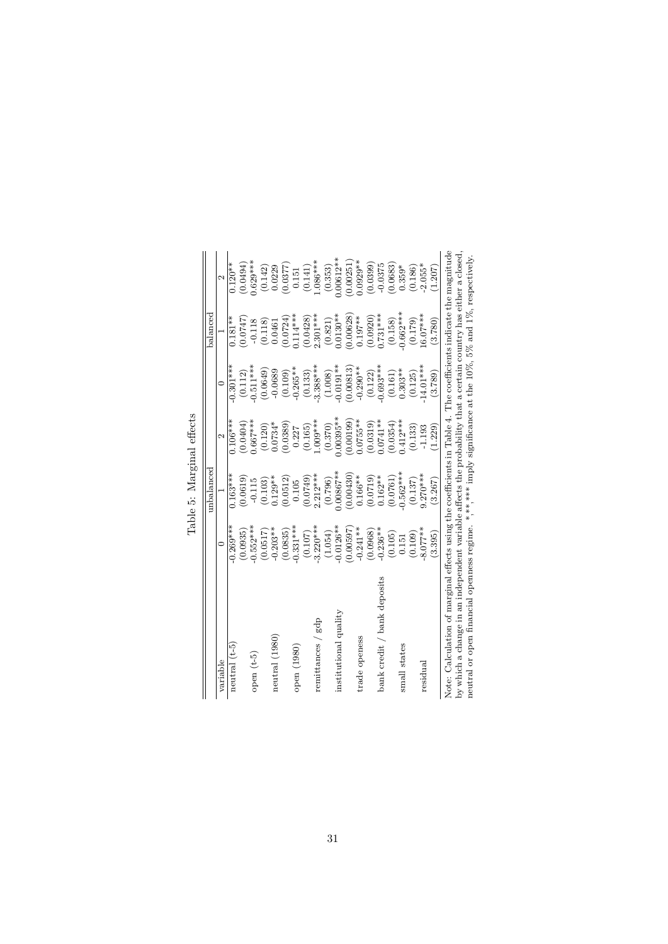|                                                                                                                     |             | unbalanced   |                   |             | balanced    |                   |
|---------------------------------------------------------------------------------------------------------------------|-------------|--------------|-------------------|-------------|-------------|-------------------|
| variable                                                                                                            | ⊂           |              | $\mathbf{\Omega}$ | ⊂           |             | $\mathbf{\Omega}$ |
| neutral $(t-5)$                                                                                                     | $-0.269***$ | $0.163***$   | $0.106***$        | $-0.301***$ | $0.181**$   | $0.120**$         |
|                                                                                                                     | (0.0935)    | (0.0619)     | 0.0404            | (0.112)     | 0.0747      | (0.0494)          |
| open $(t-5)$                                                                                                        | $-0.552***$ | $-0.115$     | $0.667***$        | $-0.511***$ | $-0.118$    | $0.629***$        |
|                                                                                                                     | (0.0517)    | (0.103)      | (0.120)           | 0.0649      | (0.118)     | (0.142)           |
| neutral (1980)                                                                                                      | $-0.203**$  | $0.129**$    | $0.0734*$         | $-0.0689$   | 0.0461      | 0.0229            |
|                                                                                                                     | (0.0835)    | (0.0512)     | 0.0389            | (0.109)     | (0.0724)    | 0.0377            |
| open (1980)                                                                                                         | $-0.331***$ | 0.105        | 0.227             | $-0.265**$  | $0.114***$  | 0.151             |
|                                                                                                                     | (0.107)     | (0.0749)     | (0.165)           | (0.133)     | (0.0428)    | (0.141)           |
| remittances / gdp                                                                                                   | $3.220***$  | $2.212***$   | $-009***$         | $3.388***$  | $2.301***$  | $086***$          |
|                                                                                                                     | (1.054)     | (0.796)      | (0.370)           | (1.008)     | (0.821)     | (0.353)           |
| institutional quality                                                                                               | $0.0126***$ | $0.00867***$ | $.00395***$       | $-0.0191**$ | $0.0130**$  | $0.00612***$      |
|                                                                                                                     | 0.00597     | (0.00430)    | 0.00199           | 0.00813     | 0.00628     | 0.00251           |
| trade openess                                                                                                       | $-0.241**$  | $0.166***$   | $0.0755***$       | $-0.290**$  | $0.197***$  | $0.0929**$        |
|                                                                                                                     | (0.0968)    | (0.0719)     | (0.0319)          | (0.122)     | (0.0920)    | (0.0399)          |
| bank credit / bank deposits                                                                                         | $-0.236**$  | $0.162**$    | $0.0741**$        | $0.693***$  | $0.731***$  | $-0.0375$         |
|                                                                                                                     | (0.105)     | (0.0761)     | 0.0354            | (0.161)     | (0.158)     | 0.0683            |
| small states                                                                                                        | 0.151       | $0.562***$   | $0.412***$        | $0.303**$   | $-0.662***$ | $0.359*$          |
|                                                                                                                     | (0.109)     | (0.137)      | (0.133)           | (0.125)     | (0.179)     | (0.186)           |
| residual                                                                                                            | $8.077**$   | $9.270***$   | $-1.193$          | 14.01***    | $6.07***$   | $2.055*$          |
|                                                                                                                     | (3.395)     | (3.267)      | 1.229             | (3.789)     | (3.780)     | 1.207             |
| Note: Calculation of marginal effects using the coefficients in Table 4. The coefficients indicate the magnitude    |             |              |                   |             |             |                   |
| by which a change in an independent variable affects the probability that a certain country has either a closed.    |             |              |                   |             |             |                   |
| neutral or open financial openness regime. *,**,**** imply significance at the $10\%$ , 5% and $1\%$ , respectively |             |              |                   |             |             |                   |

Table 5: Marginal effects Table 5: Marginal effects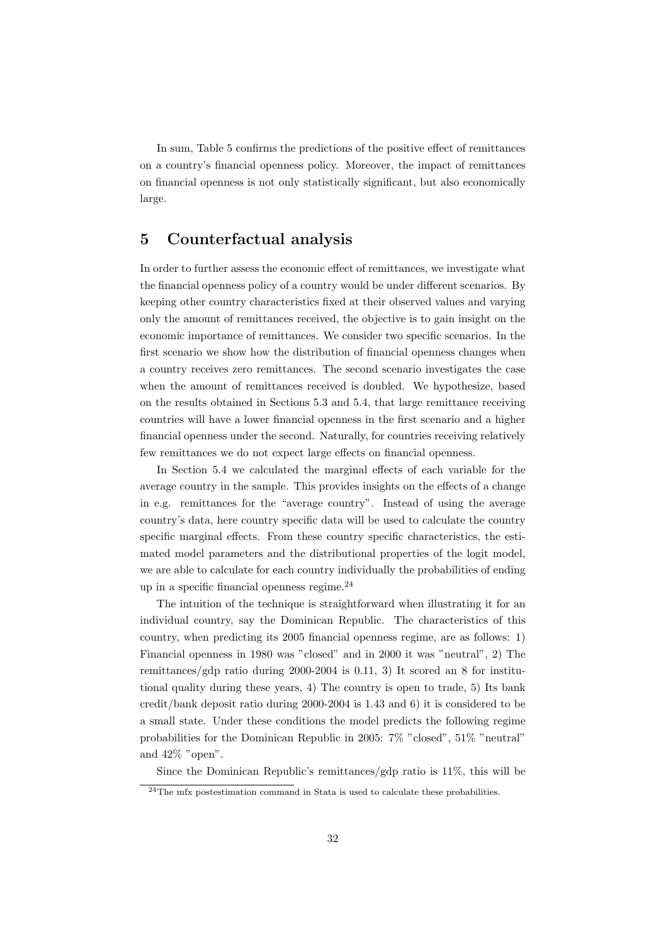In sum, Table 5 confirms the predictions of the positive effect of remittances on a country's financial openness policy. Moreover, the impact of remittances on financial openness is not only statistically significant, but also economically large.

## 5 Counterfactual analysis

In order to further assess the economic effect of remittances, we investigate what the financial openness policy of a country would be under different scenarios. By keeping other country characteristics fixed at their observed values and varying only the amount of remittances received, the objective is to gain insight on the economic importance of remittances. We consider two specific scenarios. In the first scenario we show how the distribution of financial openness changes when a country receives zero remittances. The second scenario investigates the case when the amount of remittances received is doubled. We hypothesize, based on the results obtained in Sections 5.3 and 5.4, that large remittance receiving countries will have a lower financial openness in the first scenario and a higher financial openness under the second. Naturally, for countries receiving relatively few remittances we do not expect large effects on financial openness.

In Section 5.4 we calculated the marginal effects of each variable for the average country in the sample. This provides insights on the effects of a change in e.g. remittances for the "average country". Instead of using the average country's data, here country specific data will be used to calculate the country specific marginal effects. From these country specific characteristics, the estimated model parameters and the distributional properties of the logit model, we are able to calculate for each country individually the probabilities of ending up in a specific financial openness regime. $^{24}$ 

The intuition of the technique is straightforward when illustrating it for an individual country, say the Dominican Republic. The characteristics of this country, when predicting its 2005 financial openness regime, are as follows: 1) Financial openness in 1980 was "closed" and in 2000 it was "neutral", 2) The remittances/gdp ratio during 2000-2004 is 0.11, 3) It scored an 8 for institutional quality during these years, 4) The country is open to trade, 5) Its bank credit/bank deposit ratio during 2000-2004 is 1.43 and 6) it is considered to be a small state. Under these conditions the model predicts the following regime probabilities for the Dominican Republic in 2005: 7% "closed", 51% "neutral" and 42% "open".

Since the Dominican Republic's remittances/gdp ratio is 11%, this will be

<sup>&</sup>lt;sup>24</sup>The mfx postestimation command in Stata is used to calculate these probabilities.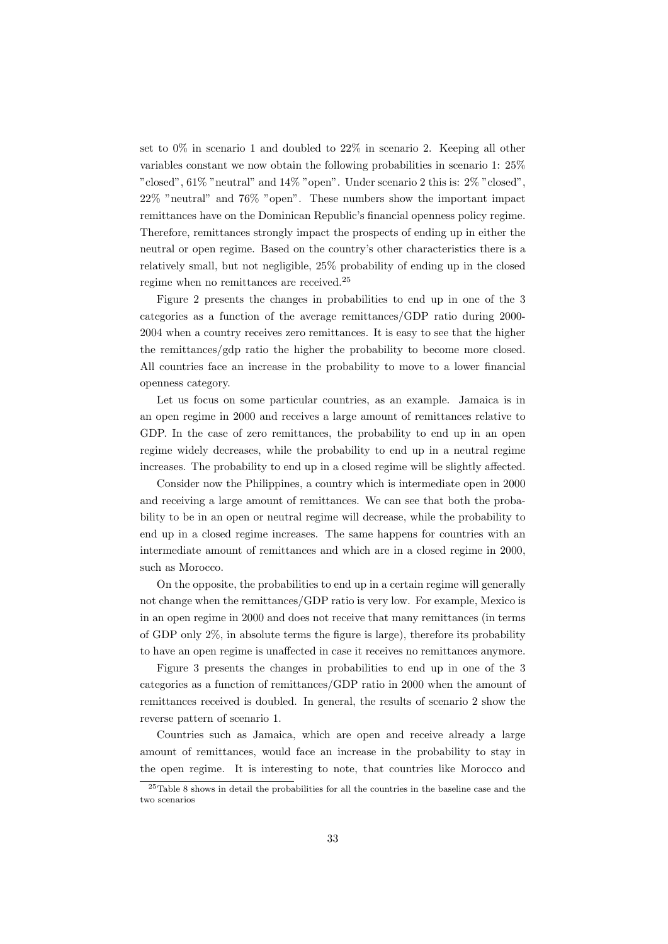set to 0% in scenario 1 and doubled to 22% in scenario 2. Keeping all other variables constant we now obtain the following probabilities in scenario 1: 25% "closed",  $61\%$  "neutral" and  $14\%$  "open". Under scenario 2 this is:  $2\%$  "closed", 22% "neutral" and 76% "open". These numbers show the important impact remittances have on the Dominican Republic's financial openness policy regime. Therefore, remittances strongly impact the prospects of ending up in either the neutral or open regime. Based on the country's other characteristics there is a relatively small, but not negligible, 25% probability of ending up in the closed regime when no remittances are received.<sup>25</sup>

Figure 2 presents the changes in probabilities to end up in one of the 3 categories as a function of the average remittances/GDP ratio during 2000- 2004 when a country receives zero remittances. It is easy to see that the higher the remittances/gdp ratio the higher the probability to become more closed. All countries face an increase in the probability to move to a lower financial openness category.

Let us focus on some particular countries, as an example. Jamaica is in an open regime in 2000 and receives a large amount of remittances relative to GDP. In the case of zero remittances, the probability to end up in an open regime widely decreases, while the probability to end up in a neutral regime increases. The probability to end up in a closed regime will be slightly affected.

Consider now the Philippines, a country which is intermediate open in 2000 and receiving a large amount of remittances. We can see that both the probability to be in an open or neutral regime will decrease, while the probability to end up in a closed regime increases. The same happens for countries with an intermediate amount of remittances and which are in a closed regime in 2000, such as Morocco.

On the opposite, the probabilities to end up in a certain regime will generally not change when the remittances/GDP ratio is very low. For example, Mexico is in an open regime in 2000 and does not receive that many remittances (in terms of GDP only 2%, in absolute terms the figure is large), therefore its probability to have an open regime is unaffected in case it receives no remittances anymore.

Figure 3 presents the changes in probabilities to end up in one of the 3 categories as a function of remittances/GDP ratio in 2000 when the amount of remittances received is doubled. In general, the results of scenario 2 show the reverse pattern of scenario 1.

Countries such as Jamaica, which are open and receive already a large amount of remittances, would face an increase in the probability to stay in the open regime. It is interesting to note, that countries like Morocco and

<sup>25</sup>Table 8 shows in detail the probabilities for all the countries in the baseline case and the two scenarios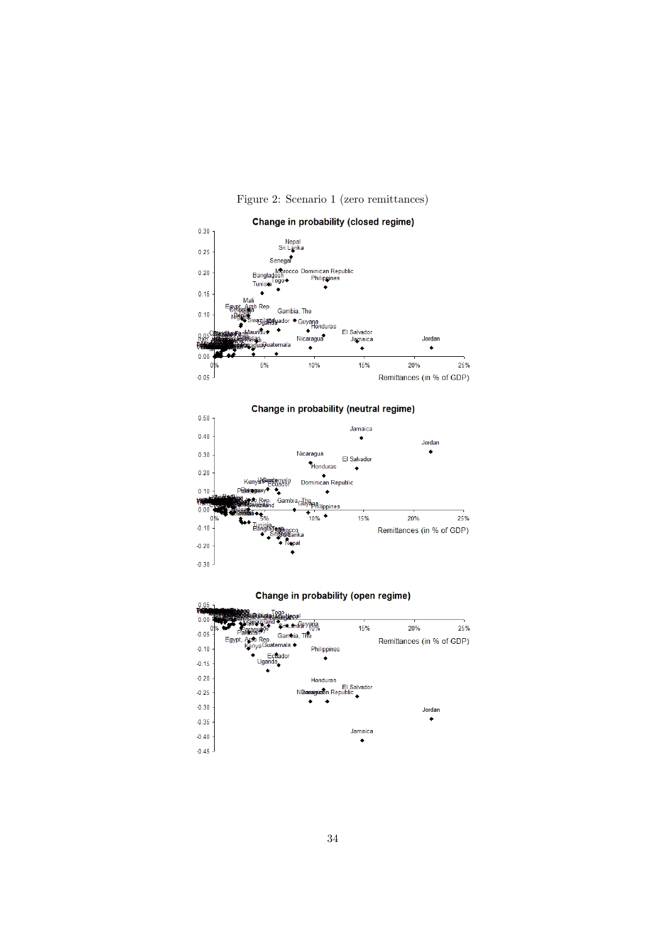

Figure 2: Scenario 1 (zero remittances)



Change in probability (neutral regime)



 $0.05$ 

| <b>The Property</b><br>0.00R | <b>Barbieral</b>                                     |             |                           |     |
|------------------------------|------------------------------------------------------|-------------|---------------------------|-----|
| 0 <sup>0</sup>               | SrivLankalyana                                       | 15%         | 20%                       | 25% |
| $-0.05$                      | Gambia, The<br>Egypt, Arab Rep.<br>Kenya Guatemala ◆ |             | Remittances (in % of GDP) |     |
| $-0.10$                      | Philippines<br>Ecuador                               |             |                           |     |
| $-0.15$                      | Uganda,                                              |             |                           |     |
| $-0.20$                      | Honduras                                             |             |                           |     |
| $-0.25$                      | Nideraiguasn Republic                                | El Salvador |                           |     |
| $-0.30$                      |                                                      |             | Jordan                    |     |
| $-0.35$                      |                                                      |             |                           |     |
| $-0.40$                      |                                                      | Jamaica     |                           |     |
| $-0.45$                      |                                                      |             |                           |     |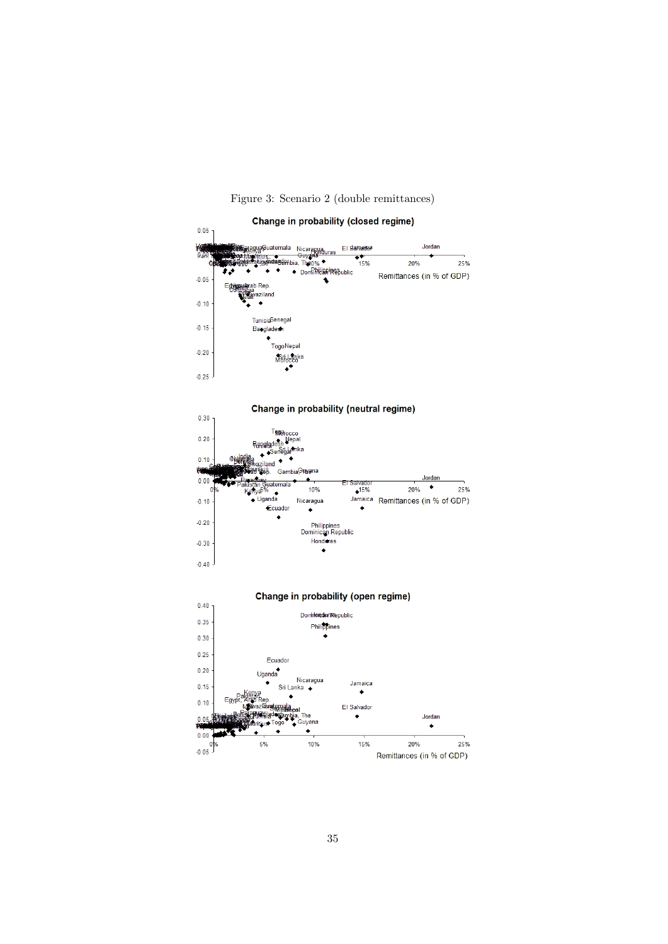

### Figure 3: Scenario 2 (double remittances)

Change in probability (neutral regime)



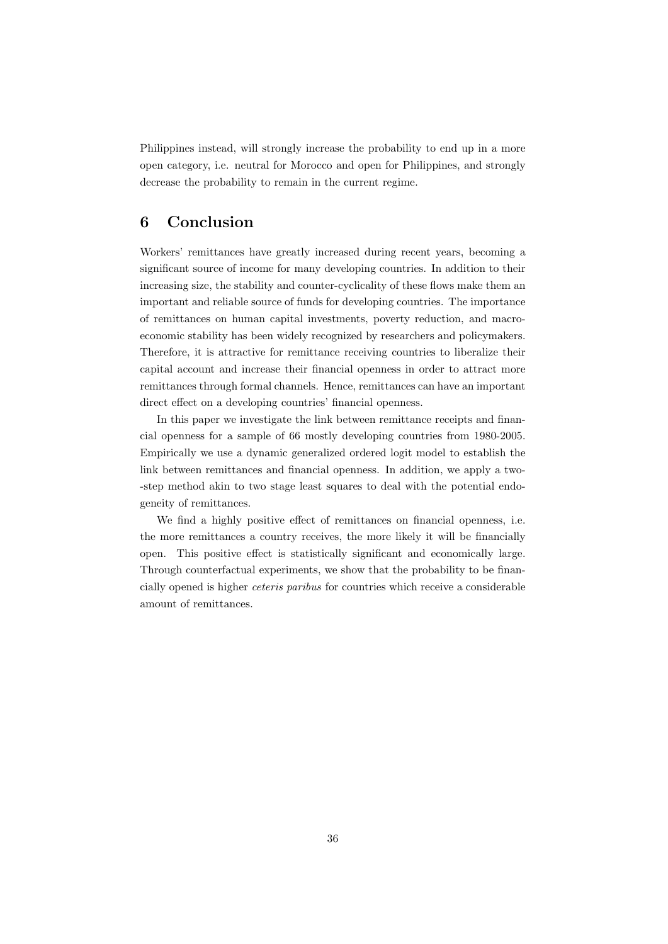Philippines instead, will strongly increase the probability to end up in a more open category, i.e. neutral for Morocco and open for Philippines, and strongly decrease the probability to remain in the current regime.

## 6 Conclusion

Workers' remittances have greatly increased during recent years, becoming a significant source of income for many developing countries. In addition to their increasing size, the stability and counter-cyclicality of these flows make them an important and reliable source of funds for developing countries. The importance of remittances on human capital investments, poverty reduction, and macroeconomic stability has been widely recognized by researchers and policymakers. Therefore, it is attractive for remittance receiving countries to liberalize their capital account and increase their financial openness in order to attract more remittances through formal channels. Hence, remittances can have an important direct effect on a developing countries' financial openness.

In this paper we investigate the link between remittance receipts and financial openness for a sample of 66 mostly developing countries from 1980-2005. Empirically we use a dynamic generalized ordered logit model to establish the link between remittances and financial openness. In addition, we apply a two- -step method akin to two stage least squares to deal with the potential endogeneity of remittances.

We find a highly positive effect of remittances on financial openness, i.e. the more remittances a country receives, the more likely it will be financially open. This positive effect is statistically significant and economically large. Through counterfactual experiments, we show that the probability to be financially opened is higher ceteris paribus for countries which receive a considerable amount of remittances.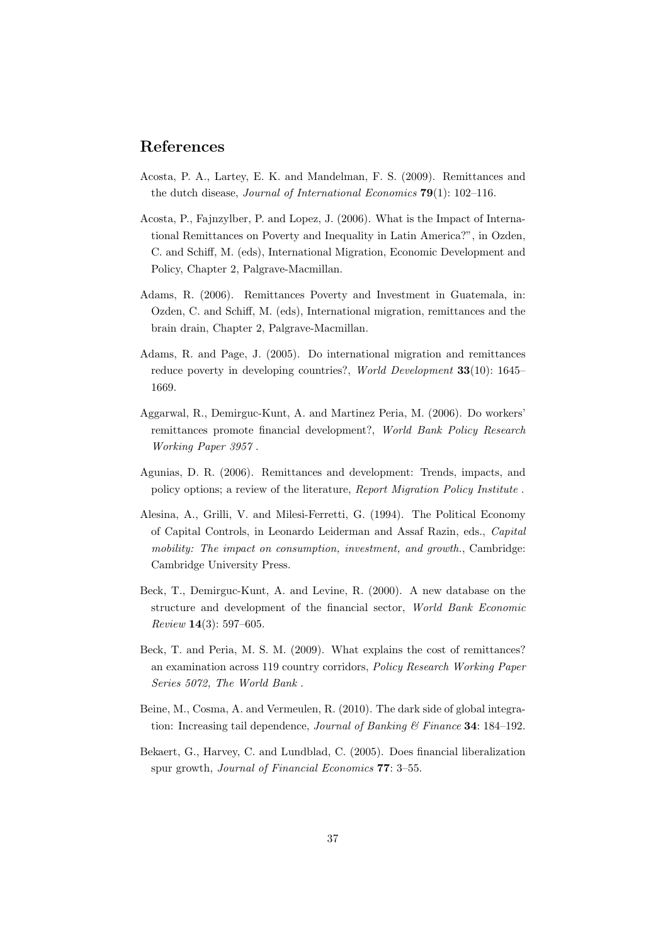## References

- Acosta, P. A., Lartey, E. K. and Mandelman, F. S. (2009). Remittances and the dutch disease, *Journal of International Economics* **79**(1): 102–116.
- Acosta, P., Fajnzylber, P. and Lopez, J. (2006). What is the Impact of International Remittances on Poverty and Inequality in Latin America?", in Ozden, C. and Schiff, M. (eds), International Migration, Economic Development and Policy, Chapter 2, Palgrave-Macmillan.
- Adams, R. (2006). Remittances Poverty and Investment in Guatemala, in: Ozden, C. and Schiff, M. (eds), International migration, remittances and the brain drain, Chapter 2, Palgrave-Macmillan.
- Adams, R. and Page, J. (2005). Do international migration and remittances reduce poverty in developing countries?, *World Development* 33(10): 1645– 1669.
- Aggarwal, R., Demirguc-Kunt, A. and Martinez Peria, M. (2006). Do workers' remittances promote financial development?, World Bank Policy Research Working Paper 3957 .
- Agunias, D. R. (2006). Remittances and development: Trends, impacts, and policy options; a review of the literature, Report Migration Policy Institute .
- Alesina, A., Grilli, V. and Milesi-Ferretti, G. (1994). The Political Economy of Capital Controls, in Leonardo Leiderman and Assaf Razin, eds., Capital mobility: The impact on consumption, investment, and growth., Cambridge: Cambridge University Press.
- Beck, T., Demirguc-Kunt, A. and Levine, R. (2000). A new database on the structure and development of the financial sector, World Bank Economic Review 14(3): 597–605.
- Beck, T. and Peria, M. S. M. (2009). What explains the cost of remittances? an examination across 119 country corridors, Policy Research Working Paper Series 5072, The World Bank .
- Beine, M., Cosma, A. and Vermeulen, R. (2010). The dark side of global integration: Increasing tail dependence, Journal of Banking  $\mathcal C$  Finance 34: 184–192.
- Bekaert, G., Harvey, C. and Lundblad, C. (2005). Does financial liberalization spur growth, Journal of Financial Economics 77: 3–55.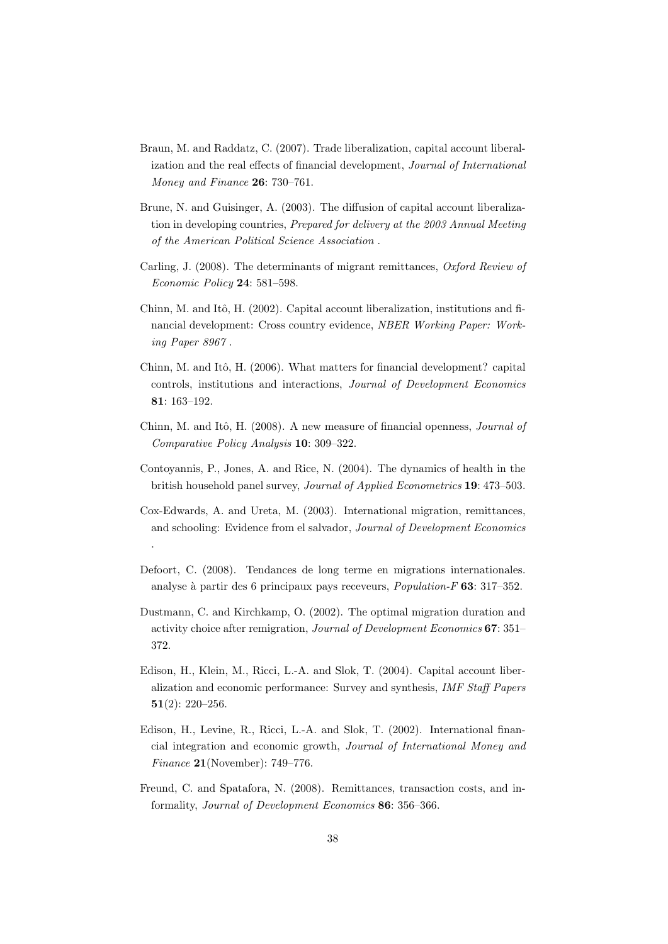- Braun, M. and Raddatz, C. (2007). Trade liberalization, capital account liberalization and the real effects of financial development, Journal of International Money and Finance 26: 730–761.
- Brune, N. and Guisinger, A. (2003). The diffusion of capital account liberalization in developing countries, Prepared for delivery at the 2003 Annual Meeting of the American Political Science Association .
- Carling, J. (2008). The determinants of migrant remittances, Oxford Review of Economic Policy 24: 581–598.
- Chinn, M. and Itô, H. (2002). Capital account liberalization, institutions and financial development: Cross country evidence, NBER Working Paper: Working Paper 8967 .
- Chinn, M. and Itô, H. (2006). What matters for financial development? capital controls, institutions and interactions, Journal of Development Economics 81: 163–192.
- Chinn, M. and Itô, H. (2008). A new measure of financial openness, *Journal of* Comparative Policy Analysis 10: 309–322.
- Contoyannis, P., Jones, A. and Rice, N. (2004). The dynamics of health in the british household panel survey, Journal of Applied Econometrics 19: 473–503.
- Cox-Edwards, A. and Ureta, M. (2003). International migration, remittances, and schooling: Evidence from el salvador, Journal of Development Economics .
- Defoort, C. (2008). Tendances de long terme en migrations internationales. analyse à partir des 6 principaux pays receveurs,  $Population-F$  63: 317-352.
- Dustmann, C. and Kirchkamp, O. (2002). The optimal migration duration and activity choice after remigration, Journal of Development Economics 67: 351– 372.
- Edison, H., Klein, M., Ricci, L.-A. and Slok, T. (2004). Capital account liberalization and economic performance: Survey and synthesis, IMF Staff Papers 51(2): 220–256.
- Edison, H., Levine, R., Ricci, L.-A. and Slok, T. (2002). International financial integration and economic growth, Journal of International Money and Finance 21(November): 749–776.
- Freund, C. and Spatafora, N. (2008). Remittances, transaction costs, and informality, Journal of Development Economics 86: 356–366.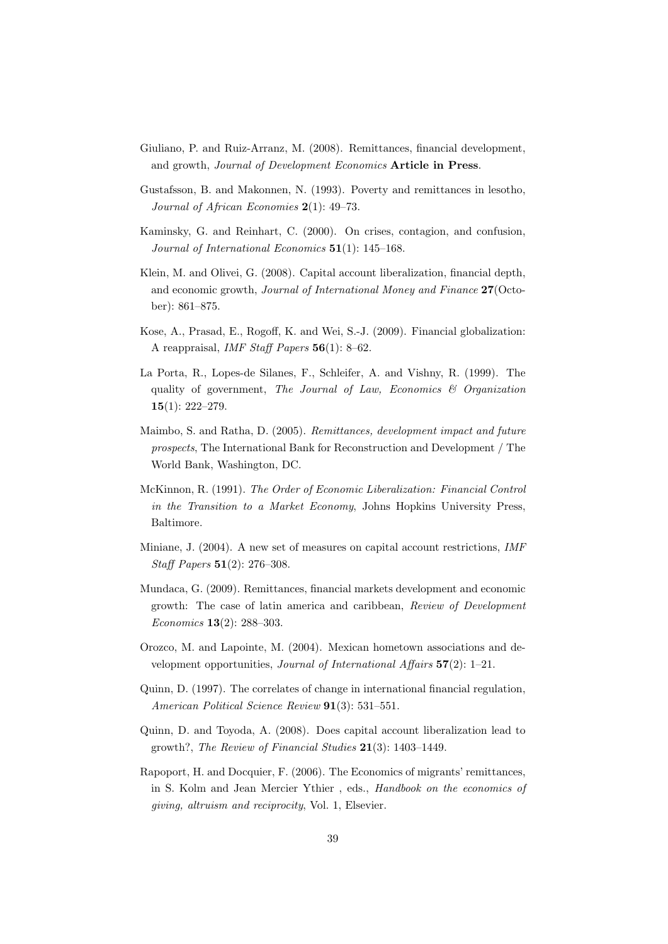- Giuliano, P. and Ruiz-Arranz, M. (2008). Remittances, financial development, and growth, Journal of Development Economics Article in Press.
- Gustafsson, B. and Makonnen, N. (1993). Poverty and remittances in lesotho, Journal of African Economies 2(1): 49–73.
- Kaminsky, G. and Reinhart, C. (2000). On crises, contagion, and confusion, Journal of International Economics 51(1): 145–168.
- Klein, M. and Olivei, G. (2008). Capital account liberalization, financial depth, and economic growth, Journal of International Money and Finance 27(October): 861–875.
- Kose, A., Prasad, E., Rogoff, K. and Wei, S.-J. (2009). Financial globalization: A reappraisal, IMF Staff Papers 56(1): 8–62.
- La Porta, R., Lopes-de Silanes, F., Schleifer, A. and Vishny, R. (1999). The quality of government, The Journal of Law, Economics  $\mathcal{C}$  Organization 15(1): 222–279.
- Maimbo, S. and Ratha, D. (2005). Remittances, development impact and future prospects, The International Bank for Reconstruction and Development / The World Bank, Washington, DC.
- McKinnon, R. (1991). The Order of Economic Liberalization: Financial Control in the Transition to a Market Economy, Johns Hopkins University Press, Baltimore.
- Miniane, J. (2004). A new set of measures on capital account restrictions, IMF Staff Papers 51(2): 276–308.
- Mundaca, G. (2009). Remittances, financial markets development and economic growth: The case of latin america and caribbean, Review of Development Economics 13(2): 288–303.
- Orozco, M. and Lapointe, M. (2004). Mexican hometown associations and development opportunities, *Journal of International Affairs*  $57(2)$ : 1–21.
- Quinn, D. (1997). The correlates of change in international financial regulation, American Political Science Review 91(3): 531–551.
- Quinn, D. and Toyoda, A. (2008). Does capital account liberalization lead to growth?, The Review of Financial Studies 21(3): 1403–1449.
- Rapoport, H. and Docquier, F. (2006). The Economics of migrants' remittances, in S. Kolm and Jean Mercier Ythier , eds., Handbook on the economics of giving, altruism and reciprocity, Vol. 1, Elsevier.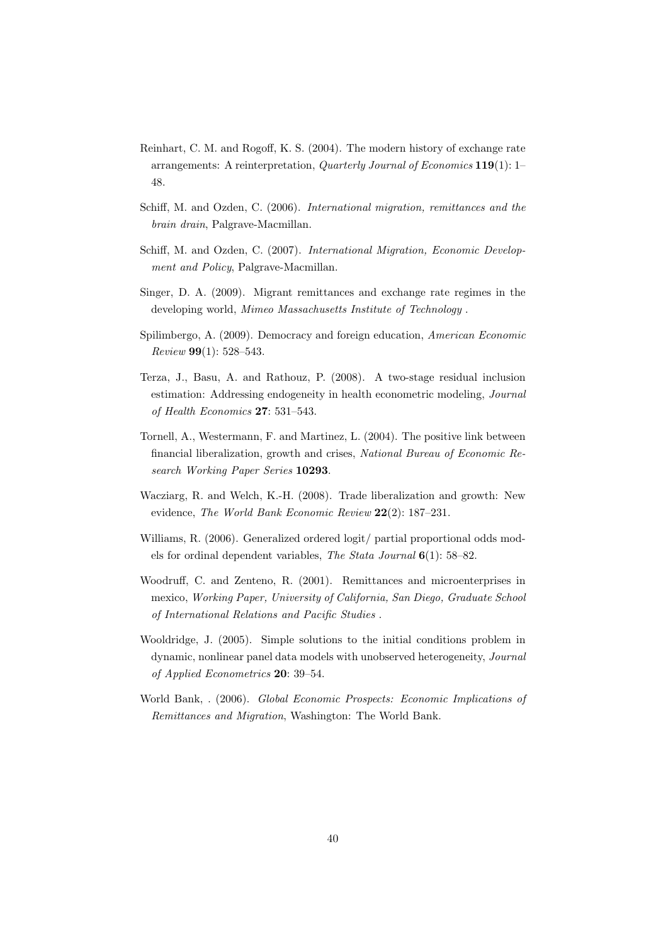- Reinhart, C. M. and Rogoff, K. S. (2004). The modern history of exchange rate arrangements: A reinterpretation, Quarterly Journal of Economics 119(1): 1– 48.
- Schiff, M. and Ozden, C. (2006). International migration, remittances and the brain drain, Palgrave-Macmillan.
- Schiff, M. and Ozden, C. (2007). International Migration, Economic Development and Policy, Palgrave-Macmillan.
- Singer, D. A. (2009). Migrant remittances and exchange rate regimes in the developing world, Mimeo Massachusetts Institute of Technology .
- Spilimbergo, A. (2009). Democracy and foreign education, American Economic Review 99(1): 528–543.
- Terza, J., Basu, A. and Rathouz, P. (2008). A two-stage residual inclusion estimation: Addressing endogeneity in health econometric modeling, Journal of Health Economics 27: 531–543.
- Tornell, A., Westermann, F. and Martinez, L. (2004). The positive link between financial liberalization, growth and crises, National Bureau of Economic Research Working Paper Series 10293.
- Wacziarg, R. and Welch, K.-H. (2008). Trade liberalization and growth: New evidence, The World Bank Economic Review 22(2): 187–231.
- Williams, R. (2006). Generalized ordered logit/ partial proportional odds models for ordinal dependent variables, The Stata Journal 6(1): 58–82.
- Woodruff, C. and Zenteno, R. (2001). Remittances and microenterprises in mexico, Working Paper, University of California, San Diego, Graduate School of International Relations and Pacific Studies .
- Wooldridge, J. (2005). Simple solutions to the initial conditions problem in dynamic, nonlinear panel data models with unobserved heterogeneity, Journal of Applied Econometrics 20: 39–54.
- World Bank, . (2006). Global Economic Prospects: Economic Implications of Remittances and Migration, Washington: The World Bank.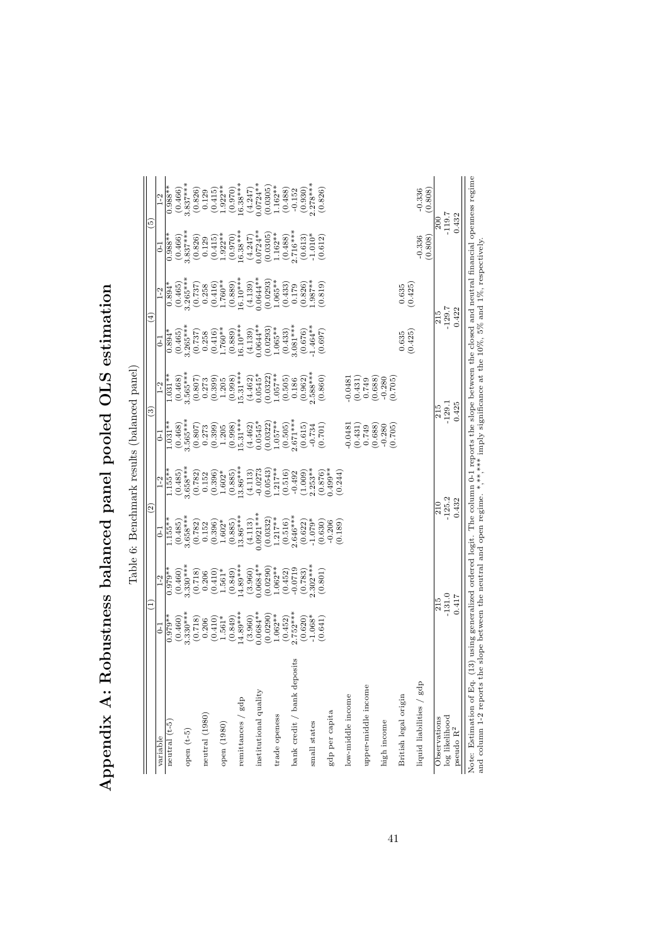|                             |                                                 |                       | $\widetilde{\omega}$   |                                                                         | ල                                                                                                        |                                                                                                                 | ⊕                                                                                                                                                          |                                                                                                                                                                      | ق                                                                                                         |                                                                                                                          |
|-----------------------------|-------------------------------------------------|-----------------------|------------------------|-------------------------------------------------------------------------|----------------------------------------------------------------------------------------------------------|-----------------------------------------------------------------------------------------------------------------|------------------------------------------------------------------------------------------------------------------------------------------------------------|----------------------------------------------------------------------------------------------------------------------------------------------------------------------|-----------------------------------------------------------------------------------------------------------|--------------------------------------------------------------------------------------------------------------------------|
| variable                    | $\overline{c}$                                  | $1-2$                 | $\overline{5}$         | $1-2$                                                                   | E                                                                                                        | $1-2$                                                                                                           | E                                                                                                                                                          | $1-2$                                                                                                                                                                | J                                                                                                         | $1-2$                                                                                                                    |
| neutral $(t-5)$             | $0.979**$                                       | $0.979**$             | $1.155**$              | $1.155**$                                                               | $1.031**$                                                                                                | $1.031**$                                                                                                       | $0.894*$                                                                                                                                                   | $0.894*$                                                                                                                                                             | $0.988**$                                                                                                 | $0.988**$                                                                                                                |
|                             | (0.460)                                         | (0.460)               | (0.485)                | (0.485)                                                                 | $(0.468)$<br>3.565****                                                                                   | $(0.468)$<br>3.565***                                                                                           | (0.465)                                                                                                                                                    | $(0.465)$<br>3.265***                                                                                                                                                | $(0.466)$<br>3.837***                                                                                     | $(0.466)$<br>3.837***                                                                                                    |
| open $(t-5)$                | $3.330**$                                       | $3.330***$            | $3.658***$             | $3.658***$                                                              |                                                                                                          |                                                                                                                 | $3.265***$                                                                                                                                                 |                                                                                                                                                                      |                                                                                                           |                                                                                                                          |
|                             | $\begin{array}{c} (0.718) \\ 0.206 \end{array}$ | (0.718)               | (0.782)                | $\begin{array}{c} (0.782) \\ 0.152 \\ (0.396) \\ 1.602^{*} \end{array}$ |                                                                                                          |                                                                                                                 |                                                                                                                                                            |                                                                                                                                                                      | $\begin{array}{c} (0.826) \\ 0.129 \end{array}$                                                           |                                                                                                                          |
| neutral (1980)              |                                                 | 0.206                 | 0.152                  |                                                                         |                                                                                                          |                                                                                                                 |                                                                                                                                                            |                                                                                                                                                                      |                                                                                                           |                                                                                                                          |
|                             | $(0.410)$<br>1.561*                             | $(0.410)$<br>1.561*   | $(0.396)$ $1.602*$     |                                                                         |                                                                                                          |                                                                                                                 |                                                                                                                                                            |                                                                                                                                                                      |                                                                                                           |                                                                                                                          |
| open (1980)                 |                                                 |                       |                        |                                                                         |                                                                                                          |                                                                                                                 |                                                                                                                                                            |                                                                                                                                                                      |                                                                                                           |                                                                                                                          |
|                             | $(0.849)$<br>14.89***                           | $(0.849)$<br>14.89*** | $(0.885)$<br>13.86***  | $(0.885)$<br>13.86***                                                   | $\begin{array}{c} (0.807) \\ 0.273 \\ (0.399) \\ 1.205 \\ (0.998) \\ (0.998) \\ 15.31^{***} \end{array}$ | $\begin{array}{c} (0.807) \\ 0.273 \\ (0.399) \\ 1.205 \\ (0.998) \\ (0.998) \\ \text{L5.31}^{***} \end{array}$ | $\begin{smallmatrix} (0.737) \\ 0.258 \\ (0.416) \\ (0.416) \\ 1.760^{**} \\ (0.889) \\ (0.899) \\ 16.10^{***} \\ (4.139) \\ (4.139) \\ \end{smallmatrix}$ | $\begin{smallmatrix} (0.737) \\ 0.258 \\ 0.416) \\ (0.416) \\ 1.760^{**} \\ (0.889) \\ (0.89) \\ 16.10^{***} \\ (4.139) \\ (4.139) \\ 0.0644^{**} \end{smallmatrix}$ | $\begin{array}{c} (0.415) \\ 1.922^{**} \\ (0.970) \\ 16.38^{***} \\ (4.247) \\ (0.0724^{**} \end{array}$ | $\begin{array}{c} (0.826) \\ 0.129 \\ (0.415) \\ 1.922^{**} \\ (0.970) \\ (0.970) \\ (0.970) \\ 16.38^{***} \end{array}$ |
| remittances $/$ gdp         |                                                 |                       |                        |                                                                         |                                                                                                          |                                                                                                                 |                                                                                                                                                            |                                                                                                                                                                      |                                                                                                           |                                                                                                                          |
|                             | $(3.960)$<br>$0.0684**$                         | $(3.960)$<br>0.0684** | $(4.113)$<br>0.0921*** | $(4.113)$<br>-0.0273                                                    | $(4.462)$<br>0.0545*                                                                                     | (4.462)                                                                                                         |                                                                                                                                                            |                                                                                                                                                                      |                                                                                                           | $(4.247)$<br>$0.0724**$                                                                                                  |
| institutional quality       |                                                 |                       |                        |                                                                         |                                                                                                          | $0.0545*$                                                                                                       |                                                                                                                                                            |                                                                                                                                                                      |                                                                                                           |                                                                                                                          |
|                             | (0.0290)                                        |                       |                        | 0.0543                                                                  | (0.0322)                                                                                                 | (0.0322)                                                                                                        | (0.0293)                                                                                                                                                   | (0.0293)                                                                                                                                                             | (0.0305)                                                                                                  | (0.0305)                                                                                                                 |
| trade openess               | $1.062**$                                       | $(0.0290)$<br>1.062** | $(0.0332)$<br>1.217**  | $1.217**$                                                               | $1.057**$                                                                                                |                                                                                                                 | $1.065**$                                                                                                                                                  | 1.065**                                                                                                                                                              | $1.162**$                                                                                                 | $1.162**$                                                                                                                |
|                             | (0.452)                                         | $(0.452)$<br>-0.0719  | (0.516)                | (0.516)                                                                 | $(0.505)$<br>2.671***                                                                                    |                                                                                                                 | $(0.433)$<br>3.081***                                                                                                                                      | $\begin{array}{c} (0.433) \\ 0.179 \end{array}$                                                                                                                      |                                                                                                           | (0.488)                                                                                                                  |
| bank credit / bank deposits | $2.752***$                                      |                       | $2.646***$             | $-0.492$                                                                |                                                                                                          |                                                                                                                 |                                                                                                                                                            |                                                                                                                                                                      |                                                                                                           | $-0.152$                                                                                                                 |
|                             | $(0.620)$<br>-1.068*                            | $(0.783)$<br>2.302*** | $(0.622)$<br>-1.079*   | $(1.009)$<br>$2.253**$                                                  | $(0.615)$<br>$-0.734$                                                                                    | $\begin{array}{l} 1.057^{**} \ (0.505) \ 0.186 \ (0.962) \ 0.98^{**} \ (0.860) \ (0.860) \end{array}$           | (0.676)                                                                                                                                                    | $\begin{array}{c} (0.826) \\ 1.987^{**} \\ (0.819) \end{array}$                                                                                                      | $\begin{array}{c} (0.488) \\ 2.716*** \\ (0.613) \\ -1.010* \end{array}$                                  | $\begin{array}{c} (0.930) \\ 2.278*** \end{array}$                                                                       |
| small states                |                                                 |                       |                        |                                                                         |                                                                                                          |                                                                                                                 | $1.464**$                                                                                                                                                  |                                                                                                                                                                      |                                                                                                           |                                                                                                                          |
|                             | (0.641)                                         | (0.801)               | (0.630)                | (0.876)                                                                 | (0.701)                                                                                                  |                                                                                                                 | (0.697)                                                                                                                                                    |                                                                                                                                                                      | (0.612)                                                                                                   |                                                                                                                          |
| gdp per capita              |                                                 |                       | (0.189)<br>$-0.206$    | $0.499**$<br>(0.244)                                                    |                                                                                                          |                                                                                                                 |                                                                                                                                                            |                                                                                                                                                                      |                                                                                                           |                                                                                                                          |
|                             |                                                 |                       |                        |                                                                         |                                                                                                          |                                                                                                                 |                                                                                                                                                            |                                                                                                                                                                      |                                                                                                           |                                                                                                                          |
| low-middle income           |                                                 |                       |                        |                                                                         |                                                                                                          |                                                                                                                 |                                                                                                                                                            |                                                                                                                                                                      |                                                                                                           |                                                                                                                          |
|                             |                                                 |                       |                        |                                                                         | $\begin{array}{c} -0.0481 \\ (0.431) \\ 0.749 \end{array}$                                               |                                                                                                                 |                                                                                                                                                            |                                                                                                                                                                      |                                                                                                           |                                                                                                                          |
| upper-middle income         |                                                 |                       |                        |                                                                         |                                                                                                          |                                                                                                                 |                                                                                                                                                            |                                                                                                                                                                      |                                                                                                           |                                                                                                                          |
| high income                 |                                                 |                       |                        |                                                                         | (0.688)<br>$-0.280$                                                                                      | $-0.0481$<br>$(0.431)$<br>$0.749$<br>$(0.688)$<br>$(0.688)$                                                     |                                                                                                                                                            |                                                                                                                                                                      |                                                                                                           |                                                                                                                          |
|                             |                                                 |                       |                        |                                                                         | (0.705)                                                                                                  | (0.705)                                                                                                         |                                                                                                                                                            |                                                                                                                                                                      |                                                                                                           |                                                                                                                          |
| British legal origin        |                                                 |                       |                        |                                                                         |                                                                                                          |                                                                                                                 | 0.635                                                                                                                                                      | $\frac{0.635}{(0.425)}$                                                                                                                                              |                                                                                                           |                                                                                                                          |
|                             |                                                 |                       |                        |                                                                         |                                                                                                          |                                                                                                                 | (0.425)                                                                                                                                                    |                                                                                                                                                                      |                                                                                                           |                                                                                                                          |
| liquid liabilities $/$ gdp  |                                                 |                       |                        |                                                                         |                                                                                                          |                                                                                                                 |                                                                                                                                                            |                                                                                                                                                                      | (0.808)<br>$-0.336$                                                                                       | $-0.336$<br>(0.808)                                                                                                      |
| Observations                |                                                 |                       |                        |                                                                         |                                                                                                          |                                                                                                                 |                                                                                                                                                            | 215                                                                                                                                                                  | $\frac{1}{200}$                                                                                           |                                                                                                                          |
| log likelihood              |                                                 | $\frac{215}{-131.0}$  | $\frac{210}{-125.2}$   |                                                                         |                                                                                                          | $-129.1$                                                                                                        | $-129.7$                                                                                                                                                   |                                                                                                                                                                      | $-119.7$                                                                                                  |                                                                                                                          |
| pseudo $\rm R^2$            |                                                 | 0.417                 | 0.432                  |                                                                         |                                                                                                          | 0.425                                                                                                           |                                                                                                                                                            | 0.422                                                                                                                                                                | 0.432                                                                                                     |                                                                                                                          |
|                             |                                                 |                       |                        |                                                                         |                                                                                                          |                                                                                                                 |                                                                                                                                                            |                                                                                                                                                                      |                                                                                                           |                                                                                                                          |

Appendix A: Robustness balanced panel pooled OLS estimation Appendix A: Robustness balanced panel pooled OLS estimation Table 6: Renchmark regults (halanced panel) Note: Estimation of Eq. (13) using generalized ordered logit. The column 0-1 reports the slope between the closed and neutral financial openness regime and column 1-2 reports the slope between the neutral and open regime. Note: Estimation of Eq. (13) using generalized ordered logit. The column 0-1 reports the slope between the closed and neutral financial openness regime and column 1-2 reports the slope between the neutral and open regime. \*,\*\*,\*\*\*\* imply significance at the 10%, 5% and 1%, respectively.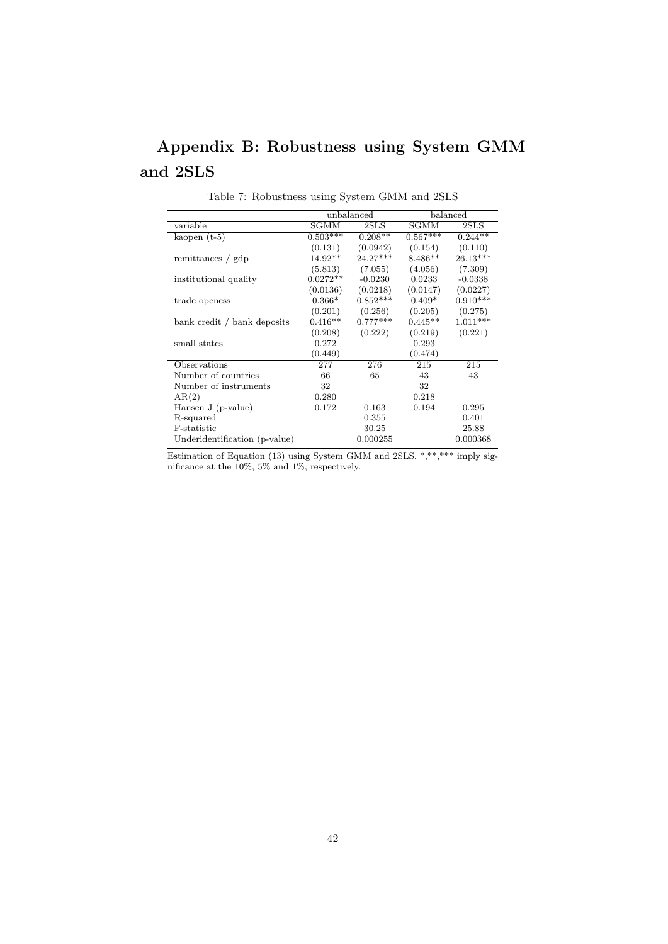## Appendix B: Robustness using System GMM and 2SLS

|                               |            | unbalanced |            | balanced   |
|-------------------------------|------------|------------|------------|------------|
| variable                      | SGMM       | 2SLS       | SGMM       | 2SLS       |
| kaopen $(t-5)$                | $0.503***$ | $0.208**$  | $0.567***$ | $0.244**$  |
|                               | (0.131)    | (0.0942)   | (0.154)    | (0.110)    |
| remittances / gdp             | $14.92**$  | $24.27***$ | $8.486**$  | $26.13***$ |
|                               | (5.813)    | (7.055)    | (4.056)    | (7.309)    |
| institutional quality         | $0.0272**$ | $-0.0230$  | 0.0233     | $-0.0338$  |
|                               | (0.0136)   | (0.0218)   | (0.0147)   | (0.0227)   |
| trade openess                 | $0.366*$   | $0.852***$ | $0.409*$   | $0.910***$ |
|                               | (0.201)    | (0.256)    | (0.205)    | (0.275)    |
| bank credit / bank deposits   | $0.416**$  | $0.777***$ | $0.445**$  | $1.011***$ |
|                               | (0.208)    | (0.222)    | (0.219)    | (0.221)    |
| small states                  | 0.272      |            | 0.293      |            |
|                               | (0.449)    |            | (0.474)    |            |
| Observations                  | 277        | 276        | 215        | 215        |
| Number of countries           | 66         | 65         | 43         | 43         |
| Number of instruments         | 32         |            | 32         |            |
| AR(2)                         | 0.280      |            | 0.218      |            |
| Hansen J (p-value)            | 0.172      | 0.163      | 0.194      | 0.295      |
| R-squared                     |            | 0.355      |            | 0.401      |
| F-statistic                   |            | 30.25      |            | 25.88      |
| Underidentification (p-value) |            | 0.000255   |            | 0.000368   |

Table 7: Robustness using System GMM and 2SLS

Estimation of Equation (13) using System GMM and 2SLS. \*,\*\*,\*\*\* imply significance at the 10%, 5% and 1%, respectively.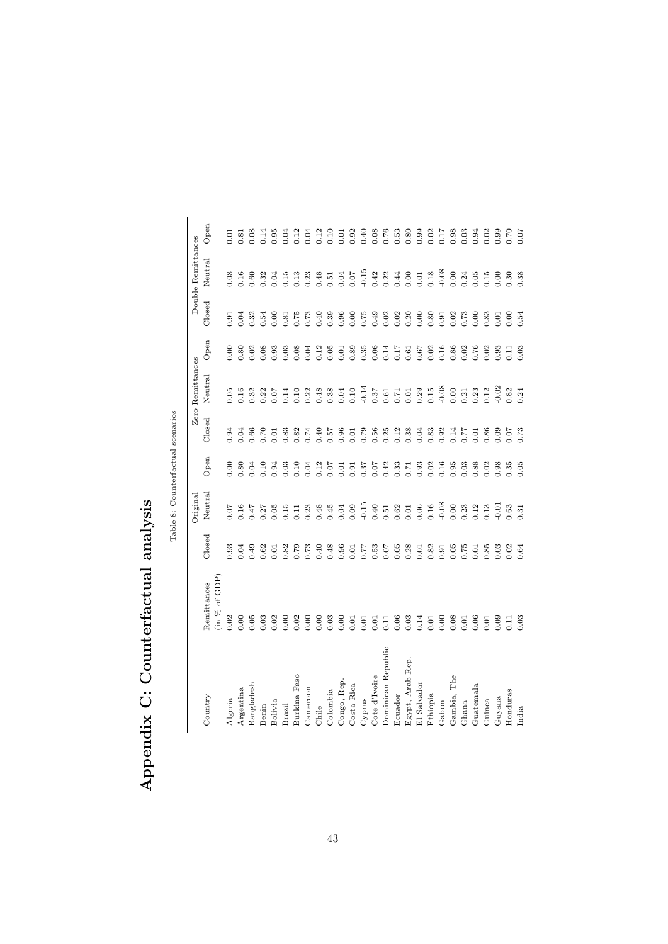|                    |                                |                    | Original |      |        | Zero Remittances |                 |        | Double Remittances |              |
|--------------------|--------------------------------|--------------------|----------|------|--------|------------------|-----------------|--------|--------------------|--------------|
| Country            | in $\%$ of GDP)<br>Remittances | $\mathbb{C}$ losed | Neutral  | Open | Closed | Neutral          | Open            | Closed | Neutral            | ${\bf Open}$ |
| Algeria            | 0.02                           | 0.93               | 0.07     | 0.00 | 0.94   | 0.05             | 0.00            | 0.91   | 0.08               | 0.01         |
| Argentina          | 0.00                           | 0.04               | 0.16     | 0.80 | 0.04   | 0.16             | 0.80            | 0.04   | 0.16               | 1.81         |
| Bangladesh         | 0.05                           | 0.49               | 7.47     | 0.04 | 0.66   | 0.32             | 0.02            | 0.32   | 0.60               | 0.08         |
| Benin              | 0.03                           | 0.62               | 0.27     | 0.10 | 0.70   | 0.22             | 0.08            | 0.54   | 0.32               | 0.14         |
| Bolivia            | 0.02                           | 0.01               | 0.05     | 0.94 | 0.01   |                  | 0.93            | 0.00   | 0.04               | 0.95         |
| Brazil             | 0.00                           | 0.82               | 0.15     | 0.03 | 0.83   | $0.07$<br>0.14   | 0.03            | 0.81   | 0.15               | 0.04         |
| Burkina Faso       | 0.02                           | 0.79               | 0.11     | 0.10 | 0.82   | 0.10             | 0.08            | 0.75   | 0.13               | 0.12         |
| Cameroon           | 0.00                           | 0.73               | 0.23     | 0.04 | 0.74   | 0.22             | 0.04            | 0.73   | 0.23               | 0.04         |
| Chile              | 0.00                           | 0.40               | 0.48     | 0.12 | 0.40   | 0.48             | 0.12            | 0.40   | 0.48               | 0.12         |
| Colombia           | 0.03                           | 0.48               | 0.45     | 0.07 | 0.57   | 0.38             | 0.05            | 0.39   | 0.51               | 0.10         |
| Congo, Rep.        | 0.00                           | 0.96               | 0.04     | 0.01 | 0.96   | 0.04             | 0.01            | 0.96   | 0.04               | 0.01         |
| Costa Rica         | 0.01                           | 0.01               | 0.09     | 0.91 | 0.01   | 0.10             | 0.89            | 0.00   | 0.07               | 0.92         |
| Cyprus             | 0.01                           | 77.7               | $-0.15$  | 0.37 | 0.79   | $-0.14$          | 0.35            | 0.75   | $-0.15$            | 0.40         |
| Cote d'Ivoire      | 0.01                           | 0.53               | 0.40     | 0.07 | 0.56   | 0.37             | 0.06            | 0.49   | 0.42               | 0.08         |
| Dominican Republic | $\overline{11}$                | 0.07               | 0.51     | 0.42 | 0.25   | $\!0.61$         | 0.14            | 0.02   | 0.22               | 0.76         |
| Ecuador            | 0.06                           | 0.05               | 0.62     | 0.33 | 0.12   | $0.71\,$         | 0.17            | 0.02   | 0.44               | 0.53         |
| Egypt, Arab Rep.   | 0.03                           | 0.28               | 0.01     | 7.71 | 0.38   | 0.01             | 0.61            | 0.20   | 0.00               | 0.80         |
| El Salvador        | 0.14                           | 0.01               | 0.06     | 0.93 | 0.04   | 0.29             | 0.67            | 0.00   | 0.01               | 0.99         |
| Ethiopia           | 0.01                           | 0.82               | 0.16     | 0.02 | 0.83   | 0.15             | 0.02            | 0.80   | 0.18               | 0.02         |
| Gabon              | 0.00                           | 0.91               | $-0.08$  | 0.16 | 0.92   | $-0.08$          | 0.16            | 0.91   | $-0.08$            | 0.17         |
| Gambia, The        | 0.08                           | 0.05               | 0.00     | 0.95 | 0.14   | 0.00             | 0.86            | 0.02   | 0.00               | 0.98         |
| Ghana              | 0.01                           | 0.75               | 0.23     | 0.03 | 77.C   | 0.21             | 0.02            | 0.73   | 0.24               | 0.03         |
| Guatemala          | 0.06                           | 0.01               | 0.12     | 0.88 | 0.01   | 0.23             | 0.76            | 0.00   | 0.05               | 0.94         |
| Guinea             | 0.01                           | 0.85               | 0.13     | 0.02 | 0.86   | 0.12             | 0.02            | 0.83   | 0.15               | 0.02         |
| Guyana             | 0.09                           | 0.03               | 0.01     | 0.98 | 0.09   | $-0.02$          | 0.93            | 0.01   | 0.00               | 0.99         |
| Honduras           | $\overline{11}$                | 0.02               | 0.63     | 0.35 | 0.07   | 0.82             | $\overline{11}$ | 0.00   | 0.30               | 0.70         |
| India              | 0.03                           | 0.64               | 0.31     | 0.05 | 0.73   | 0.24             | 0.03            | 0.54   | 0.38               | 0.07         |

Table 8: Counterfactual scenarios Table 8: Counterfactual scenarios

Appendix C: Counterfactual analysis

Appendix C: Counterfactual analysis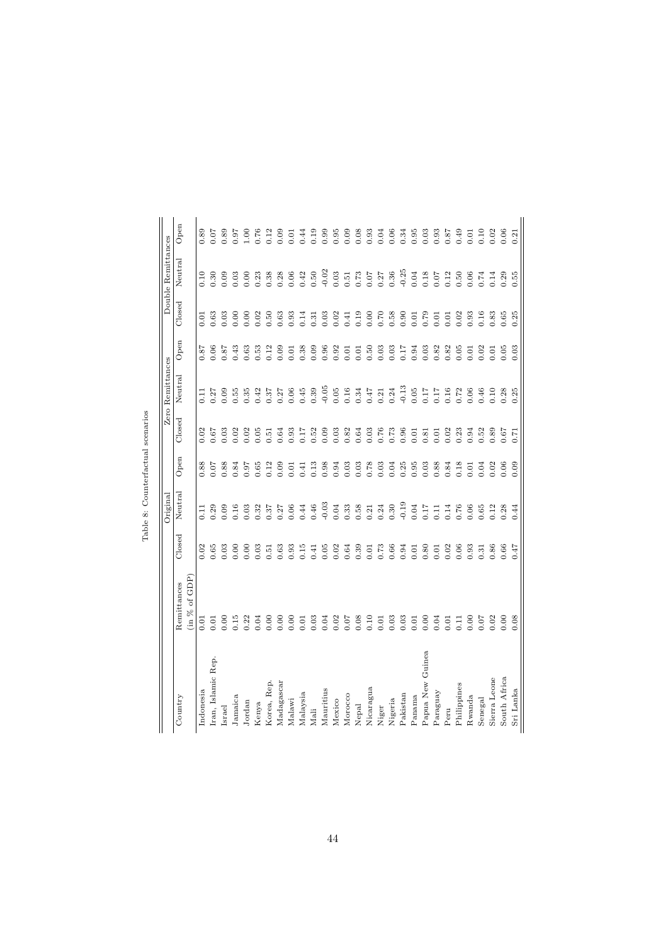|                                 |                  |        | Original        |      |        | Zero Remittances |      |        | Double Remittances |           |
|---------------------------------|------------------|--------|-----------------|------|--------|------------------|------|--------|--------------------|-----------|
| Country                         | Remittances      | Closed | Neutral         | Open | Closed | Neutral          | Open | Closed | Neutral            | Open      |
|                                 | $\sin \%$ of GDP |        |                 |      |        |                  |      |        |                    |           |
| Indonesia                       | 0.01             | 0.02   | $\overline{11}$ | 0.88 | 0.02   | E                | 0.87 | 0.01   | 0.10               | 0.89      |
| Iran, Islamic Rep.              | 0.01             | 0.65   | 0.29            | 0.07 | 0.67   | 0.27             | 0.06 | 0.63   | 0.30               | 0.07      |
| [srae]                          | 0.00             | 0.03   | 0.09            | 0.88 | 0.03   | 0.09             | 78.0 | 0.03   | 0.09               | 0.89      |
| Jamaica                         | 0.15             | 0.00   | 0.16            | 0.84 | 0.02   | 0.55             | 0.43 | 0.00   | 0.03               | $7.6^{+}$ |
| Jordan                          | 0.22             | 0.00   | 0.03            | 0.97 | 0.02   | 0.35             | 0.63 | 0.00   | 0.00               | $^{00}$   |
| Kenya                           | 0.04             | 0.03   | 0.32            | 0.65 | 0.05   | 0.42             | 0.53 | 0.02   | 0.23               | 0.76      |
| Korea, Rep.                     | 0.00             | 0.51   | 0.37            | 0.12 | 0.51   | 0.37             | 0.12 | 0.50   | 0.38               | 0.12      |
| $M$ a $\rm{d}$ agas $\rm{c}$ ar | 0.00             | 0.63   | 0.27            | 0.09 | 0.64   | 0.27             | 0.09 | 0.63   | 0.28               | 0.09      |
| Malawi                          | 0.00             | 0.93   | 0.06            | 0.01 | 0.93   | 0.06             | 0.01 | 0.93   | 0.06               | 0.01      |
| Malaysia                        | 0.01             | 0.15   | 0.44            | 0.41 | 0.17   | 0.45             | 0.38 | 0.14   | 0.42               | 0.44      |
| Mali                            | 0.03             | 0.41   | 0.46            | 0.13 | 0.52   | 0.39             | 0.09 | 0.31   | 0.50               | 0.19      |
| Mauritius                       | 0.04             | 0.05   | $-0.03$         | 0.98 | 0.09   | $-0.05$          | 0.96 | 0.03   | $-0.02$            | 0.99      |
| Mexico                          | 0.02             | 0.02   | 0.04            | 0.94 | 0.03   | 0.05             | 0.92 | 0.02   | 0.03               | 0.95      |
| Morocco                         | 0.07             | 0.64   | 0.33            | 0.03 | 0.82   | 0.16             | 0.01 | 0.41   | 0.51               | 0.09      |
| Nepal                           | 0.08             | 0.39   | 0.58            | 0.03 | 0.64   | 0.34             | 0.01 | 0.19   | 0.73               | 0.08      |
| Nicaragua                       | 0.10             | 0.01   | 0.21            | 0.78 | 0.03   | 0.47             | 0.50 | 0.00   | 0.07               | 0.93      |
| Niger                           | 0.01             | 0.73   | 0.24            | 0.03 | 0.76   | 0.21             | 0.03 | 0.70   | 0.27               | 0.04      |
| Nigeria                         | 0.03             | 0.66   | 0.30            | 0.04 | 0.73   | 0.24             | 0.03 | 0.58   | 0.36               | 0.06      |
| Pakistan                        | 0.03             | 0.94   | $-0.19$         | 0.25 | 0.96   | $-0.13$          | 0.17 | 0.90   | $-0.25$            | 0.34      |
| Panama                          | 0.01             | 0.01   | 0.04            | 0.95 | 0.01   | 0.05             | 0.94 | 0.01   | 0.04               | 0.95      |
| Papua New Guinea                | 0.00             | 0.80   | 0.17            | 0.03 | 0.81   | 0.17             | 0.03 | 0.79   | 0.18               | 0.03      |
| Paraguay                        | 0.04             | 0.01   | 0.11            | 0.88 | 0.01   | 0.17             | 0.82 | 0.01   | 0.07               | 0.93      |
| Peru                            | 0.01             | 0.02   | 0.14            | 0.84 | 0.02   | 0.16             | 0.82 | 0.01   | 0.12               | 187       |
| Philippines                     | 0.11             | 0.06   | 0.76            | 0.18 | 0.23   | 0.72             | 0.05 | 0.02   | 0.50               | 0.49      |
| Rwanda                          | 0.00             | 0.93   | 0.06            | 0.01 | 0.94   | 0.06             | 0.01 | 0.93   | 0.06               | 0.01      |
| Senegal                         | 0.07             | 0.31   | 0.65            | 0.04 | 0.52   | 0.46             | 0.02 | 0.16   | 0.74               | 0.10      |
| Sierra Leone                    | 0.02             | 0.86   | 0.12            | 0.02 | 0.89   | 0.10             | 0.01 | 0.83   | 0.14               | 0.02      |
| South Africa                    | 0.00             | 0.66   | 0.28            | 0.06 | 0.67   | 0.28             | 0.05 | 0.65   | 0.29               | 0.06      |
| Sri Lanka                       | 0.08             | 747    | 0.44            | 0.09 | 0.71   | 0.25             | 0.03 | 0.25   | 0.55               | 0.21      |

Table 8: Counterfactual scenarios Table 8: Counterfactual scenarios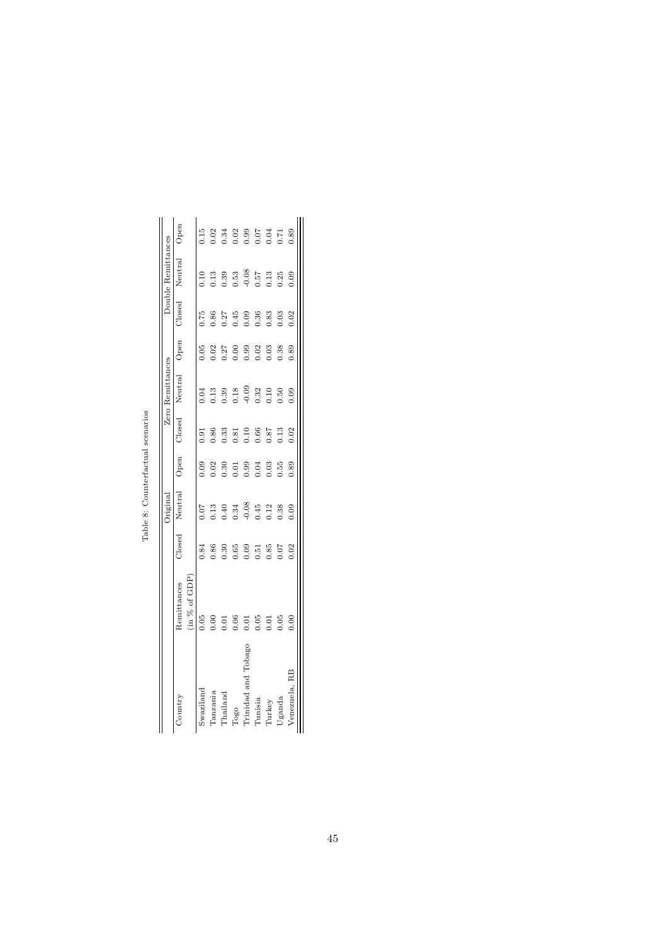|                     |               |        | Original |           |                 | Zero Remittances |      |           | Double Remittances |      |
|---------------------|---------------|--------|----------|-----------|-----------------|------------------|------|-----------|--------------------|------|
| Country             | Remittances   | Closed | Neutral  | Open      | Closed          | Neutral          | Open | Closed    | Neutral            | Jpen |
|                     | (in % of GDP) |        |          |           |                 |                  |      |           |                    |      |
| Swaziland           | 0.05          | 0.84   | 0.07     | 0.09      | $\frac{5}{10}$  | 0.1              | 0.05 | $-75$     | $\frac{10}{10}$    | 0.15 |
| Tanzania            | 0.00          | 0.86   | 0.13     | 0.02      | 0.86            | 0.13             | 0.02 | 0.86      | 0.13               | 0.02 |
| Thailand            | Ξ             | 0.30   | 0.40     | 0.30      | 0.33            | 0.39             | 0.27 | 0.27      | 0.39               | 0.34 |
| Togo                | 0.06          | 0.65   | 0.34     | 5<br>0.01 | $-81$           | 0.18             | 0.00 | 0.45      | 0.53               | 0.02 |
| Trinidad and Tobago | Ξ             | 0.09   | $-0.08$  | 0.99      | $\frac{10}{10}$ | $-0.09$          | 0.99 | <b>eo</b> | $-0.08$            | 0.99 |
| <b>Tunisia</b>      | 0.05          | 0.51   | 0.45     | 0.04      | 0.66            | 0.32             | 0.02 | .36       | 0.57               | 0.07 |
| Aurkey              | $\Xi$         | 0.85   | 0.12     | 0.03      | 78.0            | 0.10             | 0.03 | 0.83      | 0.13               | 0.04 |
| Uganda              | 0.05          | 0.07   | 0.38     | 0.55      | $-13$           | 0.50             | 0.38 | 0.03      | 0.25               | 0.71 |
| Venezuela, RB       | 8<br>0.0      | 02     | 0.09     | 0.89      | 0.02            | 0.09             | 0.89 | 0.02      | 0.09               | 0.89 |

Table 8: Counterfactual scenarios Table 8: Counterfactual scenarios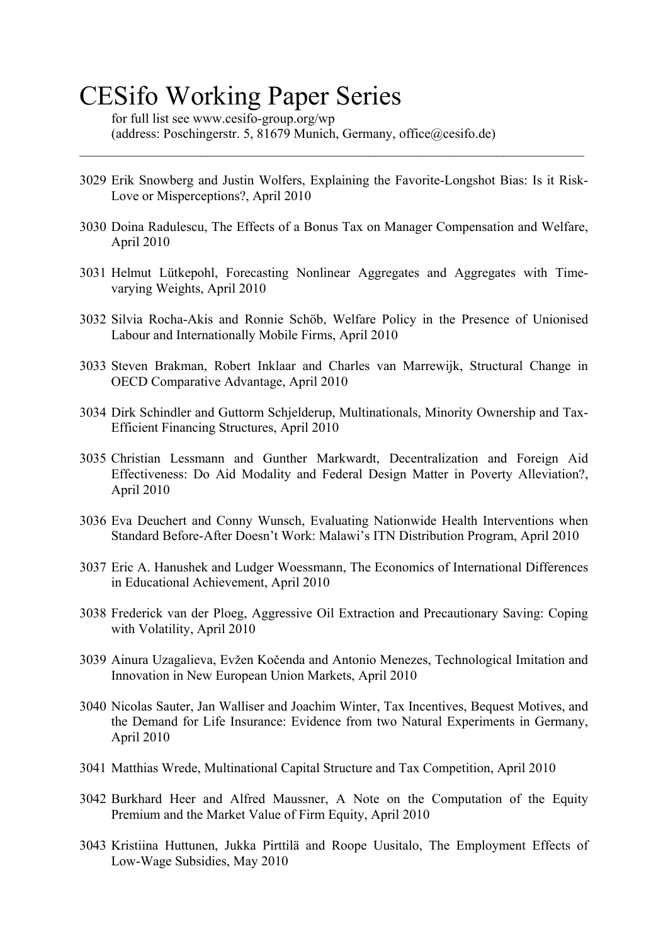# CESifo Working Paper Series

for full list see www.cesifo-group.org/wp (address: Poschingerstr. 5, 81679 Munich, Germany, office@cesifo.de)

3029 Erik Snowberg and Justin Wolfers, Explaining the Favorite-Longshot Bias: Is it Risk-Love or Misperceptions?, April 2010

 $\_$  , and the contribution of the contribution of the contribution of the contribution of  $\mathcal{L}_\text{max}$ 

- 3030 Doina Radulescu, The Effects of a Bonus Tax on Manager Compensation and Welfare, April 2010
- 3031 Helmut Lütkepohl, Forecasting Nonlinear Aggregates and Aggregates with Timevarying Weights, April 2010
- 3032 Silvia Rocha-Akis and Ronnie Schöb, Welfare Policy in the Presence of Unionised Labour and Internationally Mobile Firms, April 2010
- 3033 Steven Brakman, Robert Inklaar and Charles van Marrewijk, Structural Change in OECD Comparative Advantage, April 2010
- 3034 Dirk Schindler and Guttorm Schjelderup, Multinationals, Minority Ownership and Tax-Efficient Financing Structures, April 2010
- 3035 Christian Lessmann and Gunther Markwardt, Decentralization and Foreign Aid Effectiveness: Do Aid Modality and Federal Design Matter in Poverty Alleviation?, April 2010
- 3036 Eva Deuchert and Conny Wunsch, Evaluating Nationwide Health Interventions when Standard Before-After Doesn't Work: Malawi's ITN Distribution Program, April 2010
- 3037 Eric A. Hanushek and Ludger Woessmann, The Economics of International Differences in Educational Achievement, April 2010
- 3038 Frederick van der Ploeg, Aggressive Oil Extraction and Precautionary Saving: Coping with Volatility, April 2010
- 3039 Ainura Uzagalieva, Evžen Kočenda and Antonio Menezes, Technological Imitation and Innovation in New European Union Markets, April 2010
- 3040 Nicolas Sauter, Jan Walliser and Joachim Winter, Tax Incentives, Bequest Motives, and the Demand for Life Insurance: Evidence from two Natural Experiments in Germany, April 2010
- 3041 Matthias Wrede, Multinational Capital Structure and Tax Competition, April 2010
- 3042 Burkhard Heer and Alfred Maussner, A Note on the Computation of the Equity Premium and the Market Value of Firm Equity, April 2010
- 3043 Kristiina Huttunen, Jukka Pirttilä and Roope Uusitalo, The Employment Effects of Low-Wage Subsidies, May 2010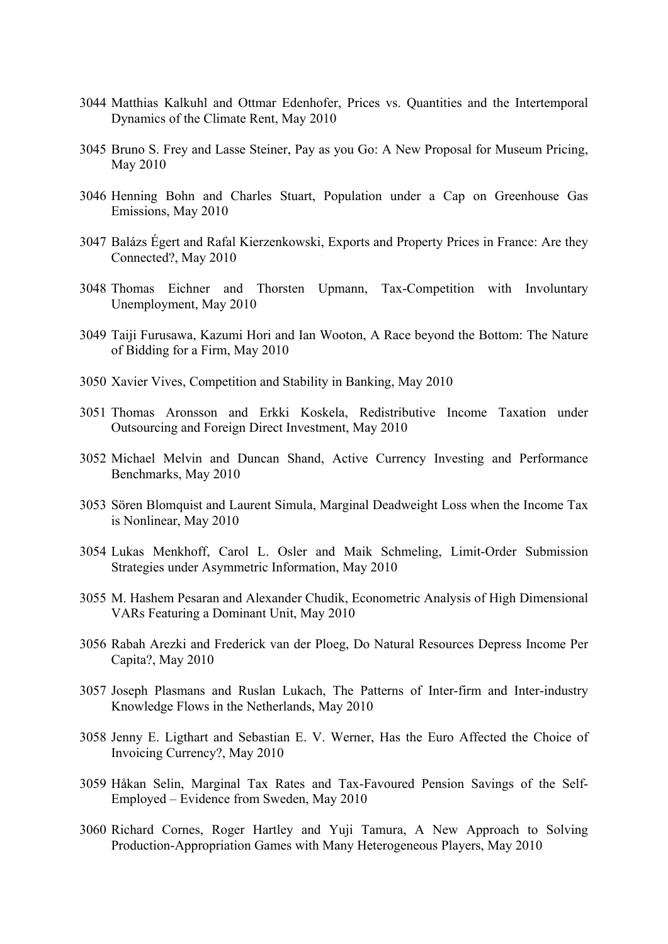- 3044 Matthias Kalkuhl and Ottmar Edenhofer, Prices vs. Quantities and the Intertemporal Dynamics of the Climate Rent, May 2010
- 3045 Bruno S. Frey and Lasse Steiner, Pay as you Go: A New Proposal for Museum Pricing, May 2010
- 3046 Henning Bohn and Charles Stuart, Population under a Cap on Greenhouse Gas Emissions, May 2010
- 3047 Balázs Égert and Rafal Kierzenkowski, Exports and Property Prices in France: Are they Connected?, May 2010
- 3048 Thomas Eichner and Thorsten Upmann, Tax-Competition with Involuntary Unemployment, May 2010
- 3049 Taiji Furusawa, Kazumi Hori and Ian Wooton, A Race beyond the Bottom: The Nature of Bidding for a Firm, May 2010
- 3050 Xavier Vives, Competition and Stability in Banking, May 2010
- 3051 Thomas Aronsson and Erkki Koskela, Redistributive Income Taxation under Outsourcing and Foreign Direct Investment, May 2010
- 3052 Michael Melvin and Duncan Shand, Active Currency Investing and Performance Benchmarks, May 2010
- 3053 Sören Blomquist and Laurent Simula, Marginal Deadweight Loss when the Income Tax is Nonlinear, May 2010
- 3054 Lukas Menkhoff, Carol L. Osler and Maik Schmeling, Limit-Order Submission Strategies under Asymmetric Information, May 2010
- 3055 M. Hashem Pesaran and Alexander Chudik, Econometric Analysis of High Dimensional VARs Featuring a Dominant Unit, May 2010
- 3056 Rabah Arezki and Frederick van der Ploeg, Do Natural Resources Depress Income Per Capita?, May 2010
- 3057 Joseph Plasmans and Ruslan Lukach, The Patterns of Inter-firm and Inter-industry Knowledge Flows in the Netherlands, May 2010
- 3058 Jenny E. Ligthart and Sebastian E. V. Werner, Has the Euro Affected the Choice of Invoicing Currency?, May 2010
- 3059 Håkan Selin, Marginal Tax Rates and Tax-Favoured Pension Savings of the Self-Employed – Evidence from Sweden, May 2010
- 3060 Richard Cornes, Roger Hartley and Yuji Tamura, A New Approach to Solving Production-Appropriation Games with Many Heterogeneous Players, May 2010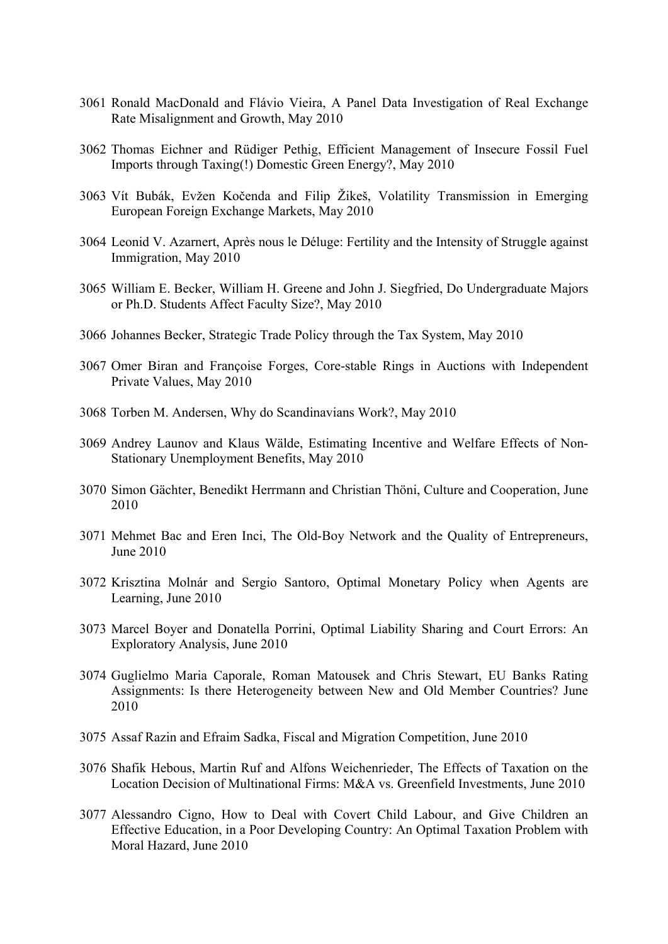- 3061 Ronald MacDonald and Flávio Vieira, A Panel Data Investigation of Real Exchange Rate Misalignment and Growth, May 2010
- 3062 Thomas Eichner and Rüdiger Pethig, Efficient Management of Insecure Fossil Fuel Imports through Taxing(!) Domestic Green Energy?, May 2010
- 3063 Vít Bubák, Evžen Kočenda and Filip Žikeš, Volatility Transmission in Emerging European Foreign Exchange Markets, May 2010
- 3064 Leonid V. Azarnert, Après nous le Déluge: Fertility and the Intensity of Struggle against Immigration, May 2010
- 3065 William E. Becker, William H. Greene and John J. Siegfried, Do Undergraduate Majors or Ph.D. Students Affect Faculty Size?, May 2010
- 3066 Johannes Becker, Strategic Trade Policy through the Tax System, May 2010
- 3067 Omer Biran and Françoise Forges, Core-stable Rings in Auctions with Independent Private Values, May 2010
- 3068 Torben M. Andersen, Why do Scandinavians Work?, May 2010
- 3069 Andrey Launov and Klaus Wälde, Estimating Incentive and Welfare Effects of Non-Stationary Unemployment Benefits, May 2010
- 3070 Simon Gächter, Benedikt Herrmann and Christian Thöni, Culture and Cooperation, June 2010
- 3071 Mehmet Bac and Eren Inci, The Old-Boy Network and the Quality of Entrepreneurs, June 2010
- 3072 Krisztina Molnár and Sergio Santoro, Optimal Monetary Policy when Agents are Learning, June 2010
- 3073 Marcel Boyer and Donatella Porrini, Optimal Liability Sharing and Court Errors: An Exploratory Analysis, June 2010
- 3074 Guglielmo Maria Caporale, Roman Matousek and Chris Stewart, EU Banks Rating Assignments: Is there Heterogeneity between New and Old Member Countries? June 2010
- 3075 Assaf Razin and Efraim Sadka, Fiscal and Migration Competition, June 2010
- 3076 Shafik Hebous, Martin Ruf and Alfons Weichenrieder, The Effects of Taxation on the Location Decision of Multinational Firms: M&A vs. Greenfield Investments, June 2010
- 3077 Alessandro Cigno, How to Deal with Covert Child Labour, and Give Children an Effective Education, in a Poor Developing Country: An Optimal Taxation Problem with Moral Hazard, June 2010